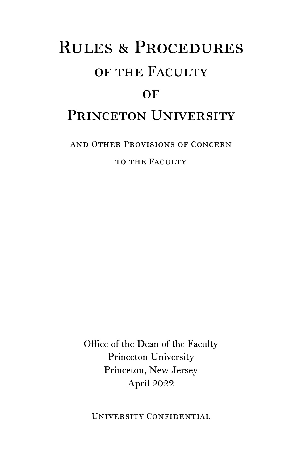# Rules & Procedures of the Faculty  $OF$ PRINCETON UNIVERSITY

And Other Provisions of Concern

TO THE FACULTY

Office of the Dean of the Faculty Princeton University Princeton, New Jersey April 2022

University Confidential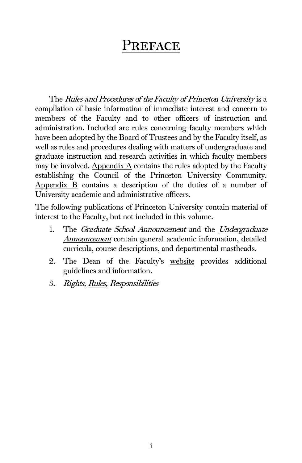# PREFACE

The Rules and Procedures of the Faculty of Princeton University is a compilation of basic information of immediate interest and concern to members of the Faculty and to other officers of instruction and administration. Included are rules concerning faculty members which have been adopted by the Board of Trustees and by the Faculty itself, as well as rules and procedures dealing with matters of undergraduate and graduate instruction and research activities in which faculty members may be involved. Appendix  $\overline{A}$  contains the rules adopted by the Faculty establishing the Council of the Princeton University Community. [Appendix B](#page-147-0) contains a description of the duties of a number of University academic and administrative officers.

The following publications of Princeton University contain material of interest to the Faculty, but not included in this volume.

- 1. The Graduate School Announcement and the Undergraduate [Announcement](https://ua.princeton.edu/) contain general academic information, detailed curricula, course descriptions, and departmental mastheads.
- 2. The Dean of the Faculty's [website](https://dof.princeton.edu/) provides additional guidelines and information.
- 3. Rights[, Rules,](https://rrr.princeton.edu/) Responsibilities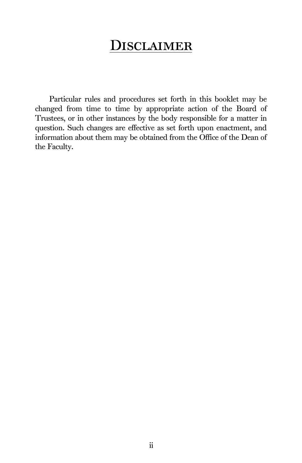# **DISCLAIMER**

Particular rules and procedures set forth in this booklet may be changed from time to time by appropriate action of the Board of Trustees, or in other instances by the body responsible for a matter in question. Such changes are effective as set forth upon enactment, and information about them may be obtained from the Office of the Dean of the Faculty.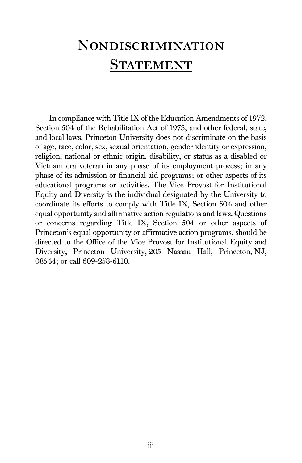# <span id="page-5-0"></span>Nondiscrimination **STATEMENT**

In compliance with Title IX of the Education Amendments of 1972, Section 504 of the Rehabilitation Act of 1973, and other federal, state, and local laws, Princeton University does not discriminate on the basis of age, race, color, sex, sexual orientation, gender identity or expression, religion, national or ethnic origin, disability, or status as a disabled or Vietnam era veteran in any phase of its employment process; in any phase of its admission or financial aid programs; or other aspects of its educational programs or activities. The Vice Provost for Institutional Equity and Diversity is the individual designated by the University to coordinate its efforts to comply with Title IX, Section 504 and other equal opportunity and affirmative action regulations and laws. Questions or concerns regarding Title IX, Section 504 or other aspects of Princeton's equal opportunity or affirmative action programs, should be directed to the Office of the Vice Provost for Institutional Equity and Diversity, Princeton University, 205 Nassau Hall, Princeton, NJ, 08544; or call 609-258-6110.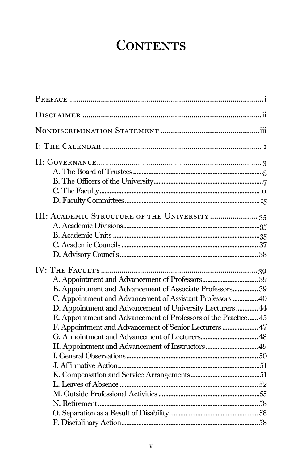# **CONTENTS**

| III: ACADEMIC STRUCTURE OF THE UNIVERSITY  35                                                                                                                                           |  |
|-----------------------------------------------------------------------------------------------------------------------------------------------------------------------------------------|--|
| B. Appointment and Advancement of Associate Professors 39<br>C. Appointment and Advancement of Assistant Professors  40                                                                 |  |
| D. Appointment and Advancement of University Lecturers  44<br>E. Appointment and Advancement of Professors of the Practice 45<br>F. Appointment and Advancement of Senior Lecturers  47 |  |
|                                                                                                                                                                                         |  |
|                                                                                                                                                                                         |  |
|                                                                                                                                                                                         |  |
|                                                                                                                                                                                         |  |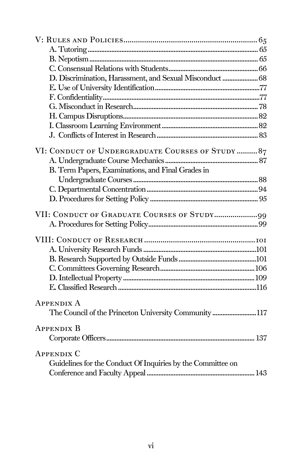<span id="page-8-0"></span>

| D. Discrimination, Harassment, and Sexual Misconduct  68    |
|-------------------------------------------------------------|
|                                                             |
|                                                             |
|                                                             |
|                                                             |
|                                                             |
|                                                             |
| VI: CONDUCT OF UNDERGRADUATE COURSES OF STUDY  87           |
|                                                             |
| B. Term Papers, Examinations, and Final Grades in           |
|                                                             |
|                                                             |
|                                                             |
|                                                             |
|                                                             |
|                                                             |
|                                                             |
|                                                             |
|                                                             |
|                                                             |
|                                                             |
| <b>APPENDIX A</b>                                           |
| The Council of the Princeton University Community117        |
|                                                             |
| APPENDIX B                                                  |
|                                                             |
| <b>APPENDIX C</b>                                           |
| Guidelines for the Conduct Of Inquiries by the Committee on |
|                                                             |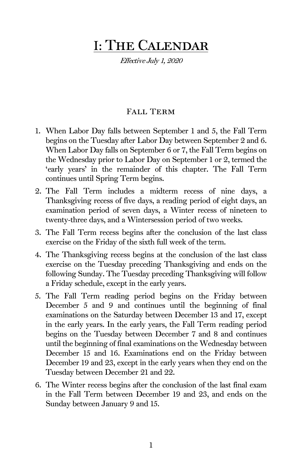# I: The Calendar

Effective July 1, 2020

# Fall Term

- 1. When Labor Day falls between September 1 and 5, the Fall Term begins on the Tuesday after Labor Day between September 2 and 6. When Labor Day falls on September 6 or 7, the Fall Term begins on the Wednesday prior to Labor Day on September 1 or 2, termed the 'early years' in the remainder of this chapter. The Fall Term continues until Spring Term begins.
- 2. The Fall Term includes a midterm recess of nine days, a Thanksgiving recess of five days, a reading period of eight days, an examination period of seven days, a Winter recess of nineteen to twenty-three days, and a Wintersession period of two weeks.
- 3. The Fall Term recess begins after the conclusion of the last class exercise on the Friday of the sixth full week of the term.
- 4. The Thanksgiving recess begins at the conclusion of the last class exercise on the Tuesday preceding Thanksgiving and ends on the following Sunday. The Tuesday preceding Thanksgiving will follow a Friday schedule, except in the early years.
- 5. The Fall Term reading period begins on the Friday between December 5 and 9 and continues until the beginning of final examinations on the Saturday between December 13 and 17, except in the early years. In the early years, the Fall Term reading period begins on the Tuesday between December 7 and 8 and continues until the beginning of final examinations on the Wednesday between December 15 and 16. Examinations end on the Friday between December 19 and 23, except in the early years when they end on the Tuesday between December 21 and 22.
- 6. The Winter recess begins after the conclusion of the last final exam in the Fall Term between December 19 and 23, and ends on the Sunday between January 9 and 15.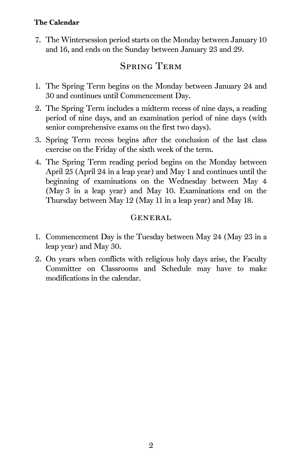# The Calendar

7. The Wintersession period starts on the Monday between January 10 and 16, and ends on the Sunday between January 23 and 29.

# Spring Term

- 1. The Spring Term begins on the Monday between January 24 and 30 and continues until Commencement Day.
- 2. The Spring Term includes a midterm recess of nine days, a reading period of nine days, and an examination period of nine days (with senior comprehensive exams on the first two days).
- 3. Spring Term recess begins after the conclusion of the last class exercise on the Friday of the sixth week of the term.
- 4. The Spring Term reading period begins on the Monday between April 25 (April 24 in a leap year) and May 1 and continues until the beginning of examinations on the Wednesday between May 4 (May 3 in a leap year) and May 10. Examinations end on the Thursday between May 12 (May 11 in a leap year) and May 18.

# GENERAL

- 1. Commencement Day is the Tuesday between May 24 (May 23 in a leap year) and May 30.
- 2. On years when conflicts with religious holy days arise, the Faculty Committee on Classrooms and Schedule may have to make modifications in the calendar.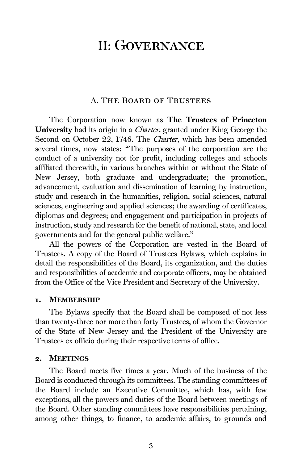# <span id="page-13-0"></span>II: Governance

#### A. The Board of Trustees

<span id="page-13-1"></span>The Corporation now known as The Trustees of Princeton University had its origin in a *Charter*, granted under King George the Second on October 22, 1746. The Charter, which has been amended several times, now states: "The purposes of the corporation are the conduct of a university not for profit, including colleges and schools affiliated therewith, in various branches within or without the State of New Jersey, both graduate and undergraduate; the promotion, advancement, evaluation and dissemination of learning by instruction, study and research in the humanities, religion, social sciences, natural sciences, engineering and applied sciences; the awarding of certificates, diplomas and degrees; and engagement and participation in projects of instruction, study and research for the benefit of national, state, and local governments and for the general public welfare."

All the powers of the Corporation are vested in the Board of Trustees. A copy of the Board of Trustees Bylaws, which explains in detail the responsibilities of the Board, its organization, and the duties and responsibilities of academic and corporate officers, may be obtained from the Office of the Vice President and Secretary of the University.

#### 1. MEMBERSHIP

The Bylaws specify that the Board shall be composed of not less than twenty-three nor more than forty Trustees, of whom the Governor of the State of New Jersey and the President of the University are Trustees ex officio during their respective terms of office.

#### 2. MEETINGS

The Board meets five times a year. Much of the business of the Board is conducted through its committees. The standing committees of the Board include an Executive Committee, which has, with few exceptions, all the powers and duties of the Board between meetings of the Board. Other standing committees have responsibilities pertaining, among other things, to finance, to academic affairs, to grounds and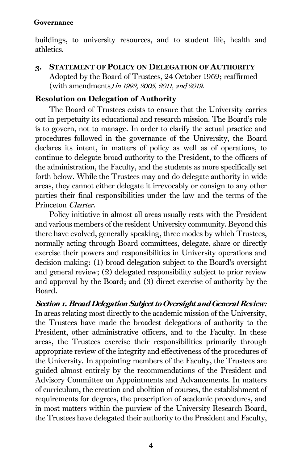buildings, to university resources, and to student life, health and athletics.

3. STATEMENT OF POLICY ON DELEGATION OF AUTHORITY Adopted by the Board of Trustees, 24 October 1969; reaffirmed (with amendments) in 1992, 2005, 2011, and 2019.

# Resolution on Delegation of Authority

The Board of Trustees exists to ensure that the University carries out in perpetuity its educational and research mission. The Board's role is to govern, not to manage. In order to clarify the actual practice and procedures followed in the governance of the University, the Board declares its intent, in matters of policy as well as of operations, to continue to delegate broad authority to the President, to the officers of the administration, the Faculty, and the students as more specifically set forth below. While the Trustees may and do delegate authority in wide areas, they cannot either delegate it irrevocably or consign to any other parties their final responsibilities under the law and the terms of the Princeton Charter.

Policy initiative in almost all areas usually rests with the President and various members of the resident University community. Beyond this there have evolved, generally speaking, three modes by which Trustees, normally acting through Board committees, delegate, share or directly exercise their powers and responsibilities in University operations and decision making: (1) broad delegation subject to the Board's oversight and general review; (2) delegated responsibility subject to prior review and approval by the Board; and (3) direct exercise of authority by the Board.

Section 1. Broad Delegation Subject to Oversight and General Review: In areas relating most directly to the academic mission of the University, the Trustees have made the broadest delegations of authority to the President, other administrative officers, and to the Faculty. In these areas, the Trustees exercise their responsibilities primarily through appropriate review of the integrity and effectiveness of the procedures of the University. In appointing members of the Faculty, the Trustees are guided almost entirely by the recommendations of the President and Advisory Committee on Appointments and Advancements. In matters of curriculum, the creation and abolition of courses, the establishment of requirements for degrees, the prescription of academic procedures, and in most matters within the purview of the University Research Board, the Trustees have delegated their authority to the President and Faculty,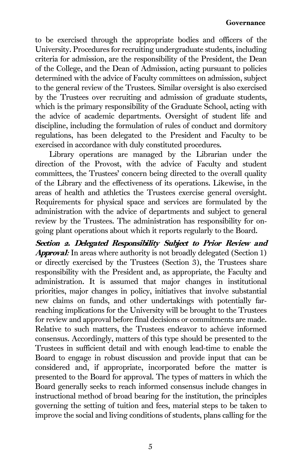to be exercised through the appropriate bodies and officers of the University. Procedures for recruiting undergraduate students, including criteria for admission, are the responsibility of the President, the Dean of the College, and the Dean of Admission, acting pursuant to policies determined with the advice of Faculty committees on admission, subject to the general review of the Trustees. Similar oversight is also exercised by the Trustees over recruiting and admission of graduate students, which is the primary responsibility of the Graduate School, acting with the advice of academic departments. Oversight of student life and discipline, including the formulation of rules of conduct and dormitory regulations, has been delegated to the President and Faculty to be exercised in accordance with duly constituted procedures.

Library operations are managed by the Librarian under the direction of the Provost, with the advice of Faculty and student committees, the Trustees' concern being directed to the overall quality of the Library and the effectiveness of its operations. Likewise, in the areas of health and athletics the Trustees exercise general oversight. Requirements for physical space and services are formulated by the administration with the advice of departments and subject to general review by the Trustees. The administration has responsibility for ongoing plant operations about which it reports regularly to the Board.

Section 2. Delegated Responsibility Subject to Prior Review and Approval: In areas where authority is not broadly delegated (Section 1) or directly exercised by the Trustees (Section 3), the Trustees share responsibility with the President and, as appropriate, the Faculty and administration. It is assumed that major changes in institutional priorities, major changes in policy, initiatives that involve substantial new claims on funds, and other undertakings with potentially farreaching implications for the University will be brought to the Trustees for review and approval before final decisions or commitments are made. Relative to such matters, the Trustees endeavor to achieve informed consensus. Accordingly, matters of this type should be presented to the Trustees in sufficient detail and with enough lead-time to enable the Board to engage in robust discussion and provide input that can be considered and, if appropriate, incorporated before the matter is presented to the Board for approval. The types of matters in which the Board generally seeks to reach informed consensus include changes in instructional method of broad bearing for the institution, the principles governing the setting of tuition and fees, material steps to be taken to improve the social and living conditions of students, plans calling for the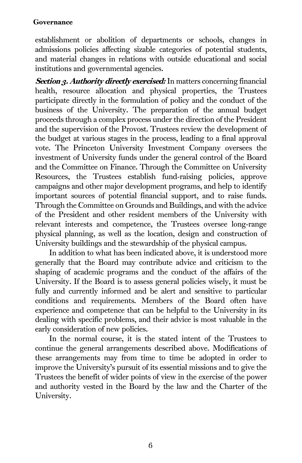establishment or abolition of departments or schools, changes in admissions policies affecting sizable categories of potential students, and material changes in relations with outside educational and social institutions and governmental agencies.

Section 3. Authority directly exercised: In matters concerning financial health, resource allocation and physical properties, the Trustees participate directly in the formulation of policy and the conduct of the business of the University. The preparation of the annual budget proceeds through a complex process under the direction of the President and the supervision of the Provost. Trustees review the development of the budget at various stages in the process, leading to a final approval vote. The Princeton University Investment Company oversees the investment of University funds under the general control of the Board and the Committee on Finance. Through the Committee on University Resources, the Trustees establish fund-raising policies, approve campaigns and other major development programs, and help to identify important sources of potential financial support, and to raise funds. Through the Committee on Grounds and Buildings, and with the advice of the President and other resident members of the University with relevant interests and competence, the Trustees oversee long-range physical planning, as well as the location, design and construction of University buildings and the stewardship of the physical campus.

In addition to what has been indicated above, it is understood more generally that the Board may contribute advice and criticism to the shaping of academic programs and the conduct of the affairs of the University. If the Board is to assess general policies wisely, it must be fully and currently informed and be alert and sensitive to particular conditions and requirements. Members of the Board often have experience and competence that can be helpful to the University in its dealing with specific problems, and their advice is most valuable in the early consideration of new policies.

In the normal course, it is the stated intent of the Trustees to continue the general arrangements described above. Modifications of these arrangements may from time to time be adopted in order to improve the University's pursuit of its essential missions and to give the Trustees the benefit of wider points of view in the exercise of the power and authority vested in the Board by the law and the Charter of the University.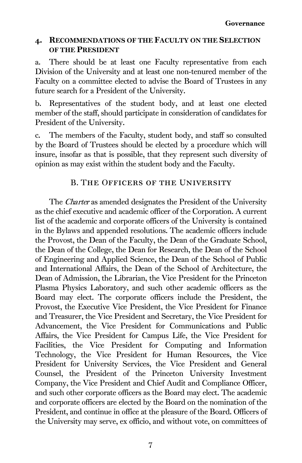# 4. RECOMMENDATIONS OF THE FACULTY ON THE SELECTION OF THE PRESIDENT

a. There should be at least one Faculty representative from each Division of the University and at least one non-tenured member of the Faculty on a committee elected to advise the Board of Trustees in any future search for a President of the University.

b. Representatives of the student body, and at least one elected member of the staff, should participate in consideration of candidates for President of the University.

c. The members of the Faculty, student body, and staff so consulted by the Board of Trustees should be elected by a procedure which will insure, insofar as that is possible, that they represent such diversity of opinion as may exist within the student body and the Faculty.

# B. The Officers of the University

<span id="page-17-0"></span>The Charter as amended designates the President of the University as the chief executive and academic officer of the Corporation. A current list of the academic and corporate officers of the University is contained in the Bylaws and appended resolutions. The academic officers include the Provost, the Dean of the Faculty, the Dean of the Graduate School, the Dean of the College, the Dean for Research, the Dean of the School of Engineering and Applied Science, the Dean of the School of Public and International Affairs, the Dean of the School of Architecture, the Dean of Admission, the Librarian, the Vice President for the Princeton Plasma Physics Laboratory, and such other academic officers as the Board may elect. The corporate officers include the President, the Provost, the Executive Vice President, the Vice President for Finance and Treasurer, the Vice President and Secretary, the Vice President for Advancement, the Vice President for Communications and Public Affairs, the Vice President for Campus Life, the Vice President for Facilities, the Vice President for Computing and Information Technology, the Vice President for Human Resources, the Vice President for University Services, the Vice President and General Counsel, the President of the Princeton University Investment Company, the Vice President and Chief Audit and Compliance Officer, and such other corporate officers as the Board may elect. The academic and corporate officers are elected by the Board on the nomination of the President, and continue in office at the pleasure of the Board. Officers of the University may serve, ex officio, and without vote, on committees of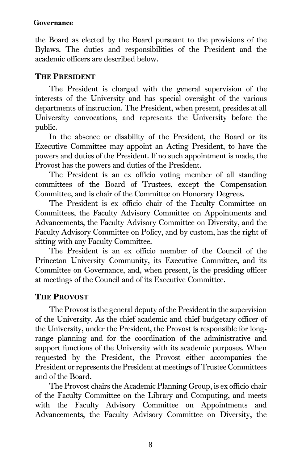the Board as elected by the Board pursuant to the provisions of the Bylaws. The duties and responsibilities of the President and the academic officers are described below.

### THE PRESIDENT

The President is charged with the general supervision of the interests of the University and has special oversight of the various departments of instruction. The President, when present, presides at all University convocations, and represents the University before the public.

In the absence or disability of the President, the Board or its Executive Committee may appoint an Acting President, to have the powers and duties of the President. If no such appointment is made, the Provost has the powers and duties of the President.

The President is an ex officio voting member of all standing committees of the Board of Trustees, except the Compensation Committee, and is chair of the Committee on Honorary Degrees.

The President is ex officio chair of the Faculty Committee on Committees, the Faculty Advisory Committee on Appointments and Advancements, the Faculty Advisory Committee on Diversity, and the Faculty Advisory Committee on Policy, and by custom, has the right of sitting with any Faculty Committee.

The President is an ex officio member of the Council of the Princeton University Community, its Executive Committee, and its Committee on Governance, and, when present, is the presiding officer at meetings of the Council and of its Executive Committee.

# THE PROVOST

The Provost is the general deputy of the President in the supervision of the University. As the chief academic and chief budgetary officer of the University, under the President, the Provost is responsible for longrange planning and for the coordination of the administrative and support functions of the University with its academic purposes. When requested by the President, the Provost either accompanies the President or represents the President at meetings of Trustee Committees and of the Board.

The Provost chairs the Academic Planning Group, is ex officio chair of the Faculty Committee on the Library and Computing, and meets with the Faculty Advisory Committee on Appointments and Advancements, the Faculty Advisory Committee on Diversity, the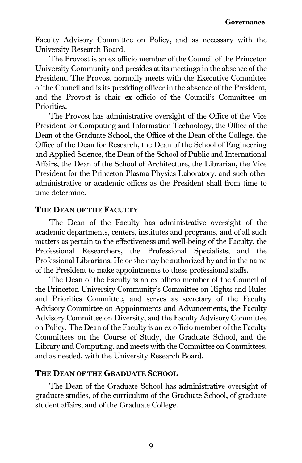Faculty Advisory Committee on Policy, and as necessary with the University Research Board.

The Provost is an ex officio member of the Council of the Princeton University Community and presides at its meetings in the absence of the President. The Provost normally meets with the Executive Committee of the Council and is its presiding officer in the absence of the President, and the Provost is chair ex officio of the Council's Committee on Priorities.

The Provost has administrative oversight of the Office of the Vice President for Computing and Information Technology, the Office of the Dean of the Graduate School, the Office of the Dean of the College, the Office of the Dean for Research, the Dean of the School of Engineering and Applied Science, the Dean of the School of Public and International Affairs, the Dean of the School of Architecture, the Librarian, the Vice President for the Princeton Plasma Physics Laboratory, and such other administrative or academic offices as the President shall from time to time determine.

#### THE DEAN OF THE FACULTY

The Dean of the Faculty has administrative oversight of the academic departments, centers, institutes and programs, and of all such matters as pertain to the effectiveness and well-being of the Faculty, the Professional Researchers, the Professional Specialists, and the Professional Librarians. He or she may be authorized by and in the name of the President to make appointments to these professional staffs.

The Dean of the Faculty is an ex officio member of the Council of the Princeton University Community's Committee on Rights and Rules and Priorities Committee, and serves as secretary of the Faculty Advisory Committee on Appointments and Advancements, the Faculty Advisory Committee on Diversity, and the Faculty Advisory Committee on Policy. The Dean of the Faculty is an ex officio member of the Faculty Committees on the Course of Study, the Graduate School, and the Library and Computing, and meets with the Committee on Committees, and as needed, with the University Research Board.

#### THE DEAN OF THE GRADUATE SCHOOL

The Dean of the Graduate School has administrative oversight of graduate studies, of the curriculum of the Graduate School, of graduate student affairs, and of the Graduate College.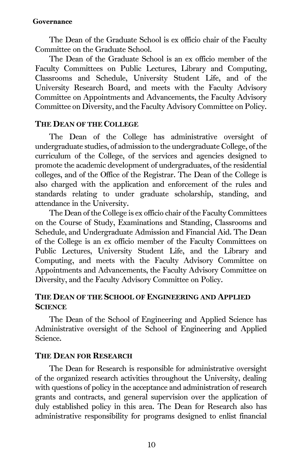The Dean of the Graduate School is ex officio chair of the Faculty Committee on the Graduate School.

The Dean of the Graduate School is an ex officio member of the Faculty Committees on Public Lectures, Library and Computing, Classrooms and Schedule, University Student Life, and of the University Research Board, and meets with the Faculty Advisory Committee on Appointments and Advancements, the Faculty Advisory Committee on Diversity, and the Faculty Advisory Committee on Policy.

#### THE DEAN OF THE COLLEGE

The Dean of the College has administrative oversight of undergraduate studies, of admission to the undergraduate College, of the curriculum of the College, of the services and agencies designed to promote the academic development of undergraduates, of the residential colleges, and of the Office of the Registrar. The Dean of the College is also charged with the application and enforcement of the rules and standards relating to under graduate scholarship, standing, and attendance in the University.

The Dean of the College is ex officio chair of the Faculty Committees on the Course of Study, Examinations and Standing, Classrooms and Schedule, and Undergraduate Admission and Financial Aid. The Dean of the College is an ex officio member of the Faculty Committees on Public Lectures, University Student Life, and the Library and Computing, and meets with the Faculty Advisory Committee on Appointments and Advancements, the Faculty Advisory Committee on Diversity, and the Faculty Advisory Committee on Policy.

### THE DEAN OF THE SCHOOL OF ENGINEERING AND APPLIED **SCIENCE**

The Dean of the School of Engineering and Applied Science has Administrative oversight of the School of Engineering and Applied Science.

# THE DEAN FOR RESEARCH

The Dean for Research is responsible for administrative oversight of the organized research activities throughout the University, dealing with questions of policy in the acceptance and administration of research grants and contracts, and general supervision over the application of duly established policy in this area. The Dean for Research also has administrative responsibility for programs designed to enlist financial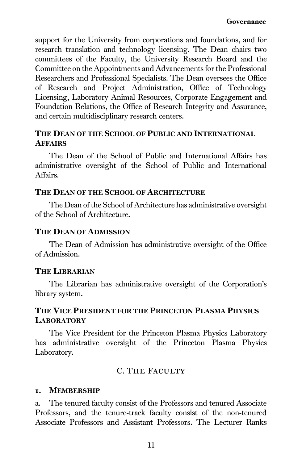support for the University from corporations and foundations, and for research translation and technology licensing. The Dean chairs two committees of the Faculty, the University Research Board and the Committee on the Appointments and Advancements for the Professional Researchers and Professional Specialists. The Dean oversees the Office of Research and Project Administration, Office of Technology Licensing, Laboratory Animal Resources, Corporate Engagement and Foundation Relations, the Office of Research Integrity and Assurance, and certain multidisciplinary research centers.

### THE DEAN OF THE SCHOOL OF PUBLIC AND INTERNATIONAL **AFFAIRS**

The Dean of the School of Public and International Affairs has administrative oversight of the School of Public and International Affairs.

#### THE DEAN OF THE SCHOOL OF ARCHITECTURE

The Dean of the School of Architecture has administrative oversight of the School of Architecture.

#### THE DEAN OF ADMISSION

The Dean of Admission has administrative oversight of the Office of Admission.

### THE LIBRARIAN

The Librarian has administrative oversight of the Corporation's library system.

# THE VICE PRESIDENT FOR THE PRINCETON PLASMA PHYSICS **LABORATORY**

The Vice President for the Princeton Plasma Physics Laboratory has administrative oversight of the Princeton Plasma Physics Laboratory.

# C. THE FACULTY

#### <span id="page-21-0"></span>1. MEMBERSHIP

a. The tenured faculty consist of the Professors and tenured Associate Professors, and the tenure-track faculty consist of the non-tenured Associate Professors and Assistant Professors. The Lecturer Ranks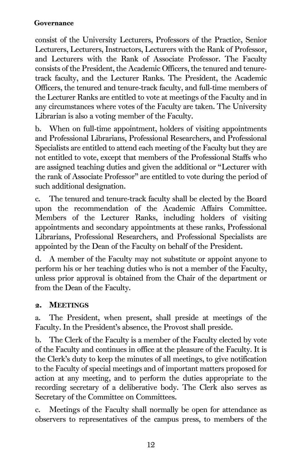consist of the University Lecturers, Professors of the Practice, Senior Lecturers, Lecturers, Instructors, Lecturers with the Rank of Professor, and Lecturers with the Rank of Associate Professor. The Faculty consists of the President, the Academic Officers, the tenured and tenuretrack faculty, and the Lecturer Ranks. The President, the Academic Officers, the tenured and tenure-track faculty, and full-time members of the Lecturer Ranks are entitled to vote at meetings of the Faculty and in any circumstances where votes of the Faculty are taken. The University Librarian is also a voting member of the Faculty.

b. When on full-time appointment, holders of visiting appointments and Professional Librarians, Professional Researchers, and Professional Specialists are entitled to attend each meeting of the Faculty but they are not entitled to vote, except that members of the Professional Staffs who are assigned teaching duties and given the additional or "Lecturer with the rank of Associate Professor" are entitled to vote during the period of such additional designation.

c. The tenured and tenure-track faculty shall be elected by the Board upon the recommendation of the Academic Affairs Committee. Members of the Lecturer Ranks, including holders of visiting appointments and secondary appointments at these ranks, Professional Librarians, Professional Researchers, and Professional Specialists are appointed by the Dean of the Faculty on behalf of the President.

d. A member of the Faculty may not substitute or appoint anyone to perform his or her teaching duties who is not a member of the Faculty, unless prior approval is obtained from the Chair of the department or from the Dean of the Faculty.

# 2. MEETINGS

a. The President, when present, shall preside at meetings of the Faculty. In the President's absence, the Provost shall preside.

b. The Clerk of the Faculty is a member of the Faculty elected by vote of the Faculty and continues in office at the pleasure of the Faculty. It is the Clerk's duty to keep the minutes of all meetings, to give notification to the Faculty of special meetings and of important matters proposed for action at any meeting, and to perform the duties appropriate to the recording secretary of a deliberative body. The Clerk also serves as Secretary of the Committee on Committees.

c. Meetings of the Faculty shall normally be open for attendance as observers to representatives of the campus press, to members of the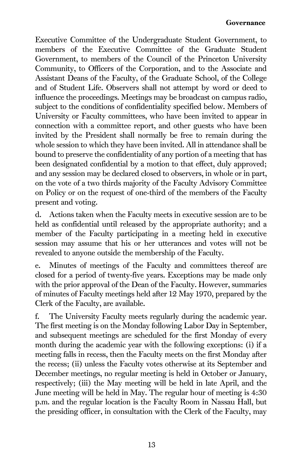Executive Committee of the Undergraduate Student Government, to members of the Executive Committee of the Graduate Student Government, to members of the Council of the Princeton University Community, to Officers of the Corporation, and to the Associate and Assistant Deans of the Faculty, of the Graduate School, of the College and of Student Life. Observers shall not attempt by word or deed to influence the proceedings. Meetings may be broadcast on campus radio, subject to the conditions of confidentiality specified below. Members of University or Faculty committees, who have been invited to appear in connection with a committee report, and other guests who have been invited by the President shall normally be free to remain during the whole session to which they have been invited. All in attendance shall be bound to preserve the confidentiality of any portion of a meeting that has been designated confidential by a motion to that effect, duly approved; and any session may be declared closed to observers, in whole or in part, on the vote of a two thirds majority of the Faculty Advisory Committee on Policy or on the request of one-third of the members of the Faculty present and voting.

d. Actions taken when the Faculty meets in executive session are to be held as confidential until released by the appropriate authority; and a member of the Faculty participating in a meeting held in executive session may assume that his or her utterances and votes will not be revealed to anyone outside the membership of the Faculty.

e. Minutes of meetings of the Faculty and committees thereof are closed for a period of twenty-five years. Exceptions may be made only with the prior approval of the Dean of the Faculty. However, summaries of minutes of Faculty meetings held after 12 May 1970, prepared by the Clerk of the Faculty, are available.

f. The University Faculty meets regularly during the academic year. The first meeting is on the Monday following Labor Day in September, and subsequent meetings are scheduled for the first Monday of every month during the academic year with the following exceptions: (i) if a meeting falls in recess, then the Faculty meets on the first Monday after the recess; (ii) unless the Faculty votes otherwise at its September and December meetings, no regular meeting is held in October or January, respectively; (iii) the May meeting will be held in late April, and the June meeting will be held in May. The regular hour of meeting is 4:30 p.m. and the regular location is the Faculty Room in Nassau Hall, but the presiding officer, in consultation with the Clerk of the Faculty, may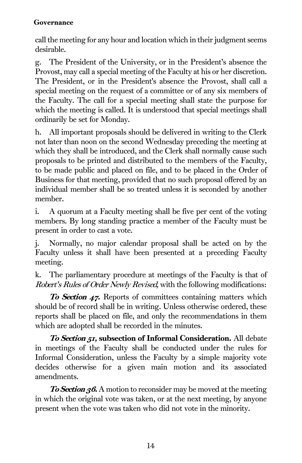call the meeting for any hour and location which in their judgment seems desirable.

g. The President of the University, or in the President's absence the Provost, may call a special meeting of the Faculty at his or her discretion. The President, or in the President's absence the Provost, shall call a special meeting on the request of a committee or of any six members of the Faculty. The call for a special meeting shall state the purpose for which the meeting is called. It is understood that special meetings shall ordinarily be set for Monday.

h. All important proposals should be delivered in writing to the Clerk not later than noon on the second Wednesday preceding the meeting at which they shall be introduced, and the Clerk shall normally cause such proposals to be printed and distributed to the members of the Faculty, to be made public and placed on file, and to be placed in the Order of Business for that meeting, provided that no such proposal offered by an individual member shall be so treated unless it is seconded by another member.

i. A quorum at a Faculty meeting shall be five per cent of the voting members. By long standing practice a member of the Faculty must be present in order to cast a vote.

j. Normally, no major calendar proposal shall be acted on by the Faculty unless it shall have been presented at a preceding Faculty meeting.

k. The parliamentary procedure at meetings of the Faculty is that of Robert's Rules of Order Newly Revised, with the following modifications:

**To Section 47.** Reports of committees containing matters which should be of record shall be in writing. Unless otherwise ordered, these reports shall be placed on file, and only the recommendations in them which are adopted shall be recorded in the minutes.

To Section 51, subsection of Informal Consideration. All debate in meetings of the Faculty shall be conducted under the rules for Informal Consideration, unless the Faculty by a simple majority vote decides otherwise for a given main motion and its associated amendments.

**To Section 36.** A motion to reconsider may be moved at the meeting in which the original vote was taken, or at the next meeting, by anyone present when the vote was taken who did not vote in the minority.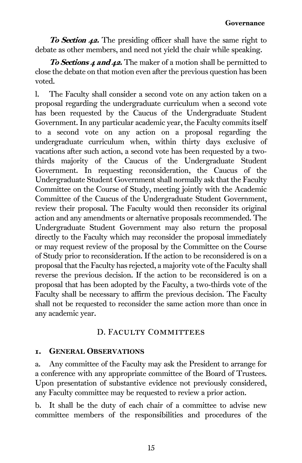**To Section 42.** The presiding officer shall have the same right to debate as other members, and need not yield the chair while speaking.

To Sections 4 and 42. The maker of a motion shall be permitted to close the debate on that motion even after the previous question has been voted.

<span id="page-25-0"></span>l. The Faculty shall consider a second vote on any action taken on a proposal regarding the undergraduate curriculum when a second vote has been requested by the Caucus of the Undergraduate Student Government. In any particular academic year, the Faculty commits itself to a second vote on any action on a proposal regarding the undergraduate curriculum when, within thirty days exclusive of vacations after such action, a second vote has been requested by a twothirds majority of the Caucus of the Undergraduate Student Government. In requesting reconsideration, the Caucus of the Undergraduate Student Government shall normally ask that the Faculty Committee on the Course of Study, meeting jointly with the Academic Committee of the Caucus of the Undergraduate Student Government, review their proposal. The Faculty would then reconsider its original action and any amendments or alternative proposals recommended. The Undergraduate Student Government may also return the proposal directly to the Faculty which may reconsider the proposal immediately or may request review of the proposal by the Committee on the Course of Study prior to reconsideration. If the action to be reconsidered is on a proposal that the Faculty has rejected, a majority vote of the Faculty shall reverse the previous decision. If the action to be reconsidered is on a proposal that has been adopted by the Faculty, a two-thirds vote of the Faculty shall be necessary to affirm the previous decision. The Faculty shall not be requested to reconsider the same action more than once in any academic year.

# D. Faculty Committees

#### 1. GENERAL OBSERVATIONS

a. Any committee of the Faculty may ask the President to arrange for a conference with any appropriate committee of the Board of Trustees. Upon presentation of substantive evidence not previously considered, any Faculty committee may be requested to review a prior action.

b. It shall be the duty of each chair of a committee to advise new committee members of the responsibilities and procedures of the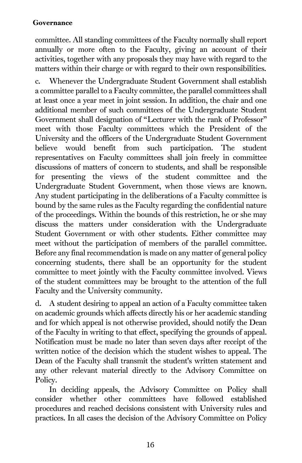committee. All standing committees of the Faculty normally shall report annually or more often to the Faculty, giving an account of their activities, together with any proposals they may have with regard to the matters within their charge or with regard to their own responsibilities.

c. Whenever the Undergraduate Student Government shall establish a committee parallel to a Faculty committee, the parallel committees shall at least once a year meet in joint session. In addition, the chair and one additional member of such committees of the Undergraduate Student Government shall designation of "Lecturer with the rank of Professor" meet with those Faculty committees which the President of the University and the officers of the Undergraduate Student Government believe would benefit from such participation. The student representatives on Faculty committees shall join freely in committee discussions of matters of concern to students, and shall be responsible for presenting the views of the student committee and the Undergraduate Student Government, when those views are known. Any student participating in the deliberations of a Faculty committee is bound by the same rules as the Faculty regarding the confidential nature of the proceedings. Within the bounds of this restriction, he or she may discuss the matters under consideration with the Undergraduate Student Government or with other students. Either committee may meet without the participation of members of the parallel committee. Before any final recommendation is made on any matter of general policy concerning students, there shall be an opportunity for the student committee to meet jointly with the Faculty committee involved. Views of the student committees may be brought to the attention of the full Faculty and the University community.

d. A student desiring to appeal an action of a Faculty committee taken on academic grounds which affects directly his or her academic standing and for which appeal is not otherwise provided, should notify the Dean of the Faculty in writing to that effect, specifying the grounds of appeal. Notification must be made no later than seven days after receipt of the written notice of the decision which the student wishes to appeal. The Dean of the Faculty shall transmit the student's written statement and any other relevant material directly to the Advisory Committee on Policy.

In deciding appeals, the Advisory Committee on Policy shall consider whether other committees have followed established procedures and reached decisions consistent with University rules and practices. In all cases the decision of the Advisory Committee on Policy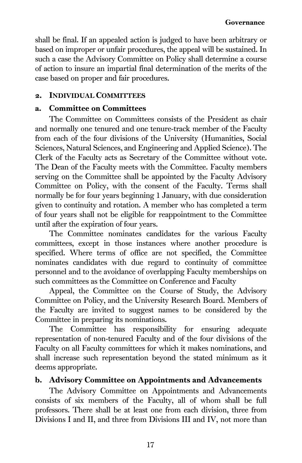shall be final. If an appealed action is judged to have been arbitrary or based on improper or unfair procedures, the appeal will be sustained. In such a case the Advisory Committee on Policy shall determine a course of action to insure an impartial final determination of the merits of the case based on proper and fair procedures.

### 2. INDIVIDUAL COMMITTEES

### a. Committee on Committees

The Committee on Committees consists of the President as chair and normally one tenured and one tenure-track member of the Faculty from each of the four divisions of the University (Humanities, Social Sciences, Natural Sciences, and Engineering and Applied Science). The Clerk of the Faculty acts as Secretary of the Committee without vote. The Dean of the Faculty meets with the Committee. Faculty members serving on the Committee shall be appointed by the Faculty Advisory Committee on Policy, with the consent of the Faculty. Terms shall normally be for four years beginning 1 January, with due consideration given to continuity and rotation. A member who has completed a term of four years shall not be eligible for reappointment to the Committee until after the expiration of four years.

The Committee nominates candidates for the various Faculty committees, except in those instances where another procedure is specified. Where terms of office are not specified, the Committee nominates candidates with due regard to continuity of committee personnel and to the avoidance of overlapping Faculty memberships on such committees as the Committee on Conference and Faculty

Appeal, the Committee on the Course of Study, the Advisory Committee on Policy, and the University Research Board. Members of the Faculty are invited to suggest names to be considered by the Committee in preparing its nominations.

The Committee has responsibility for ensuring adequate representation of non-tenured Faculty and of the four divisions of the Faculty on all Faculty committees for which it makes nominations, and shall increase such representation beyond the stated minimum as it deems appropriate.

# b. Advisory Committee on Appointments and Advancements

The Advisory Committee on Appointments and Advancements consists of six members of the Faculty, all of whom shall be full professors. There shall be at least one from each division, three from Divisions I and II, and three from Divisions III and IV, not more than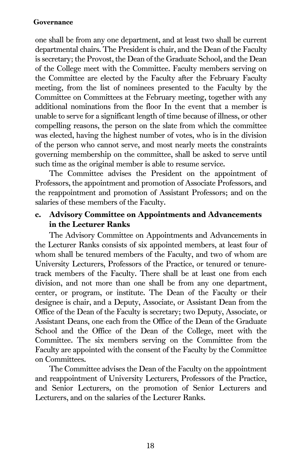one shall be from any one department, and at least two shall be current departmental chairs. The President is chair, and the Dean of the Faculty is secretary; the Provost, the Dean of the Graduate School, and the Dean of the College meet with the Committee. Faculty members serving on the Committee are elected by the Faculty after the February Faculty meeting, from the list of nominees presented to the Faculty by the Committee on Committees at the February meeting, together with any additional nominations from the floor In the event that a member is unable to serve for a significant length of time because of illness, or other compelling reasons, the person on the slate from which the committee was elected, having the highest number of votes, who is in the division of the person who cannot serve, and most nearly meets the constraints governing membership on the committee, shall be asked to serve until such time as the original member is able to resume service.

The Committee advises the President on the appointment of Professors, the appointment and promotion of Associate Professors, and the reappointment and promotion of Assistant Professors; and on the salaries of these members of the Faculty.

# c. Advisory Committee on Appointments and Advancements in the Lecturer Ranks

The Advisory Committee on Appointments and Advancements in the Lecturer Ranks consists of six appointed members, at least four of whom shall be tenured members of the Faculty, and two of whom are University Lecturers, Professors of the Practice, or tenured or tenuretrack members of the Faculty. There shall be at least one from each division, and not more than one shall be from any one department, center, or program, or institute. The Dean of the Faculty or their designee is chair, and a Deputy, Associate, or Assistant Dean from the Office of the Dean of the Faculty is secretary; two Deputy, Associate, or Assistant Deans, one each from the Office of the Dean of the Graduate School and the Office of the Dean of the College, meet with the Committee. The six members serving on the Committee from the Faculty are appointed with the consent of the Faculty by the Committee on Committees.

The Committee advises the Dean of the Faculty on the appointment and reappointment of University Lecturers, Professors of the Practice, and Senior Lecturers, on the promotion of Senior Lecturers and Lecturers, and on the salaries of the Lecturer Ranks.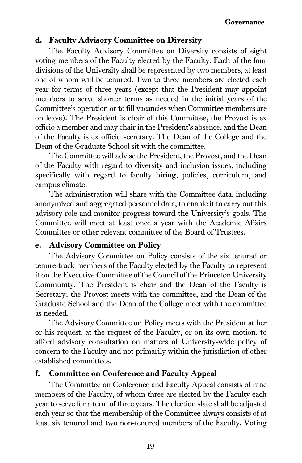# d. Faculty Advisory Committee on Diversity

The Faculty Advisory Committee on Diversity consists of eight voting members of the Faculty elected by the Faculty. Each of the four divisions of the University shall be represented by two members, at least one of whom will be tenured. Two to three members are elected each year for terms of three years (except that the President may appoint members to serve shorter terms as needed in the initial years of the Committee's operation or to fill vacancies when Committee members are on leave). The President is chair of this Committee, the Provost is ex officio a member and may chair in the President's absence, and the Dean of the Faculty is ex officio secretary. The Dean of the College and the Dean of the Graduate School sit with the committee.

The Committee will advise the President, the Provost, and the Dean of the Faculty with regard to diversity and inclusion issues, including specifically with regard to faculty hiring, policies, curriculum, and campus climate.

The administration will share with the Committee data, including anonymized and aggregated personnel data, to enable it to carry out this advisory role and monitor progress toward the University's goals. The Committee will meet at least once a year with the Academic Affairs Committee or other relevant committee of the Board of Trustees.

# e. Advisory Committee on Policy

The Advisory Committee on Policy consists of the six tenured or tenure-track members of the Faculty elected by the Faculty to represent it on the Executive Committee of the Council of the Princeton University Community. The President is chair and the Dean of the Faculty is Secretary; the Provost meets with the committee, and the Dean of the Graduate School and the Dean of the College meet with the committee as needed.

The Advisory Committee on Policy meets with the President at her or his request, at the request of the Faculty, or on its own motion, to afford advisory consultation on matters of University-wide policy of concern to the Faculty and not primarily within the jurisdiction of other established committees.

#### f. Committee on Conference and Faculty Appeal

The Committee on Conference and Faculty Appeal consists of nine members of the Faculty, of whom three are elected by the Faculty each year to serve for a term of three years. The election slate shall be adjusted each year so that the membership of the Committee always consists of at least six tenured and two non-tenured members of the Faculty. Voting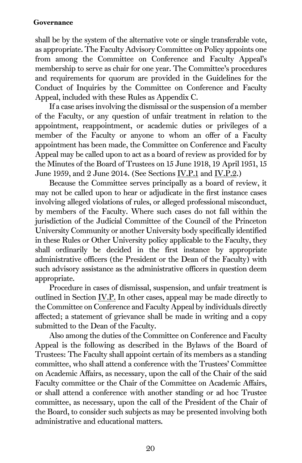shall be by the system of the alternative vote or single transferable vote, as appropriate. The Faculty Advisory Committee on Policy appoints one from among the Committee on Conference and Faculty Appeal's membership to serve as chair for one year. The Committee's procedures and requirements for quorum are provided in the Guidelines for the Conduct of Inquiries by the Committee on Conference and Faculty Appeal, included with these Rules as Appendix C.

If a case arises involving the dismissal or the suspension of a member of the Faculty, or any question of unfair treatment in relation to the appointment, reappointment, or academic duties or privileges of a member of the Faculty or anyone to whom an offer of a Faculty appointment has been made, the Committee on Conference and Faculty Appeal may be called upon to act as a board of review as provided for by the Minutes of the Board of Trustees on 15 June 1918, 19 April 1951, 15 June 1959, and 2 June 2014. (See Section[s IV.P.1](#page-68-3) and [IV.P.2.\)](#page-70-0)

Because the Committee serves principally as a board of review, it may not be called upon to hear or adjudicate in the first instance cases involving alleged violations of rules, or alleged professional misconduct, by members of the Faculty. Where such cases do not fall within the jurisdiction of the Judicial Committee of the Council of the Princeton University Community or another University body specifically identified in these Rules or Other University policy applicable to the Faculty, they shall ordinarily be decided in the first instance by appropriate administrative officers (the President or the Dean of the Faculty) with such advisory assistance as the administrative officers in question deem appropriate.

Procedure in cases of dismissal, suspension, and unfair treatment is outlined in Section IV.P. In other cases, appeal may be made directly to the Committee on Conference and Faculty Appeal by individuals directly affected; a statement of grievance shall be made in writing and a copy submitted to the Dean of the Faculty.

Also among the duties of the Committee on Conference and Faculty Appeal is the following as described in the Bylaws of the Board of Trustees: The Faculty shall appoint certain of its members as a standing committee, who shall attend a conference with the Trustees' Committee on Academic Affairs, as necessary, upon the call of the Chair of the said Faculty committee or the Chair of the Committee on Academic Affairs, or shall attend a conference with another standing or ad hoc Trustee committee, as necessary, upon the call of the President of the Chair of the Board, to consider such subjects as may be presented involving both administrative and educational matters.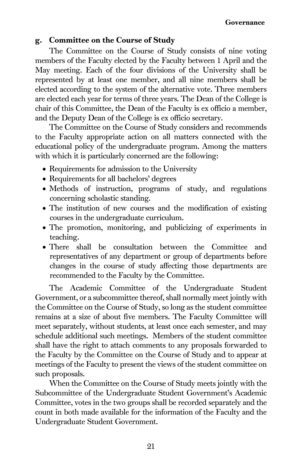#### g. Committee on the Course of Study

The Committee on the Course of Study consists of nine voting members of the Faculty elected by the Faculty between 1 April and the May meeting. Each of the four divisions of the University shall be represented by at least one member, and all nine members shall be elected according to the system of the alternative vote. Three members are elected each year for terms of three years. The Dean of the College is chair of this Committee, the Dean of the Faculty is ex officio a member, and the Deputy Dean of the College is ex officio secretary.

The Committee on the Course of Study considers and recommends to the Faculty appropriate action on all matters connected with the educational policy of the undergraduate program. Among the matters with which it is particularly concerned are the following:

- Requirements for admission to the University
- Requirements for all bachelors' degrees
- Methods of instruction, programs of study, and regulations concerning scholastic standing.
- The institution of new courses and the modification of existing courses in the undergraduate curriculum.
- The promotion, monitoring, and publicizing of experiments in teaching.
- There shall be consultation between the Committee and representatives of any department or group of departments before changes in the course of study affecting those departments are recommended to the Faculty by the Committee.

The Academic Committee of the Undergraduate Student Government, or a subcommittee thereof, shall normally meet jointly with the Committee on the Course of Study, so long as the student committee remains at a size of about five members. The Faculty Committee will meet separately, without students, at least once each semester, and may schedule additional such meetings. Members of the student committee shall have the right to attach comments to any proposals forwarded to the Faculty by the Committee on the Course of Study and to appear at meetings of the Faculty to present the views of the student committee on such proposals.

When the Committee on the Course of Study meets jointly with the Subcommittee of the Undergraduate Student Government's Academic Committee, votes in the two groups shall be recorded separately and the count in both made available for the information of the Faculty and the Undergraduate Student Government.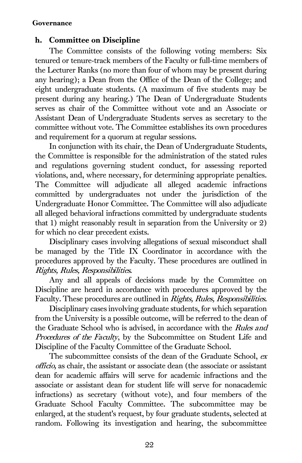# h. Committee on Discipline

The Committee consists of the following voting members: Six tenured or tenure-track members of the Faculty or full-time members of the Lecturer Ranks (no more than four of whom may be present during any hearing); a Dean from the Office of the Dean of the College; and eight undergraduate students. (A maximum of five students may be present during any hearing.) The Dean of Undergraduate Students serves as chair of the Committee without vote and an Associate or Assistant Dean of Undergraduate Students serves as secretary to the committee without vote. The Committee establishes its own procedures and requirement for a quorum at regular sessions.

In conjunction with its chair, the Dean of Undergraduate Students, the Committee is responsible for the administration of the stated rules and regulations governing student conduct, for assessing reported violations, and, where necessary, for determining appropriate penalties. The Committee will adjudicate all alleged academic infractions committed by undergraduates not under the jurisdiction of the Undergraduate Honor Committee. The Committee will also adjudicate all alleged behavioral infractions committed by undergraduate students that 1) might reasonably result in separation from the University or 2) for which no clear precedent exists.

Disciplinary cases involving allegations of sexual misconduct shall be managed by the Title IX Coordinator in accordance with the procedures approved by the Faculty. These procedures are outlined in Rights, Rules, Responsibilities.

Any and all appeals of decisions made by the Committee on Discipline are heard in accordance with procedures approved by the Faculty. These procedures are outlined in *Rights, Rules, Responsibilities*.

Disciplinary cases involving graduate students, for which separation from the University is a possible outcome, will be referred to the dean of the Graduate School who is advised, in accordance with the Rules and Procedures of the Faculty, by the Subcommittee on Student Life and Discipline of the Faculty Committee of the Graduate School.

The subcommittee consists of the dean of the Graduate School, ex officio, as chair, the assistant or associate dean (the associate or assistant dean for academic affairs will serve for academic infractions and the associate or assistant dean for student life will serve for nonacademic infractions) as secretary (without vote), and four members of the Graduate School Faculty Committee. The subcommittee may be enlarged, at the student's request, by four graduate students, selected at random. Following its investigation and hearing, the subcommittee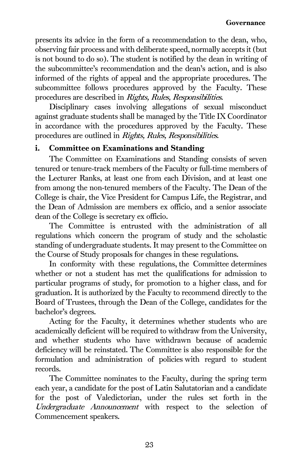presents its advice in the form of a recommendation to the dean, who, observing fair process and with deliberate speed, normally accepts it (but is not bound to do so). The student is notified by the dean in writing of the subcommittee's recommendation and the dean's action, and is also informed of the rights of appeal and the appropriate procedures. The subcommittee follows procedures approved by the Faculty. These procedures are described in Rights, Rules, Responsibilities.

Disciplinary cases involving allegations of sexual misconduct against graduate students shall be managed by the Title IX Coordinator in accordance with the procedures approved by the Faculty. These procedures are outlined in Rights, Rules, Responsibilities.

# i. Committee on Examinations and Standing

The Committee on Examinations and Standing consists of seven tenured or tenure-track members of the Faculty or full-time members of the Lecturer Ranks, at least one from each Division, and at least one from among the non-tenured members of the Faculty. The Dean of the College is chair, the Vice President for Campus Life, the Registrar, and the Dean of Admission are members ex officio, and a senior associate dean of the College is secretary ex officio.

The Committee is entrusted with the administration of all regulations which concern the program of study and the scholastic standing of undergraduate students. It may present to the Committee on the Course of Study proposals for changes in these regulations.

In conformity with these regulations, the Committee determines whether or not a student has met the qualifications for admission to particular programs of study, for promotion to a higher class, and for graduation. It is authorized by the Faculty to recommend directly to the Board of Trustees, through the Dean of the College, candidates for the bachelor's degrees.

Acting for the Faculty, it determines whether students who are academically deficient will be required to withdraw from the University, and whether students who have withdrawn because of academic deficiency will be reinstated. The Committee is also responsible for the formulation and administration of policies with regard to student records.

The Committee nominates to the Faculty, during the spring term each year, a candidate for the post of Latin Salutatorian and a candidate for the post of Valedictorian, under the rules set forth in the Undergraduate Announcement with respect to the selection of Commencement speakers.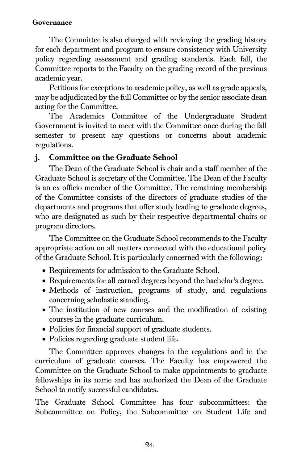The Committee is also charged with reviewing the grading history for each department and program to ensure consistency with University policy regarding assessment and grading standards. Each fall, the Committee reports to the Faculty on the grading record of the previous academic year.

Petitions for exceptions to academic policy, as well as grade appeals, may be adjudicated by the full Committee or by the senior associate dean acting for the Committee.

The Academics Committee of the Undergraduate Student Government is invited to meet with the Committee once during the fall semester to present any questions or concerns about academic regulations.

# j. Committee on the Graduate School

The Dean of the Graduate School is chair and a staff member of the Graduate School is secretary of the Committee. The Dean of the Faculty is an ex officio member of the Committee. The remaining membership of the Committee consists of the directors of graduate studies of the departments and programs that offer study leading to graduate degrees, who are designated as such by their respective departmental chairs or program directors.

The Committee on the Graduate School recommends to the Faculty appropriate action on all matters connected with the educational policy of the Graduate School. It is particularly concerned with the following:

- Requirements for admission to the Graduate School.
- Requirements for all earned degrees beyond the bachelor's degree.
- Methods of instruction, programs of study, and regulations concerning scholastic standing.
- The institution of new courses and the modification of existing courses in the graduate curriculum.
- Policies for financial support of graduate students.
- Policies regarding graduate student life.

The Committee approves changes in the regulations and in the curriculum of graduate courses. The Faculty has empowered the Committee on the Graduate School to make appointments to graduate fellowships in its name and has authorized the Dean of the Graduate School to notify successful candidates.

The Graduate School Committee has four subcommittees: the Subcommittee on Policy, the Subcommittee on Student Life and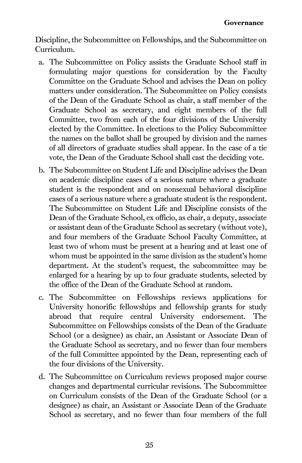Discipline, the Subcommittee on Fellowships, and the Subcommittee on Curriculum.

- a. The Subcommittee on Policy assists the Graduate School staff in formulating major questions for consideration by the Faculty Committee on the Graduate School and advises the Dean on policy matters under consideration. The Subcommittee on Policy consists of the Dean of the Graduate School as chair, a staff member of the Graduate School as secretary, and eight members of the full Committee, two from each of the four divisions of the University elected by the Committee. In elections to the Policy Subcommittee the names on the ballot shall be grouped by division and the names of all directors of graduate studies shall appear. In the case of a tie vote, the Dean of the Graduate School shall cast the deciding vote.
- b. The Subcommittee on Student Life and Discipline advises the Dean on academic discipline cases of a serious nature where a graduate student is the respondent and on nonsexual behavioral discipline cases of a serious nature where a graduate student is the respondent. The Subcommittee on Student Life and Discipline consists of the Dean of the Graduate School, ex officio, as chair, a deputy, associate or assistant dean of the Graduate School as secretary (without vote), and four members of the Graduate School Faculty Committee, at least two of whom must be present at a hearing and at least one of whom must be appointed in the same division as the student's home department. At the student's request, the subcommittee may be enlarged for a hearing by up to four graduate students, selected by the office of the Dean of the Graduate School at random.
- c. The Subcommittee on Fellowships reviews applications for University honorific fellowships and fellowship grants for study abroad that require central University endorsement. The Subcommittee on Fellowships consists of the Dean of the Graduate School (or a designee) as chair, an Assistant or Associate Dean of the Graduate School as secretary, and no fewer than four members of the full Committee appointed by the Dean, representing each of the four divisions of the University.
- d. The Subcommittee on Curriculum reviews proposed major course changes and departmental curricular revisions. The Subcommittee on Curriculum consists of the Dean of the Graduate School (or a designee) as chair, an Assistant or Associate Dean of the Graduate School as secretary, and no fewer than four members of the full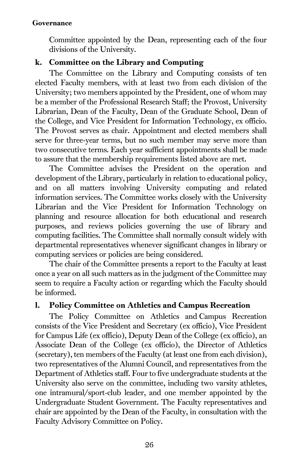#### Governance

Committee appointed by the Dean, representing each of the four divisions of the University.

## k. Committee on the Library and Computing

The Committee on the Library and Computing consists of ten elected Faculty members, with at least two from each division of the University; two members appointed by the President, one of whom may be a member of the Professional Research Staff; the Provost, University Librarian, Dean of the Faculty, Dean of the Graduate School, Dean of the College, and Vice President for Information Technology, ex officio. The Provost serves as chair. Appointment and elected members shall serve for three-year terms, but no such member may serve more than two consecutive terms. Each year sufficient appointments shall be made to assure that the membership requirements listed above are met.

The Committee advises the President on the operation and development of the Library, particularly in relation to educational policy, and on all matters involving University computing and related information services. The Committee works closely with the University Librarian and the Vice President for Information Technology on planning and resource allocation for both educational and research purposes, and reviews policies governing the use of library and computing facilities. The Committee shall normally consult widely with departmental representatives whenever significant changes in library or computing services or policies are being considered.

The chair of the Committee presents a report to the Faculty at least once a year on all such matters as in the judgment of the Committee may seem to require a Faculty action or regarding which the Faculty should be informed.

#### l. Policy Committee on Athletics and Campus Recreation

The Policy Committee on Athletics and Campus Recreation consists of the Vice President and Secretary (ex officio), Vice President for Campus Life (ex officio), Deputy Dean of the College (ex officio), an Associate Dean of the College (ex officio), the Director of Athletics (secretary), ten members of the Faculty (at least one from each division), two representatives of the Alumni Council, and representatives from the Department of Athletics staff. Four to five undergraduate students at the University also serve on the committee, including two varsity athletes, one intramural/sport-club leader, and one member appointed by the Undergraduate Student Government. The Faculty representatives and chair are appointed by the Dean of the Faculty, in consultation with the Faculty Advisory Committee on Policy.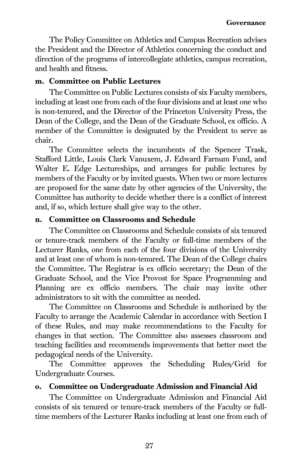The Policy Committee on Athletics and Campus Recreation advises the President and the Director of Athletics concerning the conduct and direction of the programs of intercollegiate athletics, campus recreation, and health and fitness.

#### m. Committee on Public Lectures

The Committee on Public Lectures consists of six Faculty members, including at least one from each of the four divisions and at least one who is non-tenured, and the Director of the Princeton University Press, the Dean of the College, and the Dean of the Graduate School, ex officio. A member of the Committee is designated by the President to serve as chair.

The Committee selects the incumbents of the Spencer Trask, Stafford Little, Louis Clark Vanuxem, J. Edward Farnum Fund, and Walter E. Edge Lectureships, and arranges for public lectures by members of the Faculty or by invited guests. When two or more lectures are proposed for the same date by other agencies of the University, the Committee has authority to decide whether there is a conflict of interest and, if so, which lecture shall give way to the other.

#### n. Committee on Classrooms and Schedule

The Committee on Classrooms and Schedule consists of six tenured or tenure-track members of the Faculty or full-time members of the Lecturer Ranks, one from each of the four divisions of the University and at least one of whom is non-tenured. The Dean of the College chairs the Committee. The Registrar is ex officio secretary; the Dean of the Graduate School, and the Vice Provost for Space Programming and Planning are ex officio members. The chair may invite other administrators to sit with the committee as needed.

The Committee on Classrooms and Schedule is authorized by the Faculty to arrange the Academic Calendar in accordance with Section I of these Rules, and may make recommendations to the Faculty for changes in that section. The Committee also assesses classroom and teaching facilities and recommends improvements that better meet the pedagogical needs of the University.

The Committee approves the Scheduling Rules/Grid for Undergraduate Courses.

## o. Committee on Undergraduate Admission and Financial Aid

The Committee on Undergraduate Admission and Financial Aid consists of six tenured or tenure-track members of the Faculty or fulltime members of the Lecturer Ranks including at least one from each of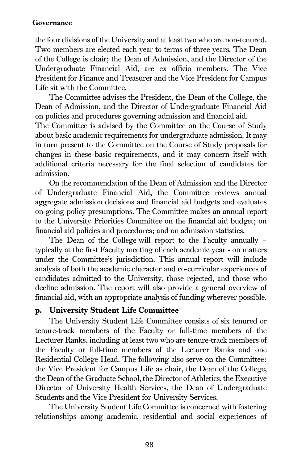#### Governance

the four divisions of the University and at least two who are non-tenured. Two members are elected each year to terms of three years. The Dean of the College is chair; the Dean of Admission, and the Director of the Undergraduate Financial Aid, are ex officio members. The Vice President for Finance and Treasurer and the Vice President for Campus Life sit with the Committee.

The Committee advises the President, the Dean of the College, the Dean of Admission, and the Director of Undergraduate Financial Aid on policies and procedures governing admission and financial aid.

The Committee is advised by the Committee on the Course of Study about basic academic requirements for undergraduate admission. It may in turn present to the Committee on the Course of Study proposals for changes in these basic requirements, and it may concern itself with additional criteria necessary for the final selection of candidates for admission.

On the recommendation of the Dean of Admission and the Director of Undergraduate Financial Aid, the Committee reviews annual aggregate admission decisions and financial aid budgets and evaluates on-going policy presumptions. The Committee makes an annual report to the University Priorities Committee on the financial aid budget; on financial aid policies and procedures; and on admission statistics.

The Dean of the College will report to the Faculty annually – typically at the first Faculty meeting of each academic year - on matters under the Committee's jurisdiction. This annual report will include analysis of both the academic character and co-curricular experiences of candidates admitted to the University, those rejected, and those who decline admission. The report will also provide a general overview of financial aid, with an appropriate analysis of funding wherever possible.

## p. University Student Life Committee

The University Student Life Committee consists of six tenured or tenure-track members of the Faculty or full-time members of the Lecturer Ranks, including at least two who are tenure-track members of the Faculty or full-time members of the Lecturer Ranks and one Residential College Head. The following also serve on the Committee: the Vice President for Campus Life as chair, the Dean of the College, the Dean of the Graduate School, the Director of Athletics, the Executive Director of University Health Services, the Dean of Undergraduate Students and the Vice President for University Services.

The University Student Life Committee is concerned with fostering relationships among academic, residential and social experiences of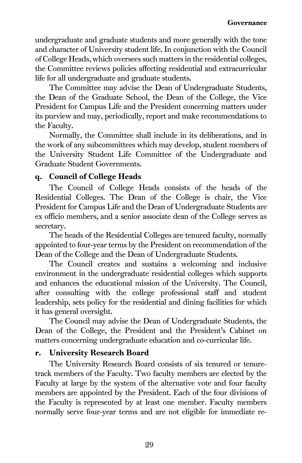undergraduate and graduate students and more generally with the tone and character of University student life. In conjunction with the Council of College Heads, which oversees such matters in the residential colleges, the Committee reviews policies affecting residential and extracurricular life for all undergraduate and graduate students.

The Committee may advise the Dean of Undergraduate Students, the Dean of the Graduate School, the Dean of the College, the Vice President for Campus Life and the President concerning matters under its purview and may, periodically, report and make recommendations to the Faculty.

Normally, the Committee shall include in its deliberations, and in the work of any subcommittees which may develop, student members of the University Student Life Committee of the Undergraduate and Graduate Student Governments.

## q. Council of College Heads

The Council of College Heads consists of the heads of the Residential Colleges. The Dean of the College is chair, the Vice President for Campus Life and the Dean of Undergraduate Students are ex officio members, and a senior associate dean of the College serves as secretary.

The heads of the Residential Colleges are tenured faculty, normally appointed to four-year terms by the President on recommendation of the Dean of the College and the Dean of Undergraduate Students.

The Council creates and sustains a welcoming and inclusive environment in the undergraduate residential colleges which supports and enhances the educational mission of the University. The Council, after consulting with the college professional staff and student leadership, sets policy for the residential and dining facilities for which it has general oversight.

The Council may advise the Dean of Undergraduate Students, the Dean of the College, the President and the President's Cabinet on matters concerning undergraduate education and co-curricular life.

## r. University Research Board

The University Research Board consists of six tenured or tenuretrack members of the Faculty. Two faculty members are elected by the Faculty at large by the system of the alternative vote and four faculty members are appointed by the President. Each of the four divisions of the Faculty is represented by at least one member. Faculty members normally serve four-year terms and are not eligible for immediate re-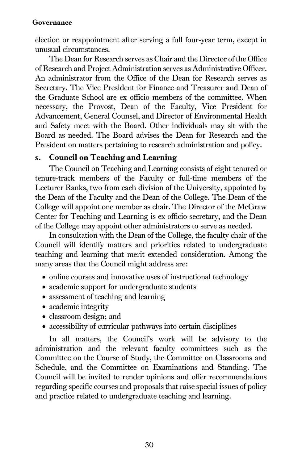#### Governance

election or reappointment after serving a full four-year term, except in unusual circumstances.

The Dean for Research serves as Chair and the Director of the Office of Research and Project Administration serves as Administrative Officer. An administrator from the Office of the Dean for Research serves as Secretary. The Vice President for Finance and Treasurer and Dean of the Graduate School are ex officio members of the committee. When necessary, the Provost, Dean of the Faculty, Vice President for Advancement, General Counsel, and Director of Environmental Health and Safety meet with the Board. Other individuals may sit with the Board as needed. The Board advises the Dean for Research and the President on matters pertaining to research administration and policy.

#### s. Council on Teaching and Learning

The Council on Teaching and Learning consists of eight tenured or tenure-track members of the Faculty or full-time members of the Lecturer Ranks, two from each division of the University, appointed by the Dean of the Faculty and the Dean of the College. The Dean of the College will appoint one member as chair. The Director of the McGraw Center for Teaching and Learning is ex officio secretary, and the Dean of the College may appoint other administrators to serve as needed.

In consultation with the Dean of the College, the faculty chair of the Council will identify matters and priorities related to undergraduate teaching and learning that merit extended consideration. Among the many areas that the Council might address are:

- online courses and innovative uses of instructional technology
- academic support for undergraduate students
- assessment of teaching and learning
- academic integrity
- classroom design; and
- accessibility of curricular pathways into certain disciplines

In all matters, the Council's work will be advisory to the administration and the relevant faculty committees such as the Committee on the Course of Study, the Committee on Classrooms and Schedule, and the Committee on Examinations and Standing. The Council will be invited to render opinions and offer recommendations regarding specific courses and proposals that raise special issues of policy and practice related to undergraduate teaching and learning.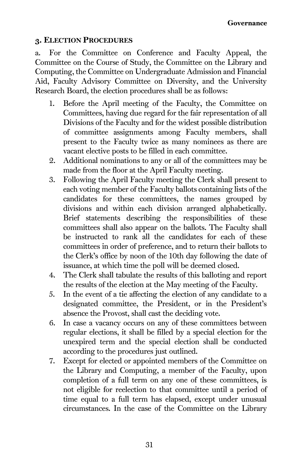## 3. ELECTION PROCEDURES

a. For the Committee on Conference and Faculty Appeal, the Committee on the Course of Study, the Committee on the Library and Computing, the Committee on Undergraduate Admission and Financial Aid, Faculty Advisory Committee on Diversity, and the University Research Board, the election procedures shall be as follows:

- 1. Before the April meeting of the Faculty, the Committee on Committees, having due regard for the fair representation of all Divisions of the Faculty and for the widest possible distribution of committee assignments among Faculty members, shall present to the Faculty twice as many nominees as there are vacant elective posts to be filled in each committee.
- 2. Additional nominations to any or all of the committees may be made from the floor at the April Faculty meeting.
- 3. Following the April Faculty meeting the Clerk shall present to each voting member of the Faculty ballots containing lists of the candidates for these committees, the names grouped by divisions and within each division arranged alphabetically. Brief statements describing the responsibilities of these committees shall also appear on the ballots. The Faculty shall be instructed to rank all the candidates for each of these committees in order of preference, and to return their ballots to the Clerk's office by noon of the 10th day following the date of issuance, at which time the poll will be deemed closed.
- 4. The Clerk shall tabulate the results of this balloting and report the results of the election at the May meeting of the Faculty.
- 5. In the event of a tie affecting the election of any candidate to a designated committee, the President, or in the President's absence the Provost, shall cast the deciding vote.
- 6. In case a vacancy occurs on any of these committees between regular elections, it shall be filled by a special election for the unexpired term and the special election shall be conducted according to the procedures just outlined.
- 7. Except for elected or appointed members of the Committee on the Library and Computing, a member of the Faculty, upon completion of a full term on any one of these committees, is not eligible for reelection to that committee until a period of time equal to a full term has elapsed, except under unusual circumstances. In the case of the Committee on the Library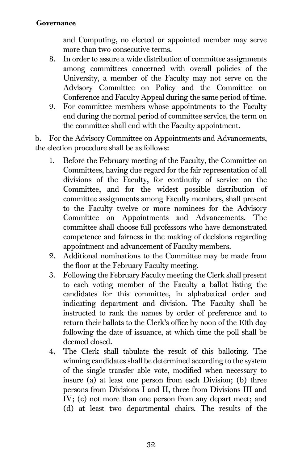#### Governance

and Computing, no elected or appointed member may serve more than two consecutive terms.

- 8. In order to assure a wide distribution of committee assignments among committees concerned with overall policies of the University, a member of the Faculty may not serve on the Advisory Committee on Policy and the Committee on Conference and Faculty Appeal during the same period of time.
- 9. For committee members whose appointments to the Faculty end during the normal period of committee service, the term on the committee shall end with the Faculty appointment.

b. For the Advisory Committee on Appointments and Advancements, the election procedure shall be as follows:

- 1. Before the February meeting of the Faculty, the Committee on Committees, having due regard for the fair representation of all divisions of the Faculty, for continuity of service on the Committee, and for the widest possible distribution of committee assignments among Faculty members, shall present to the Faculty twelve or more nominees for the Advisory Committee on Appointments and Advancements. The committee shall choose full professors who have demonstrated competence and fairness in the making of decisions regarding appointment and advancement of Faculty members.
- 2. Additional nominations to the Committee may be made from the floor at the February Faculty meeting.
- 3. Following the February Faculty meeting the Clerk shall present to each voting member of the Faculty a ballot listing the candidates for this committee, in alphabetical order and indicating department and division. The Faculty shall be instructed to rank the names by order of preference and to return their ballots to the Clerk's office by noon of the 10th day following the date of issuance, at which time the poll shall be deemed closed.
- 4. The Clerk shall tabulate the result of this balloting. The winning candidates shall be determined according to the system of the single transfer able vote, modified when necessary to insure (a) at least one person from each Division; (b) three persons from Divisions I and II, three from Divisions III and IV; (c) not more than one person from any depart meet; and (d) at least two departmental chairs. The results of the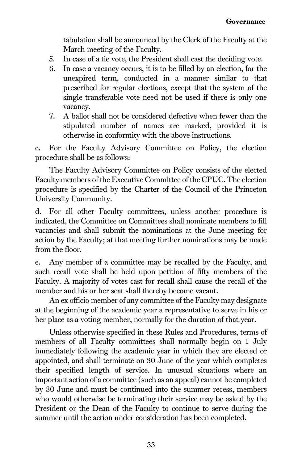tabulation shall be announced by the Clerk of the Faculty at the March meeting of the Faculty.

- 5. In case of a tie vote, the President shall cast the deciding vote.
- 6. In case a vacancy occurs, it is to be filled by an election, for the unexpired term, conducted in a manner similar to that prescribed for regular elections, except that the system of the single transferable vote need not be used if there is only one vacancy.
- 7. A ballot shall not be considered defective when fewer than the stipulated number of names are marked, provided it is otherwise in conformity with the above instructions.

c. For the Faculty Advisory Committee on Policy, the election procedure shall be as follows:

The Faculty Advisory Committee on Policy consists of the elected Faculty members of the Executive Committee of the CPUC. The election procedure is specified by the Charter of the Council of the Princeton University Community.

d. For all other Faculty committees, unless another procedure is indicated, the Committee on Committees shall nominate members to fill vacancies and shall submit the nominations at the June meeting for action by the Faculty; at that meeting further nominations may be made from the floor.

e. Any member of a committee may be recalled by the Faculty, and such recall vote shall be held upon petition of fifty members of the Faculty. A majority of votes cast for recall shall cause the recall of the member and his or her seat shall thereby become vacant.

An ex officio member of any committee of the Faculty may designate at the beginning of the academic year a representative to serve in his or her place as a voting member, normally for the duration of that year.

Unless otherwise specified in these Rules and Procedures, terms of members of all Faculty committees shall normally begin on 1 July immediately following the academic year in which they are elected or appointed, and shall terminate on 30 June of the year which completes their specified length of service. In unusual situations where an important action of a committee (such as an appeal) cannot be completed by 30 June and must be continued into the summer recess, members who would otherwise be terminating their service may be asked by the President or the Dean of the Faculty to continue to serve during the summer until the action under consideration has been completed.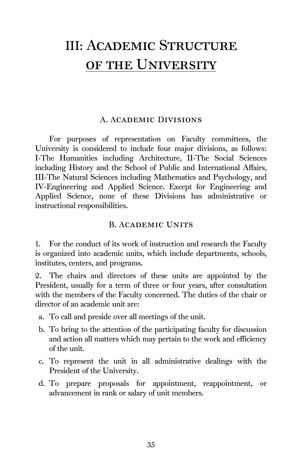# III: Academic Structure of the University

#### A. Academic Divisions

For purposes of representation on Faculty committees, the University is considered to include four major divisions, as follows: I-The Humanities including Architecture, II-The Social Sciences including History and the School of Public and International Affairs, III-The Natural Sciences including Mathematics and Psychology, and IV-Engineering and Applied Science. Except for Engineering and Applied Science, none of these Divisions has administrative or instructional responsibilities.

#### B. Academic Units

1. For the conduct of its work of instruction and research the Faculty is organized into academic units, which include departments, schools, institutes, centers, and programs.

2. The chairs and directors of these units are appointed by the President, usually for a term of three or four years, after consultation with the members of the Faculty concerned. The duties of the chair or director of an academic unit are:

- a. To call and preside over all meetings of the unit.
- b. To bring to the attention of the participating faculty for discussion and action all matters which may pertain to the work and efficiency of the unit.
- c. To represent the unit in all administrative dealings with the President of the University.
- d. To prepare proposals for appointment, reappointment, or advancement in rank or salary of unit members.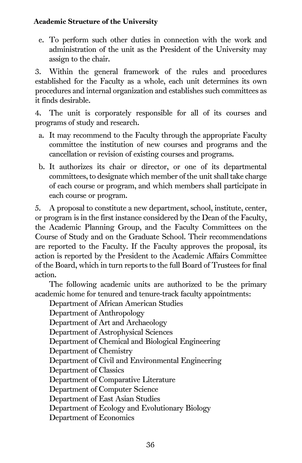## Academic Structure of the University

e. To perform such other duties in connection with the work and administration of the unit as the President of the University may assign to the chair.

3. Within the general framework of the rules and procedures established for the Faculty as a whole, each unit determines its own procedures and internal organization and establishes such committees as it finds desirable.

4. The unit is corporately responsible for all of its courses and programs of study and research.

- a. It may recommend to the Faculty through the appropriate Faculty committee the institution of new courses and programs and the cancellation or revision of existing courses and programs.
- b. It authorizes its chair or director, or one of its departmental committees, to designate which member of the unit shall take charge of each course or program, and which members shall participate in each course or program.

5. A proposal to constitute a new department, school, institute, center, or program is in the first instance considered by the Dean of the Faculty, the Academic Planning Group, and the Faculty Committees on the Course of Study and on the Graduate School. Their recommendations are reported to the Faculty. If the Faculty approves the proposal, its action is reported by the President to the Academic Affairs Committee of the Board, which in turn reports to the full Board of Trustees for final action.

The following academic units are authorized to be the primary academic home for tenured and tenure-track faculty appointments:

Department of African American Studies

Department of Anthropology Department of Art and Archaeology Department of Astrophysical Sciences Department of Chemical and Biological Engineering Department of Chemistry Department of Civil and Environmental Engineering Department of Classics Department of Comparative Literature Department of Computer Science Department of East Asian Studies Department of Ecology and Evolutionary Biology Department of Economics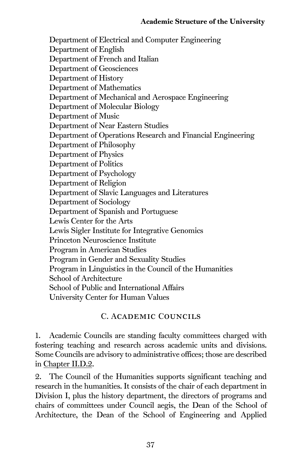Department of Electrical and Computer Engineering Department of English Department of French and Italian Department of Geosciences Department of History Department of Mathematics Department of Mechanical and Aerospace Engineering Department of Molecular Biology Department of Music Department of Near Eastern Studies Department of Operations Research and Financial Engineering Department of Philosophy Department of Physics Department of Politics Department of Psychology Department of Religion Department of Slavic Languages and Literatures Department of Sociology Department of Spanish and Portuguese Lewis Center for the Arts Lewis Sigler Institute for Integrative Genomics Princeton Neuroscience Institute Program in American Studies Program in Gender and Sexuality Studies Program in Linguistics in the Council of the Humanities School of Architecture School of Public and International Affairs University Center for Human Values

# C. Academic Councils

1. Academic Councils are standing faculty committees charged with fostering teaching and research across academic units and divisions. Some Councils are advisory to administrative offices; those are described i[n Chapter II.D.2.](#page-27-0)

2. The Council of the Humanities supports significant teaching and research in the humanities. It consists of the chair of each department in Division I, plus the history department, the directors of programs and chairs of committees under Council aegis, the Dean of the School of Architecture, the Dean of the School of Engineering and Applied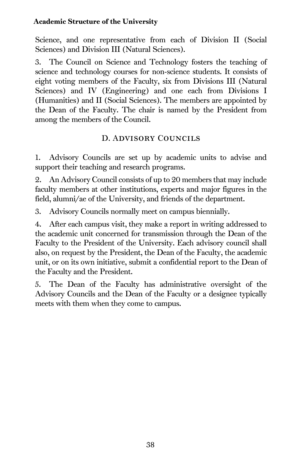#### Academic Structure of the University

Science, and one representative from each of Division II (Social Sciences) and Division III (Natural Sciences).

3. The Council on Science and Technology fosters the teaching of science and technology courses for non-science students. It consists of eight voting members of the Faculty, six from Divisions III (Natural Sciences) and IV (Engineering) and one each from Divisions I (Humanities) and II (Social Sciences). The members are appointed by the Dean of the Faculty. The chair is named by the President from among the members of the Council.

## D. Advisory Councils

1. Advisory Councils are set up by academic units to advise and support their teaching and research programs.

2. An Advisory Council consists of up to 20 members that may include faculty members at other institutions, experts and major figures in the field, alumni/ae of the University, and friends of the department.

3. Advisory Councils normally meet on campus biennially.

4. After each campus visit, they make a report in writing addressed to the academic unit concerned for transmission through the Dean of the Faculty to the President of the University. Each advisory council shall also, on request by the President, the Dean of the Faculty, the academic unit, or on its own initiative, submit a confidential report to the Dean of the Faculty and the President.

5. The Dean of the Faculty has administrative oversight of the Advisory Councils and the Dean of the Faculty or a designee typically meets with them when they come to campus.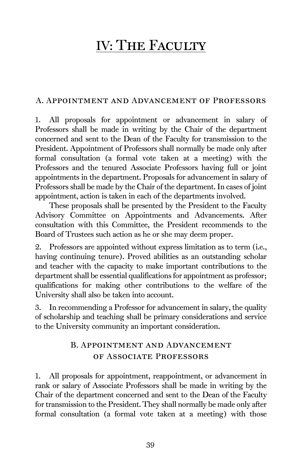# IV: THE FACULTY

## A. Appointment and Advancement of Professors

1. All proposals for appointment or advancement in salary of Professors shall be made in writing by the Chair of the department concerned and sent to the Dean of the Faculty for transmission to the President. Appointment of Professors shall normally be made only after formal consultation (a formal vote taken at a meeting) with the Professors and the tenured Associate Professors having full or joint appointments in the department. Proposals for advancement in salary of Professors shall be made by the Chair of the department. In cases of joint appointment, action is taken in each of the departments involved.

These proposals shall be presented by the President to the Faculty Advisory Committee on Appointments and Advancements. After consultation with this Committee, the President recommends to the Board of Trustees such action as he or she may deem proper.

2. Professors are appointed without express limitation as to term (i.e., having continuing tenure). Proved abilities as an outstanding scholar and teacher with the capacity to make important contributions to the department shall be essential qualifications for appointment as professor; qualifications for making other contributions to the welfare of the University shall also be taken into account.

3. In recommending a Professor for advancement in salary, the quality of scholarship and teaching shall be primary considerations and service to the University community an important consideration.

# B. Appointment and Advancement of Associate Professors

1. All proposals for appointment, reappointment, or advancement in rank or salary of Associate Professors shall be made in writing by the Chair of the department concerned and sent to the Dean of the Faculty for transmission to the President. They shall normally be made only after formal consultation (a formal vote taken at a meeting) with those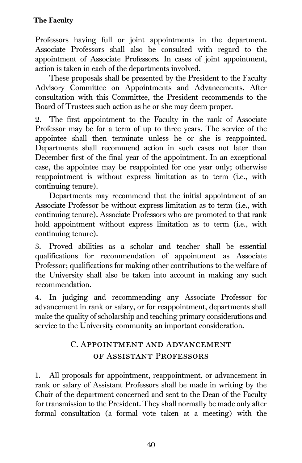Professors having full or joint appointments in the department. Associate Professors shall also be consulted with regard to the appointment of Associate Professors. In cases of joint appointment, action is taken in each of the departments involved.

These proposals shall be presented by the President to the Faculty Advisory Committee on Appointments and Advancements. After consultation with this Committee, the President recommends to the Board of Trustees such action as he or she may deem proper.

2. The first appointment to the Faculty in the rank of Associate Professor may be for a term of up to three years. The service of the appointee shall then terminate unless he or she is reappointed. Departments shall recommend action in such cases not later than December first of the final year of the appointment. In an exceptional case, the appointee may be reappointed for one year only; otherwise reappointment is without express limitation as to term (i.e., with continuing tenure).

Departments may recommend that the initial appointment of an Associate Professor be without express limitation as to term (i.e., with continuing tenure). Associate Professors who are promoted to that rank hold appointment without express limitation as to term (i.e., with continuing tenure).

3. Proved abilities as a scholar and teacher shall be essential qualifications for recommendation of appointment as Associate Professor; qualifications for making other contributions to the welfare of the University shall also be taken into account in making any such recommendation.

4. In judging and recommending any Associate Professor for advancement in rank or salary, or for reappointment, departments shall make the quality of scholarship and teaching primary considerations and service to the University community an important consideration.

# C. Appointment and Advancement of Assistant Professors

1. All proposals for appointment, reappointment, or advancement in rank or salary of Assistant Professors shall be made in writing by the Chair of the department concerned and sent to the Dean of the Faculty for transmission to the President. They shall normally be made only after formal consultation (a formal vote taken at a meeting) with the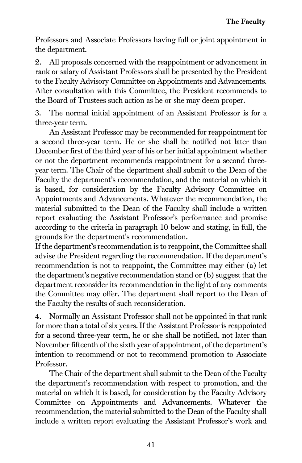Professors and Associate Professors having full or joint appointment in the department.

2. All proposals concerned with the reappointment or advancement in rank or salary of Assistant Professors shall be presented by the President to the Faculty Advisory Committee on Appointments and Advancements. After consultation with this Committee, the President recommends to the Board of Trustees such action as he or she may deem proper.

3. The normal initial appointment of an Assistant Professor is for a three-year term.

An Assistant Professor may be recommended for reappointment for a second three-year term. He or she shall be notified not later than December first of the third year of his or her initial appointment whether or not the department recommends reappointment for a second threeyear term. The Chair of the department shall submit to the Dean of the Faculty the department's recommendation, and the material on which it is based, for consideration by the Faculty Advisory Committee on Appointments and Advancements. Whatever the recommendation, the material submitted to the Dean of the Faculty shall include a written report evaluating the Assistant Professor's performance and promise according to the criteria in paragraph 10 below and stating, in full, the grounds for the department's recommendation.

If the department's recommendation is to reappoint, the Committee shall advise the President regarding the recommendation. If the department's recommendation is not to reappoint, the Committee may either (a) let the department's negative recommendation stand or (b) suggest that the department reconsider its recommendation in the light of any comments the Committee may offer. The department shall report to the Dean of the Faculty the results of such reconsideration.

4. Normally an Assistant Professor shall not be appointed in that rank for more than a total of six years. If the Assistant Professor is reappointed for a second three-year term, he or she shall be notified, not later than November fifteenth of the sixth year of appointment, of the department's intention to recommend or not to recommend promotion to Associate Professor.

The Chair of the department shall submit to the Dean of the Faculty the department's recommendation with respect to promotion, and the material on which it is based, for consideration by the Faculty Advisory Committee on Appointments and Advancements. Whatever the recommendation, the material submitted to the Dean of the Faculty shall include a written report evaluating the Assistant Professor's work and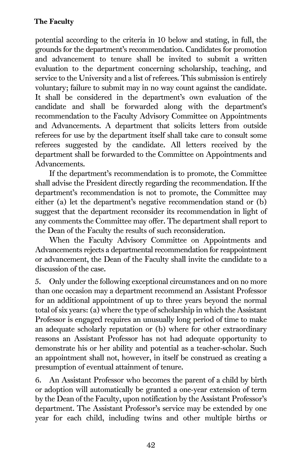potential according to the criteria in 10 below and stating, in full, the grounds for the department's recommendation. Candidates for promotion and advancement to tenure shall be invited to submit a written evaluation to the department concerning scholarship, teaching, and service to the University and a list of referees. This submission is entirely voluntary; failure to submit may in no way count against the candidate. It shall be considered in the department's own evaluation of the candidate and shall be forwarded along with the department's recommendation to the Faculty Advisory Committee on Appointments and Advancements. A department that solicits letters from outside referees for use by the department itself shall take care to consult some referees suggested by the candidate. All letters received by the department shall be forwarded to the Committee on Appointments and Advancements.

If the department's recommendation is to promote, the Committee shall advise the President directly regarding the recommendation. If the department's recommendation is not to promote, the Committee may either (a) let the department's negative recommendation stand or (b) suggest that the department reconsider its recommendation in light of any comments the Committee may offer. The department shall report to the Dean of the Faculty the results of such reconsideration.

When the Faculty Advisory Committee on Appointments and Advancements rejects a departmental recommendation for reappointment or advancement, the Dean of the Faculty shall invite the candidate to a discussion of the case.

5. Only under the following exceptional circumstances and on no more than one occasion may a department recommend an Assistant Professor for an additional appointment of up to three years beyond the normal total of six years: (a) where the type of scholarship in which the Assistant Professor is engaged requires an unusually long period of time to make an adequate scholarly reputation or (b) where for other extraordinary reasons an Assistant Professor has not had adequate opportunity to demonstrate his or her ability and potential as a teacher-scholar. Such an appointment shall not, however, in itself be construed as creating a presumption of eventual attainment of tenure.

6. An Assistant Professor who becomes the parent of a child by birth or adoption will automatically be granted a one-year extension of term by the Dean of the Faculty, upon notification by the Assistant Professor's department. The Assistant Professor's service may be extended by one year for each child, including twins and other multiple births or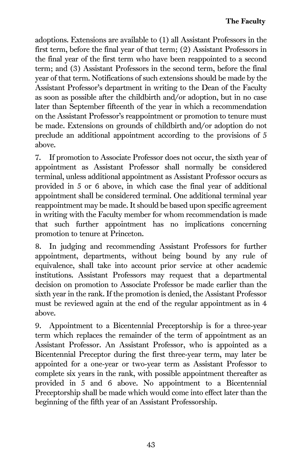adoptions. Extensions are available to (1) all Assistant Professors in the first term, before the final year of that term; (2) Assistant Professors in the final year of the first term who have been reappointed to a second term; and (3) Assistant Professors in the second term, before the final year of that term. Notifications of such extensions should be made by the Assistant Professor's department in writing to the Dean of the Faculty as soon as possible after the childbirth and/or adoption, but in no case later than September fifteenth of the year in which a recommendation on the Assistant Professor's reappointment or promotion to tenure must be made. Extensions on grounds of childbirth and/or adoption do not preclude an additional appointment according to the provisions of 5 above.

7. If promotion to Associate Professor does not occur, the sixth year of appointment as Assistant Professor shall normally be considered terminal, unless additional appointment as Assistant Professor occurs as provided in 5 or 6 above, in which case the final year of additional appointment shall be considered terminal. One additional terminal year reappointment may be made. It should be based upon specific agreement in writing with the Faculty member for whom recommendation is made that such further appointment has no implications concerning promotion to tenure at Princeton.

8. In judging and recommending Assistant Professors for further appointment, departments, without being bound by any rule of equivalence, shall take into account prior service at other academic institutions. Assistant Professors may request that a departmental decision on promotion to Associate Professor be made earlier than the sixth year in the rank. If the promotion is denied, the Assistant Professor must be reviewed again at the end of the regular appointment as in 4 above.

9. Appointment to a Bicentennial Preceptorship is for a three-year term which replaces the remainder of the term of appointment as an Assistant Professor. An Assistant Professor, who is appointed as a Bicentennial Preceptor during the first three-year term, may later be appointed for a one-year or two-year term as Assistant Professor to complete six years in the rank, with possible appointment thereafter as provided in 5 and 6 above. No appointment to a Bicentennial Preceptorship shall be made which would come into effect later than the beginning of the fifth year of an Assistant Professorship.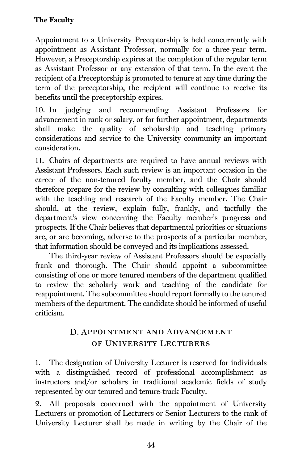Appointment to a University Preceptorship is held concurrently with appointment as Assistant Professor, normally for a three-year term. However, a Preceptorship expires at the completion of the regular term as Assistant Professor or any extension of that term. In the event the recipient of a Preceptorship is promoted to tenure at any time during the term of the preceptorship, the recipient will continue to receive its benefits until the preceptorship expires.

10. In judging and recommending Assistant Professors for advancement in rank or salary, or for further appointment, departments shall make the quality of scholarship and teaching primary considerations and service to the University community an important consideration.

11. Chairs of departments are required to have annual reviews with Assistant Professors. Each such review is an important occasion in the career of the non-tenured faculty member, and the Chair should therefore prepare for the review by consulting with colleagues familiar with the teaching and research of the Faculty member. The Chair should, at the review, explain fully, frankly, and tactfully the department's view concerning the Faculty member's progress and prospects. If the Chair believes that departmental priorities or situations are, or are becoming, adverse to the prospects of a particular member, that information should be conveyed and its implications assessed.

The third-year review of Assistant Professors should be especially frank and thorough. The Chair should appoint a subcommittee consisting of one or more tenured members of the department qualified to review the scholarly work and teaching of the candidate for reappointment. The subcommittee should report formally to the tenured members of the department. The candidate should be informed of useful criticism.

# D. Appointment and Advancement of University Lecturers

1. The designation of University Lecturer is reserved for individuals with a distinguished record of professional accomplishment as instructors and/or scholars in traditional academic fields of study represented by our tenured and tenure-track Faculty.

2. All proposals concerned with the appointment of University Lecturers or promotion of Lecturers or Senior Lecturers to the rank of University Lecturer shall be made in writing by the Chair of the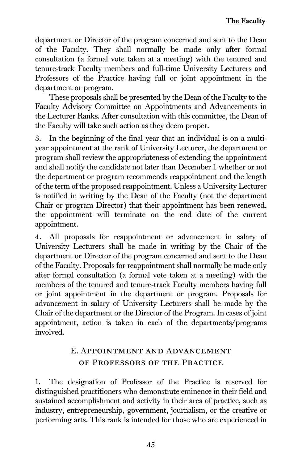department or Director of the program concerned and sent to the Dean of the Faculty. They shall normally be made only after formal consultation (a formal vote taken at a meeting) with the tenured and tenure-track Faculty members and full-time University Lecturers and Professors of the Practice having full or joint appointment in the department or program.

These proposals shall be presented by the Dean of the Faculty to the Faculty Advisory Committee on Appointments and Advancements in the Lecturer Ranks. After consultation with this committee, the Dean of the Faculty will take such action as they deem proper.

3. In the beginning of the final year that an individual is on a multiyear appointment at the rank of University Lecturer, the department or program shall review the appropriateness of extending the appointment and shall notify the candidate not later than December 1 whether or not the department or program recommends reappointment and the length of the term of the proposed reappointment. Unless a University Lecturer is notified in writing by the Dean of the Faculty (not the department Chair or program Director) that their appointment has been renewed, the appointment will terminate on the end date of the current appointment.

4. All proposals for reappointment or advancement in salary of University Lecturers shall be made in writing by the Chair of the department or Director of the program concerned and sent to the Dean of the Faculty. Proposals for reappointment shall normally be made only after formal consultation (a formal vote taken at a meeting) with the members of the tenured and tenure-track Faculty members having full or joint appointment in the department or program. Proposals for advancement in salary of University Lecturers shall be made by the Chair of the department or the Director of the Program. In cases of joint appointment, action is taken in each of the departments/programs involved.

# E. Appointment and Advancement of Professors of the Practice

1. The designation of Professor of the Practice is reserved for distinguished practitioners who demonstrate eminence in their field and sustained accomplishment and activity in their area of practice, such as industry, entrepreneurship, government, journalism, or the creative or performing arts. This rank is intended for those who are experienced in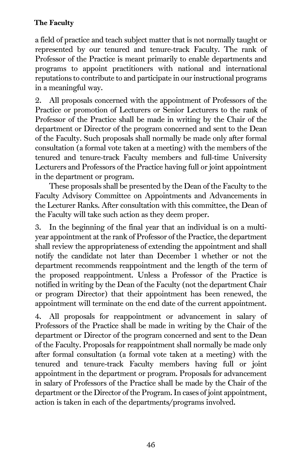a field of practice and teach subject matter that is not normally taught or represented by our tenured and tenure-track Faculty. The rank of Professor of the Practice is meant primarily to enable departments and programs to appoint practitioners with national and international reputations to contribute to and participate in our instructional programs in a meaningful way.

2. All proposals concerned with the appointment of Professors of the Practice or promotion of Lecturers or Senior Lecturers to the rank of Professor of the Practice shall be made in writing by the Chair of the department or Director of the program concerned and sent to the Dean of the Faculty. Such proposals shall normally be made only after formal consultation (a formal vote taken at a meeting) with the members of the tenured and tenure-track Faculty members and full-time University Lecturers and Professors of the Practice having full or joint appointment in the department or program.

These proposals shall be presented by the Dean of the Faculty to the Faculty Advisory Committee on Appointments and Advancements in the Lecturer Ranks. After consultation with this committee, the Dean of the Faculty will take such action as they deem proper.

3. In the beginning of the final year that an individual is on a multiyear appointment at the rank of Professor of the Practice, the department shall review the appropriateness of extending the appointment and shall notify the candidate not later than December 1 whether or not the department recommends reappointment and the length of the term of the proposed reappointment. Unless a Professor of the Practice is notified in writing by the Dean of the Faculty (not the department Chair or program Director) that their appointment has been renewed, the appointment will terminate on the end date of the current appointment.

4. All proposals for reappointment or advancement in salary of Professors of the Practice shall be made in writing by the Chair of the department or Director of the program concerned and sent to the Dean of the Faculty. Proposals for reappointment shall normally be made only after formal consultation (a formal vote taken at a meeting) with the tenured and tenure-track Faculty members having full or joint appointment in the department or program. Proposals for advancement in salary of Professors of the Practice shall be made by the Chair of the department or the Director of the Program. In cases of joint appointment, action is taken in each of the departments/programs involved.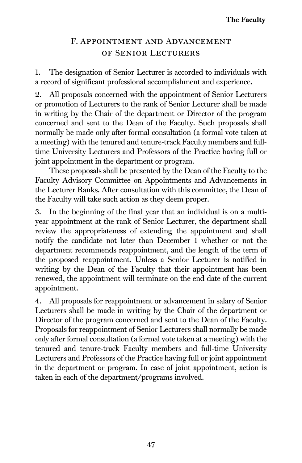# F. Appointment and Advancement of Senior Lecturers

1. The designation of Senior Lecturer is accorded to individuals with a record of significant professional accomplishment and experience.

2. All proposals concerned with the appointment of Senior Lecturers or promotion of Lecturers to the rank of Senior Lecturer shall be made in writing by the Chair of the department or Director of the program concerned and sent to the Dean of the Faculty. Such proposals shall normally be made only after formal consultation (a formal vote taken at a meeting) with the tenured and tenure-track Faculty members and fulltime University Lecturers and Professors of the Practice having full or joint appointment in the department or program.

These proposals shall be presented by the Dean of the Faculty to the Faculty Advisory Committee on Appointments and Advancements in the Lecturer Ranks. After consultation with this committee, the Dean of the Faculty will take such action as they deem proper.

3. In the beginning of the final year that an individual is on a multiyear appointment at the rank of Senior Lecturer, the department shall review the appropriateness of extending the appointment and shall notify the candidate not later than December 1 whether or not the department recommends reappointment, and the length of the term of the proposed reappointment. Unless a Senior Lecturer is notified in writing by the Dean of the Faculty that their appointment has been renewed, the appointment will terminate on the end date of the current appointment.

4. All proposals for reappointment or advancement in salary of Senior Lecturers shall be made in writing by the Chair of the department or Director of the program concerned and sent to the Dean of the Faculty. Proposals for reappointment of Senior Lecturers shall normally be made only after formal consultation (a formal vote taken at a meeting) with the tenured and tenure-track Faculty members and full-time University Lecturers and Professors of the Practice having full or joint appointment in the department or program. In case of joint appointment, action is taken in each of the department/programs involved.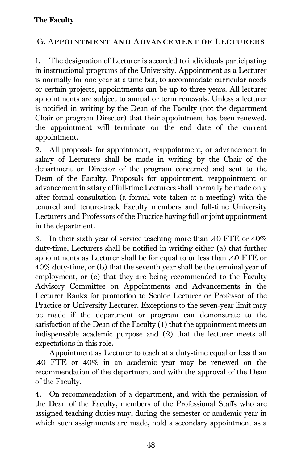## G. Appointment and Advancement of Lecturers

1. The designation of Lecturer is accorded to individuals participating in instructional programs of the University. Appointment as a Lecturer is normally for one year at a time but, to accommodate curricular needs or certain projects, appointments can be up to three years. All lecturer appointments are subject to annual or term renewals. Unless a lecturer is notified in writing by the Dean of the Faculty (not the department Chair or program Director) that their appointment has been renewed, the appointment will terminate on the end date of the current appointment.

2. All proposals for appointment, reappointment, or advancement in salary of Lecturers shall be made in writing by the Chair of the department or Director of the program concerned and sent to the Dean of the Faculty. Proposals for appointment, reappointment or advancement in salary of full-time Lecturers shall normally be made only after formal consultation (a formal vote taken at a meeting) with the tenured and tenure-track Faculty members and full-time University Lecturers and Professors of the Practice having full or joint appointment in the department.

3. In their sixth year of service teaching more than .40 FTE or 40% duty-time, Lecturers shall be notified in writing either (a) that further appointments as Lecturer shall be for equal to or less than .40 FTE or 40% duty-time, or (b) that the seventh year shall be the terminal year of employment, or (c) that they are being recommended to the Faculty Advisory Committee on Appointments and Advancements in the Lecturer Ranks for promotion to Senior Lecturer or Professor of the Practice or University Lecturer. Exceptions to the seven-year limit may be made if the department or program can demonstrate to the satisfaction of the Dean of the Faculty (1) that the appointment meets an indispensable academic purpose and (2) that the lecturer meets all expectations in this role.

Appointment as Lecturer to teach at a duty-time equal or less than .40 FTE or 40% in an academic year may be renewed on the recommendation of the department and with the approval of the Dean of the Faculty.

4. On recommendation of a department, and with the permission of the Dean of the Faculty, members of the Professional Staffs who are assigned teaching duties may, during the semester or academic year in which such assignments are made, hold a secondary appointment as a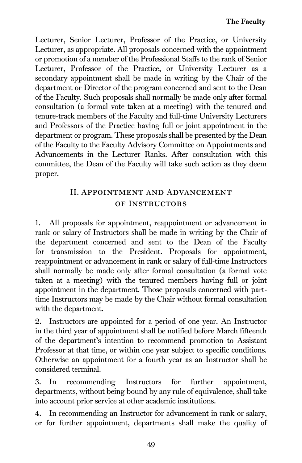Lecturer, Senior Lecturer, Professor of the Practice, or University Lecturer, as appropriate. All proposals concerned with the appointment or promotion of a member of the Professional Staffs to the rank of Senior Lecturer, Professor of the Practice, or University Lecturer as a secondary appointment shall be made in writing by the Chair of the department or Director of the program concerned and sent to the Dean of the Faculty. Such proposals shall normally be made only after formal consultation (a formal vote taken at a meeting) with the tenured and tenure-track members of the Faculty and full-time University Lecturers and Professors of the Practice having full or joint appointment in the department or program. These proposals shall be presented by the Dean of the Faculty to the Faculty Advisory Committee on Appointments and Advancements in the Lecturer Ranks. After consultation with this committee, the Dean of the Faculty will take such action as they deem proper.

# H. Appointment and Advancement of Instructors

1. All proposals for appointment, reappointment or advancement in rank or salary of Instructors shall be made in writing by the Chair of the department concerned and sent to the Dean of the Faculty for transmission to the President. Proposals for appointment, reappointment or advancement in rank or salary of full-time Instructors shall normally be made only after formal consultation (a formal vote taken at a meeting) with the tenured members having full or joint appointment in the department. Those proposals concerned with parttime Instructors may be made by the Chair without formal consultation with the department.

2. Instructors are appointed for a period of one year. An Instructor in the third year of appointment shall be notified before March fifteenth of the department's intention to recommend promotion to Assistant Professor at that time, or within one year subject to specific conditions. Otherwise an appointment for a fourth year as an Instructor shall be considered terminal.

3. In recommending Instructors for further appointment, departments, without being bound by any rule of equivalence, shall take into account prior service at other academic institutions.

4. In recommending an Instructor for advancement in rank or salary, or for further appointment, departments shall make the quality of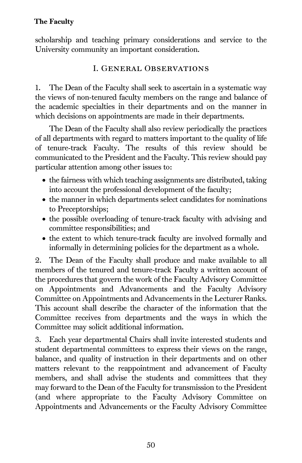scholarship and teaching primary considerations and service to the University community an important consideration.

## I. General Observations

1. The Dean of the Faculty shall seek to ascertain in a systematic way the views of non-tenured faculty members on the range and balance of the academic specialties in their departments and on the manner in which decisions on appointments are made in their departments.

The Dean of the Faculty shall also review periodically the practices of all departments with regard to matters important to the quality of life of tenure-track Faculty. The results of this review should be communicated to the President and the Faculty. This review should pay particular attention among other issues to:

- the fairness with which teaching assignments are distributed, taking into account the professional development of the faculty;
- the manner in which departments select candidates for nominations to Preceptorships;
- the possible overloading of tenure-track faculty with advising and committee responsibilities; and
- the extent to which tenure-track faculty are involved formally and informally in determining policies for the department as a whole.

2. The Dean of the Faculty shall produce and make available to all members of the tenured and tenure-track Faculty a written account of the procedures that govern the work of the Faculty Advisory Committee on Appointments and Advancements and the Faculty Advisory Committee on Appointments and Advancements in the Lecturer Ranks. This account shall describe the character of the information that the Committee receives from departments and the ways in which the Committee may solicit additional information.

3. Each year departmental Chairs shall invite interested students and student departmental committees to express their views on the range, balance, and quality of instruction in their departments and on other matters relevant to the reappointment and advancement of Faculty members, and shall advise the students and committees that they may forward to the Dean of the Faculty for transmission to the President (and where appropriate to the Faculty Advisory Committee on Appointments and Advancements or the Faculty Advisory Committee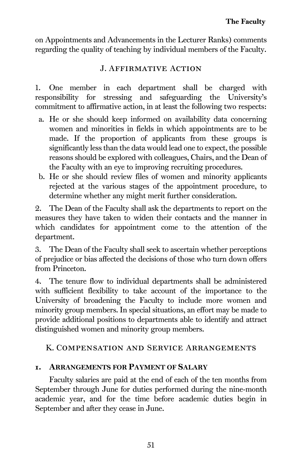on Appointments and Advancements in the Lecturer Ranks) comments regarding the quality of teaching by individual members of the Faculty.

## J. Affirmative Action

1. One member in each department shall be charged with responsibility for stressing and safeguarding the University's commitment to affirmative action, in at least the following two respects:

- a. He or she should keep informed on availability data concerning women and minorities in fields in which appointments are to be made. If the proportion of applicants from these groups is significantly less than the data would lead one to expect, the possible reasons should be explored with colleagues, Chairs, and the Dean of the Faculty with an eye to improving recruiting procedures.
- b. He or she should review files of women and minority applicants rejected at the various stages of the appointment procedure, to determine whether any might merit further consideration.

2. The Dean of the Faculty shall ask the departments to report on the measures they have taken to widen their contacts and the manner in which candidates for appointment come to the attention of the department.

3. The Dean of the Faculty shall seek to ascertain whether perceptions of prejudice or bias affected the decisions of those who turn down offers from Princeton.

4. The tenure flow to individual departments shall be administered with sufficient flexibility to take account of the importance to the University of broadening the Faculty to include more women and minority group members. In special situations, an effort may be made to provide additional positions to departments able to identify and attract distinguished women and minority group members.

## K. Compensation and Service Arrangements

## 1. ARRANGEMENTS FOR PAYMENT OF SALARY

Faculty salaries are paid at the end of each of the ten months from September through June for duties performed during the nine-month academic year, and for the time before academic duties begin in September and after they cease in June.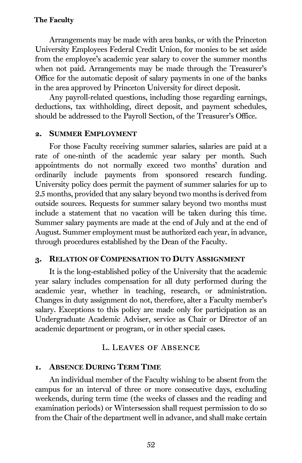Arrangements may be made with area banks, or with the Princeton University Employees Federal Credit Union, for monies to be set aside from the employee's academic year salary to cover the summer months when not paid. Arrangements may be made through the Treasurer's Office for the automatic deposit of salary payments in one of the banks in the area approved by Princeton University for direct deposit.

Any payroll-related questions, including those regarding earnings, deductions, tax withholding, direct deposit, and payment schedules, should be addressed to the Payroll Section, of the Treasurer's Office.

#### 2. SUMMER EMPLOYMENT

For those Faculty receiving summer salaries, salaries are paid at a rate of one-ninth of the academic year salary per month. Such appointments do not normally exceed two months' duration and ordinarily include payments from sponsored research funding. University policy does permit the payment of summer salaries for up to 2.5 months, provided that any salary beyond two months is derived from outside sources. Requests for summer salary beyond two months must include a statement that no vacation will be taken during this time. Summer salary payments are made at the end of July and at the end of August. Summer employment must be authorized each year, in advance, through procedures established by the Dean of the Faculty.

#### 3. RELATION OF COMPENSATION TO DUTY ASSIGNMENT

It is the long-established policy of the University that the academic year salary includes compensation for all duty performed during the academic year, whether in teaching, research, or administration. Changes in duty assignment do not, therefore, alter a Faculty member's salary. Exceptions to this policy are made only for participation as an Undergraduate Academic Adviser, service as Chair or Director of an academic department or program, or in other special cases.

#### L. Leaves of Absence

#### 1. ABSENCE DURING TERM TIME

An individual member of the Faculty wishing to be absent from the campus for an interval of three or more consecutive days, excluding weekends, during term time (the weeks of classes and the reading and examination periods) or Wintersession shall request permission to do so from the Chair of the department well in advance, and shall make certain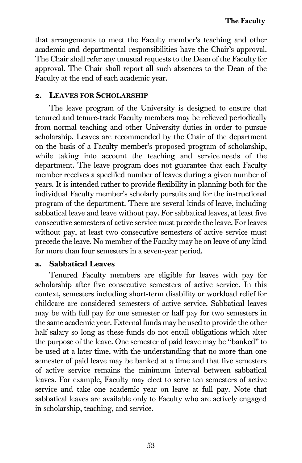that arrangements to meet the Faculty member's teaching and other academic and departmental responsibilities have the Chair's approval. The Chair shall refer any unusual requests to the Dean of the Faculty for approval. The Chair shall report all such absences to the Dean of the Faculty at the end of each academic year.

#### 2. LEAVES FOR SCHOLARSHIP

The leave program of the University is designed to ensure that tenured and tenure-track Faculty members may be relieved periodically from normal teaching and other University duties in order to pursue scholarship. Leaves are recommended by the Chair of the department on the basis of a Faculty member's proposed program of scholarship, while taking into account the teaching and service needs of the department. The leave program does not guarantee that each Faculty member receives a specified number of leaves during a given number of years. It is intended rather to provide flexibility in planning both for the individual Faculty member's scholarly pursuits and for the instructional program of the department. There are several kinds of leave, including sabbatical leave and leave without pay. For sabbatical leaves, at least five consecutive semesters of active service must precede the leave. For leaves without pay, at least two consecutive semesters of active service must precede the leave. No member of the Faculty may be on leave of any kind for more than four semesters in a seven-year period.

## a. Sabbatical Leaves

Tenured Faculty members are eligible for leaves with pay for scholarship after five consecutive semesters of active service. In this context, semesters including short-term disability or workload relief for childcare are considered semesters of active service. Sabbatical leaves may be with full pay for one semester or half pay for two semesters in the same academic year. External funds may be used to provide the other half salary so long as these funds do not entail obligations which alter the purpose of the leave. One semester of paid leave may be "banked" to be used at a later time, with the understanding that no more than one semester of paid leave may be banked at a time and that five semesters of active service remains the minimum interval between sabbatical leaves. For example, Faculty may elect to serve ten semesters of active service and take one academic year on leave at full pay. Note that sabbatical leaves are available only to Faculty who are actively engaged in scholarship, teaching, and service.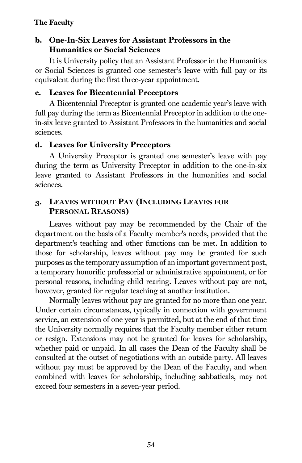## b. One-In-Six Leaves for Assistant Professors in the Humanities or Social Sciences

It is University policy that an Assistant Professor in the Humanities or Social Sciences is granted one semester's leave with full pay or its equivalent during the first three-year appointment.

#### c. Leaves for Bicentennial Preceptors

A Bicentennial Preceptor is granted one academic year's leave with full pay during the term as Bicentennial Preceptor in addition to the onein-six leave granted to Assistant Professors in the humanities and social sciences.

#### d. Leaves for University Preceptors

A University Preceptor is granted one semester's leave with pay during the term as University Preceptor in addition to the one-in-six leave granted to Assistant Professors in the humanities and social sciences.

## 3. LEAVES WITHOUT PAY (INCLUDING LEAVES FOR PERSONAL REASONS)

Leaves without pay may be recommended by the Chair of the department on the basis of a Faculty member's needs, provided that the department's teaching and other functions can be met. In addition to those for scholarship, leaves without pay may be granted for such purposes as the temporary assumption of an important government post, a temporary honorific professorial or administrative appointment, or for personal reasons, including child rearing. Leaves without pay are not, however, granted for regular teaching at another institution.

Normally leaves without pay are granted for no more than one year. Under certain circumstances, typically in connection with government service, an extension of one year is permitted, but at the end of that time the University normally requires that the Faculty member either return or resign. Extensions may not be granted for leaves for scholarship, whether paid or unpaid. In all cases the Dean of the Faculty shall be consulted at the outset of negotiations with an outside party. All leaves without pay must be approved by the Dean of the Faculty, and when combined with leaves for scholarship, including sabbaticals, may not exceed four semesters in a seven-year period.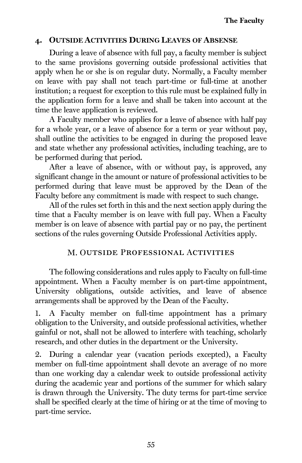## 4. OUTSIDE ACTIVITIES DURING LEAVES OF ABSENSE

During a leave of absence with full pay, a faculty member is subject to the same provisions governing outside professional activities that apply when he or she is on regular duty. Normally, a Faculty member on leave with pay shall not teach part-time or full-time at another institution; a request for exception to this rule must be explained fully in the application form for a leave and shall be taken into account at the time the leave application is reviewed.

A Faculty member who applies for a leave of absence with half pay for a whole year, or a leave of absence for a term or year without pay, shall outline the activities to be engaged in during the proposed leave and state whether any professional activities, including teaching, are to be performed during that period.

After a leave of absence, with or without pay, is approved, any significant change in the amount or nature of professional activities to be performed during that leave must be approved by the Dean of the Faculty before any commitment is made with respect to such change.

All of the rules set forth in this and the next section apply during the time that a Faculty member is on leave with full pay. When a Faculty member is on leave of absence with partial pay or no pay, the pertinent sections of the rules governing Outside Professional Activities apply.

## M. Outside Professional Activities

The following considerations and rules apply to Faculty on full-time appointment. When a Faculty member is on part-time appointment, University obligations, outside activities, and leave of absence arrangements shall be approved by the Dean of the Faculty.

1. A Faculty member on full-time appointment has a primary obligation to the University, and outside professional activities, whether gainful or not, shall not be allowed to interfere with teaching, scholarly research, and other duties in the department or the University.

2. During a calendar year (vacation periods excepted), a Faculty member on full-time appointment shall devote an average of no more than one working day a calendar week to outside professional activity during the academic year and portions of the summer for which salary is drawn through the University. The duty terms for part-time service shall be specified clearly at the time of hiring or at the time of moving to part-time service.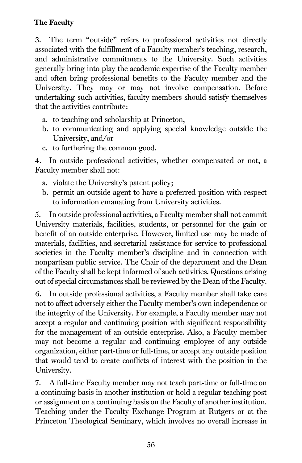3. The term "outside" refers to professional activities not directly associated with the fulfillment of a Faculty member's teaching, research, and administrative commitments to the University. Such activities generally bring into play the academic expertise of the Faculty member and often bring professional benefits to the Faculty member and the University. They may or may not involve compensation. Before undertaking such activities, faculty members should satisfy themselves that the activities contribute:

- a. to teaching and scholarship at Princeton,
- b. to communicating and applying special knowledge outside the University, and/or
- c. to furthering the common good.

4. In outside professional activities, whether compensated or not, a Faculty member shall not:

- a. violate the University's patent policy;
- b. permit an outside agent to have a preferred position with respect to information emanating from University activities.

5. In outside professional activities, a Faculty member shall not commit University materials, facilities, students, or personnel for the gain or benefit of an outside enterprise. However, limited use may be made of materials, facilities, and secretarial assistance for service to professional societies in the Faculty member's discipline and in connection with nonpartisan public service. The Chair of the department and the Dean of the Faculty shall be kept informed of such activities. Questions arising out of special circumstances shall be reviewed by the Dean of the Faculty.

6. In outside professional activities, a Faculty member shall take care not to affect adversely either the Faculty member's own independence or the integrity of the University. For example, a Faculty member may not accept a regular and continuing position with significant responsibility for the management of an outside enterprise. Also, a Faculty member may not become a regular and continuing employee of any outside organization, either part-time or full-time, or accept any outside position that would tend to create conflicts of interest with the position in the University.

7. A full-time Faculty member may not teach part-time or full-time on a continuing basis in another institution or hold a regular teaching post or assignment on a continuing basis on the Faculty of another institution. Teaching under the Faculty Exchange Program at Rutgers or at the Princeton Theological Seminary, which involves no overall increase in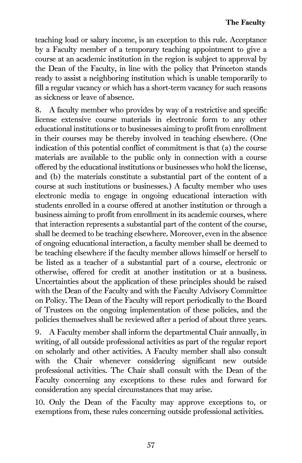teaching load or salary income, is an exception to this rule. Acceptance by a Faculty member of a temporary teaching appointment to give a course at an academic institution in the region is subject to approval by the Dean of the Faculty, in line with the policy that Princeton stands ready to assist a neighboring institution which is unable temporarily to fill a regular vacancy or which has a short-term vacancy for such reasons as sickness or leave of absence.

8. A faculty member who provides by way of a restrictive and specific license extensive course materials in electronic form to any other educational institutions or to businesses aiming to profit from enrollment in their courses may be thereby involved in teaching elsewhere. (One indication of this potential conflict of commitment is that (a) the course materials are available to the public only in connection with a course offered by the educational institutions or businesses who hold the license, and (b) the materials constitute a substantial part of the content of a course at such institutions or businesses.) A faculty member who uses electronic media to engage in ongoing educational interaction with students enrolled in a course offered at another institution or through a business aiming to profit from enrollment in its academic courses, where that interaction represents a substantial part of the content of the course, shall be deemed to be teaching elsewhere. Moreover, even in the absence of ongoing educational interaction, a faculty member shall be deemed to be teaching elsewhere if the faculty member allows himself or herself to be listed as a teacher of a substantial part of a course, electronic or otherwise, offered for credit at another institution or at a business. Uncertainties about the application of these principles should be raised with the Dean of the Faculty and with the Faculty Advisory Committee on Policy. The Dean of the Faculty will report periodically to the Board of Trustees on the ongoing implementation of these policies, and the policies themselves shall be reviewed after a period of about three years.

9. A Faculty member shall inform the departmental Chair annually, in writing, of all outside professional activities as part of the regular report on scholarly and other activities. A Faculty member shall also consult with the Chair whenever considering significant new outside professional activities. The Chair shall consult with the Dean of the Faculty concerning any exceptions to these rules and forward for consideration any special circumstances that may arise.

10. Only the Dean of the Faculty may approve exceptions to, or exemptions from, these rules concerning outside professional activities.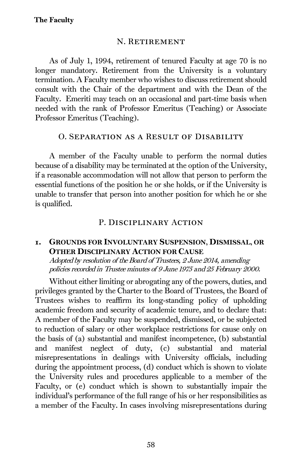#### N. Retirement

As of July 1, 1994, retirement of tenured Faculty at age 70 is no longer mandatory. Retirement from the University is a voluntary termination. A Faculty member who wishes to discuss retirement should consult with the Chair of the department and with the Dean of the Faculty. Emeriti may teach on an occasional and part-time basis when needed with the rank of Professor Emeritus (Teaching) or Associate Professor Emeritus (Teaching).

#### O. Separation as a Result of Disability

A member of the Faculty unable to perform the normal duties because of a disability may be terminated at the option of the University, if a reasonable accommodation will not allow that person to perform the essential functions of the position he or she holds, or if the University is unable to transfer that person into another position for which he or she is qualified.

#### P. DISCIPLINARY ACTION

#### 1. GROUNDS FOR INVOLUNTARY SUSPENSION, DISMISSAL, OR OTHER DISCIPLINARY ACTION FOR CAUSE

Adopted by resolution of the Board of Trustees, 2 June 2014, amending policies recorded in Trustee minutes of 9 June 1975 and 25 February 2000.

Without either limiting or abrogating any of the powers, duties, and privileges granted by the Charter to the Board of Trustees, the Board of Trustees wishes to reaffirm its long-standing policy of upholding academic freedom and security of academic tenure, and to declare that: A member of the Faculty may be suspended, dismissed, or be subjected to reduction of salary or other workplace restrictions for cause only on the basis of (a) substantial and manifest incompetence, (b) substantial and manifest neglect of duty, (c) substantial and material misrepresentations in dealings with University officials, including during the appointment process, (d) conduct which is shown to violate the University rules and procedures applicable to a member of the Faculty, or (e) conduct which is shown to substantially impair the individual's performance of the full range of his or her responsibilities as a member of the Faculty. In cases involving misrepresentations during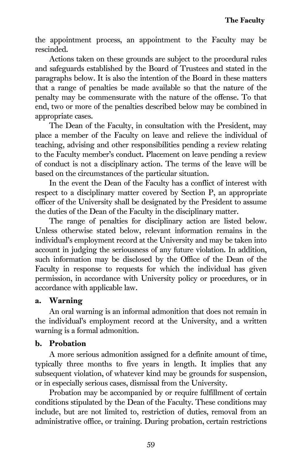the appointment process, an appointment to the Faculty may be rescinded.

Actions taken on these grounds are subject to the procedural rules and safeguards established by the Board of Trustees and stated in the paragraphs below. It is also the intention of the Board in these matters that a range of penalties be made available so that the nature of the penalty may be commensurate with the nature of the offense. To that end, two or more of the penalties described below may be combined in appropriate cases.

The Dean of the Faculty, in consultation with the President, may place a member of the Faculty on leave and relieve the individual of teaching, advising and other responsibilities pending a review relating to the Faculty member's conduct. Placement on leave pending a review of conduct is not a disciplinary action. The terms of the leave will be based on the circumstances of the particular situation.

In the event the Dean of the Faculty has a conflict of interest with respect to a disciplinary matter covered by Section P, an appropriate officer of the University shall be designated by the President to assume the duties of the Dean of the Faculty in the disciplinary matter.

The range of penalties for disciplinary action are listed below. Unless otherwise stated below, relevant information remains in the individual's employment record at the University and may be taken into account in judging the seriousness of any future violation. In addition, such information may be disclosed by the Office of the Dean of the Faculty in response to requests for which the individual has given permission, in accordance with University policy or procedures, or in accordance with applicable law.

#### a. Warning

An oral warning is an informal admonition that does not remain in the individual's employment record at the University, and a written warning is a formal admonition.

## b. Probation

A more serious admonition assigned for a definite amount of time, typically three months to five years in length. It implies that any subsequent violation, of whatever kind may be grounds for suspension, or in especially serious cases, dismissal from the University.

Probation may be accompanied by or require fulfillment of certain conditions stipulated by the Dean of the Faculty. These conditions may include, but are not limited to, restriction of duties, removal from an administrative office, or training. During probation, certain restrictions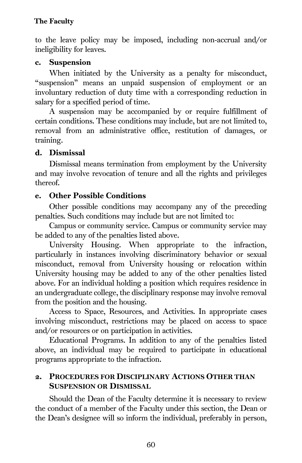to the leave policy may be imposed, including non-accrual and/or ineligibility for leaves.

#### c. Suspension

When initiated by the University as a penalty for misconduct, "suspension" means an unpaid suspension of employment or an involuntary reduction of duty time with a corresponding reduction in salary for a specified period of time.

A suspension may be accompanied by or require fulfillment of certain conditions. These conditions may include, but are not limited to, removal from an administrative office, restitution of damages, or training.

#### d. Dismissal

Dismissal means termination from employment by the University and may involve revocation of tenure and all the rights and privileges thereof.

## e. Other Possible Conditions

Other possible conditions may accompany any of the preceding penalties. Such conditions may include but are not limited to:

Campus or community service. Campus or community service may be added to any of the penalties listed above.

University Housing. When appropriate to the infraction, particularly in instances involving discriminatory behavior or sexual misconduct, removal from University housing or relocation within University housing may be added to any of the other penalties listed above. For an individual holding a position which requires residence in an undergraduate college, the disciplinary response may involve removal from the position and the housing.

Access to Space, Resources, and Activities. In appropriate cases involving misconduct, restrictions may be placed on access to space and/or resources or on participation in activities.

Educational Programs. In addition to any of the penalties listed above, an individual may be required to participate in educational programs appropriate to the infraction.

## 2. PROCEDURES FOR DISCIPLINARY ACTIONS OTHER THAN SUSPENSION OR DISMISSAL

Should the Dean of the Faculty determine it is necessary to review the conduct of a member of the Faculty under this section, the Dean or the Dean's designee will so inform the individual, preferably in person,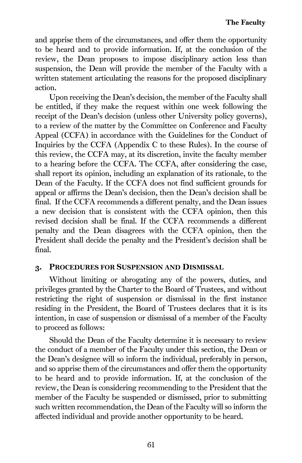and apprise them of the circumstances, and offer them the opportunity to be heard and to provide information. If, at the conclusion of the review, the Dean proposes to impose disciplinary action less than suspension, the Dean will provide the member of the Faculty with a written statement articulating the reasons for the proposed disciplinary action.

Upon receiving the Dean's decision, the member of the Faculty shall be entitled, if they make the request within one week following the receipt of the Dean's decision (unless other University policy governs), to a review of the matter by the Committee on Conference and Faculty Appeal (CCFA) in accordance with the Guidelines for the Conduct of Inquiries by the CCFA (Appendix C to these Rules). In the course of this review, the CCFA may, at its discretion, invite the faculty member to a hearing before the CCFA. The CCFA, after considering the case, shall report its opinion, including an explanation of its rationale, to the Dean of the Faculty. If the CCFA does not find sufficient grounds for appeal or affirms the Dean's decision, then the Dean's decision shall be final. If the CCFA recommends a different penalty, and the Dean issues a new decision that is consistent with the CCFA opinion, then this revised decision shall be final. If the CCFA recommends a different penalty and the Dean disagrees with the CCFA opinion, then the President shall decide the penalty and the President's decision shall be final.

#### 3. PROCEDURES FOR SUSPENSION AND DISMISSAL

Without limiting or abrogating any of the powers, duties, and privileges granted by the Charter to the Board of Trustees, and without restricting the right of suspension or dismissal in the first instance residing in the President, the Board of Trustees declares that it is its intention, in case of suspension or dismissal of a member of the Faculty to proceed as follows:

Should the Dean of the Faculty determine it is necessary to review the conduct of a member of the Faculty under this section, the Dean or the Dean's designee will so inform the individual, preferably in person, and so apprise them of the circumstances and offer them the opportunity to be heard and to provide information. If, at the conclusion of the review, the Dean is considering recommending to the President that the member of the Faculty be suspended or dismissed, prior to submitting such written recommendation, the Dean of the Faculty will so inform the affected individual and provide another opportunity to be heard.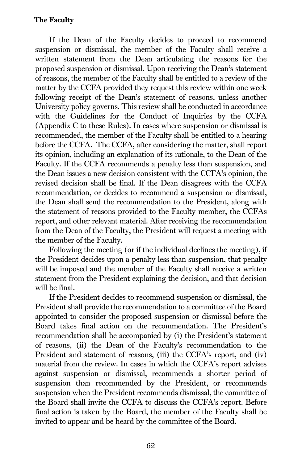#### The Faculty

If the Dean of the Faculty decides to proceed to recommend suspension or dismissal, the member of the Faculty shall receive a written statement from the Dean articulating the reasons for the proposed suspension or dismissal. Upon receiving the Dean's statement of reasons, the member of the Faculty shall be entitled to a review of the matter by the CCFA provided they request this review within one week following receipt of the Dean's statement of reasons, unless another University policy governs. This review shall be conducted in accordance with the Guidelines for the Conduct of Inquiries by the CCFA (Appendix C to these Rules). In cases where suspension or dismissal is recommended, the member of the Faculty shall be entitled to a hearing before the CCFA. The CCFA, after considering the matter, shall report its opinion, including an explanation of its rationale, to the Dean of the Faculty. If the CCFA recommends a penalty less than suspension, and the Dean issues a new decision consistent with the CCFA's opinion, the revised decision shall be final. If the Dean disagrees with the CCFA recommendation, or decides to recommend a suspension or dismissal, the Dean shall send the recommendation to the President, along with the statement of reasons provided to the Faculty member, the CCFAs report, and other relevant material. After receiving the recommendation from the Dean of the Faculty, the President will request a meeting with the member of the Faculty.

Following the meeting (or if the individual declines the meeting), if the President decides upon a penalty less than suspension, that penalty will be imposed and the member of the Faculty shall receive a written statement from the President explaining the decision, and that decision will be final.

If the President decides to recommend suspension or dismissal, the President shall provide the recommendation to a committee of the Board appointed to consider the proposed suspension or dismissal before the Board takes final action on the recommendation. The President's recommendation shall be accompanied by (i) the President's statement of reasons, (ii) the Dean of the Faculty's recommendation to the President and statement of reasons, (iii) the CCFA's report, and (iv) material from the review. In cases in which the CCFA's report advises against suspension or dismissal, recommends a shorter period of suspension than recommended by the President, or recommends suspension when the President recommends dismissal, the committee of the Board shall invite the CCFA to discuss the CCFA's report. Before final action is taken by the Board, the member of the Faculty shall be invited to appear and be heard by the committee of the Board.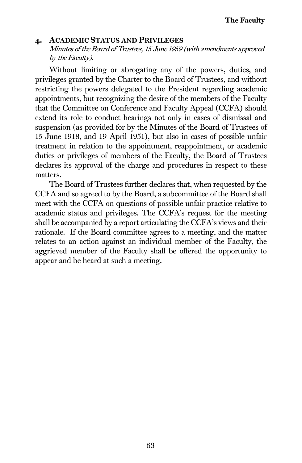#### 4. ACADEMIC STATUS AND PRIVILEGES

Minutes of the Board of Trustees, 15 June 1959 (with amendments approved by the Faculty).

Without limiting or abrogating any of the powers, duties, and privileges granted by the Charter to the Board of Trustees, and without restricting the powers delegated to the President regarding academic appointments, but recognizing the desire of the members of the Faculty that the Committee on Conference and Faculty Appeal (CCFA) should extend its role to conduct hearings not only in cases of dismissal and suspension (as provided for by the Minutes of the Board of Trustees of 15 June 1918, and 19 April 1951), but also in cases of possible unfair treatment in relation to the appointment, reappointment, or academic duties or privileges of members of the Faculty, the Board of Trustees declares its approval of the charge and procedures in respect to these matters.

The Board of Trustees further declares that, when requested by the CCFA and so agreed to by the Board, a subcommittee of the Board shall meet with the CCFA on questions of possible unfair practice relative to academic status and privileges. The CCFA's request for the meeting shall be accompanied by a report articulating the CCFA's views and their rationale. If the Board committee agrees to a meeting, and the matter relates to an action against an individual member of the Faculty, the aggrieved member of the Faculty shall be offered the opportunity to appear and be heard at such a meeting.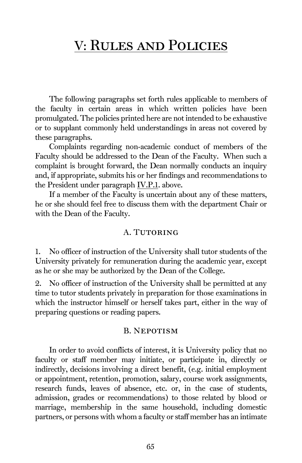The following paragraphs set forth rules applicable to members of the faculty in certain areas in which written policies have been promulgated. The policies printed here are not intended to be exhaustive or to supplant commonly held understandings in areas not covered by these paragraphs.

Complaints regarding non-academic conduct of members of the Faculty should be addressed to the Dean of the Faculty. When such a complaint is brought forward, the Dean normally conducts an inquiry and, if appropriate, submits his or her findings and recommendations to the President under paragrap[h IV.P.1.](#page-68-0) above.

If a member of the Faculty is uncertain about any of these matters, he or she should feel free to discuss them with the department Chair or with the Dean of the Faculty.

#### A. TUTORING

1. No officer of instruction of the University shall tutor students of the University privately for remuneration during the academic year, except as he or she may be authorized by the Dean of the College.

2. No officer of instruction of the University shall be permitted at any time to tutor students privately in preparation for those examinations in which the instructor himself or herself takes part, either in the way of preparing questions or reading papers.

#### B. Nepotism

In order to avoid conflicts of interest, it is University policy that no faculty or staff member may initiate, or participate in, directly or indirectly, decisions involving a direct benefit, (e.g. initial employment or appointment, retention, promotion, salary, course work assignments, research funds, leaves of absence, etc. or, in the case of students, admission, grades or recommendations) to those related by blood or marriage, membership in the same household, including domestic partners, or persons with whom a faculty or staff member has an intimate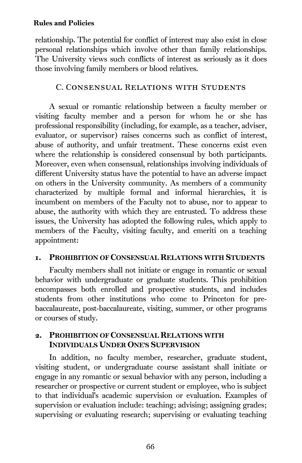relationship. The potential for conflict of interest may also exist in close personal relationships which involve other than family relationships. The University views such conflicts of interest as seriously as it does those involving family members or blood relatives.

#### C. Consensual Relations with Students

A sexual or romantic relationship between a faculty member or visiting faculty member and a person for whom he or she has professional responsibility (including, for example, as a teacher, adviser, evaluator, or supervisor) raises concerns such as conflict of interest, abuse of authority, and unfair treatment. These concerns exist even where the relationship is considered consensual by both participants. Moreover, even when consensual, relationships involving individuals of different University status have the potential to have an adverse impact on others in the University community. As members of a community characterized by multiple formal and informal hierarchies, it is incumbent on members of the Faculty not to abuse, nor to appear to abuse, the authority with which they are entrusted. To address these issues, the University has adopted the following rules, which apply to members of the Faculty, visiting faculty, and emeriti on a teaching appointment:

#### 1. PROHIBITION OF CONSENSUAL RELATIONS WITH STUDENTS

Faculty members shall not initiate or engage in romantic or sexual behavior with undergraduate or graduate students. This prohibition encompasses both enrolled and prospective students, and includes students from other institutions who come to Princeton for prebaccalaureate, post-baccalaureate, visiting, summer, or other programs or courses of study.

#### 2. PROHIBITION OF CONSENSUAL RELATIONS WITH INDIVIDUALS UNDER ONE'S SUPERVISION

In addition, no faculty member, researcher, graduate student, visiting student, or undergraduate course assistant shall initiate or engage in any romantic or sexual behavior with any person, including a researcher or prospective or current student or employee, who is subject to that individual's academic supervision or evaluation. Examples of supervision or evaluation include: teaching; advising; assigning grades; supervising or evaluating research; supervising or evaluating teaching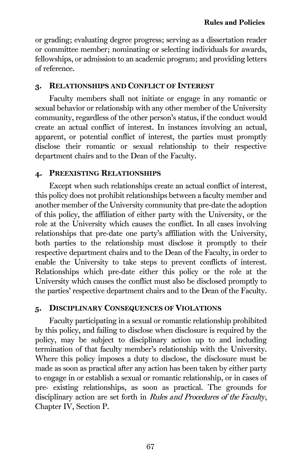or grading; evaluating degree progress; serving as a dissertation reader or committee member; nominating or selecting individuals for awards, fellowships, or admission to an academic program; and providing letters of reference.

#### 3. RELATIONSHIPS AND CONFLICT OF INTEREST

Faculty members shall not initiate or engage in any romantic or sexual behavior or relationship with any other member of the University community, regardless of the other person's status, if the conduct would create an actual conflict of interest. In instances involving an actual, apparent, or potential conflict of interest, the parties must promptly disclose their romantic or sexual relationship to their respective department chairs and to the Dean of the Faculty.

#### 4. PREEXISTING RELATIONSHIPS

Except when such relationships create an actual conflict of interest, this policy does not prohibit relationships between a faculty member and another member of the University community that pre-date the adoption of this policy, the affiliation of either party with the University, or the role at the University which causes the conflict. In all cases involving relationships that pre-date one party's affiliation with the University, both parties to the relationship must disclose it promptly to their respective department chairs and to the Dean of the Faculty, in order to enable the University to take steps to prevent conflicts of interest. Relationships which pre-date either this policy or the role at the University which causes the conflict must also be disclosed promptly to the parties' respective department chairs and to the Dean of the Faculty.

#### 5. DISCIPLINARY CONSEQUENCES OF VIOLATIONS

Faculty participating in a sexual or romantic relationship prohibited by this policy, and failing to disclose when disclosure is required by the policy, may be subject to disciplinary action up to and including termination of that faculty member's relationship with the University. Where this policy imposes a duty to disclose, the disclosure must be made as soon as practical after any action has been taken by either party to engage in or establish a sexual or romantic relationship, or in cases of pre- existing relationships, as soon as practical. The grounds for disciplinary action are set forth in Rules and Procedures of the Faculty, Chapter IV, Section P.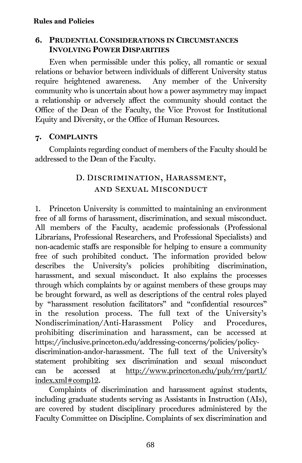#### 6. PRUDENTIAL CONSIDERATIONS IN CIRCUMSTANCES INVOLVING POWER DISPARITIES

Even when permissible under this policy, all romantic or sexual relations or behavior between individuals of different University status require heightened awareness. Any member of the University community who is uncertain about how a power asymmetry may impact a relationship or adversely affect the community should contact the Office of the Dean of the Faculty, the Vice Provost for Institutional Equity and Diversity, or the Office of Human Resources.

#### 7. COMPLAINTS

Complaints regarding conduct of members of the Faculty should be addressed to the Dean of the Faculty.

## D. Discrimination, Harassment, and Sexual Misconduct

1. Princeton University is committed to maintaining an environment free of all forms of harassment, discrimination, and sexual misconduct. All members of the Faculty, academic professionals (Professional Librarians, Professional Researchers, and Professional Specialists) and non-academic staffs are responsible for helping to ensure a community free of such prohibited conduct. The information provided below describes the University's policies prohibiting discrimination, harassment, and sexual misconduct. It also explains the processes through which complaints by or against members of these groups may be brought forward, as well as descriptions of the central roles played by "harassment resolution facilitators" and "confidential resources" in the resolution process. The full text of the University's Nondiscrimination/Anti-Harassment Policy and Procedures, prohibiting discrimination and harassment, can be accessed at [https://inclusive.princeton.edu/addressing-concerns/policies/policy](https://inclusive.princeton.edu/addressing-concerns/policies/policy-discrimination-andor-harassment)[discrimination-andor-harassment.](https://inclusive.princeton.edu/addressing-concerns/policies/policy-discrimination-andor-harassment) The full text of the University's statement prohibiting sex discrimination and sexual misconduct can be accessed at [http://www.princeton.edu/pub/rrr/part1/](http://www.princeton.edu/pub/rrr/part1/%20index.xml#comp12)  [index.xml#comp12.](http://www.princeton.edu/pub/rrr/part1/%20index.xml#comp12)

Complaints of discrimination and harassment against students, including graduate students serving as Assistants in Instruction (AIs), are covered by student disciplinary procedures administered by the Faculty Committee on Discipline. Complaints of sex discrimination and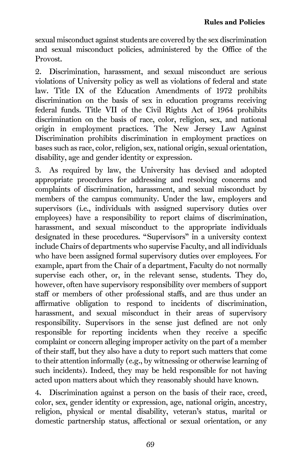sexual misconduct against students are covered by the sex discrimination and sexual misconduct policies, administered by the Office of the Provost.

2. Discrimination, harassment, and sexual misconduct are serious violations of University policy as well as violations of federal and state law. Title IX of the Education Amendments of 1972 prohibits discrimination on the basis of sex in education programs receiving federal funds. Title VII of the Civil Rights Act of 1964 prohibits discrimination on the basis of race, color, religion, sex, and national origin in employment practices. The New Jersey Law Against Discrimination prohibits discrimination in employment practices on bases such as race, color, religion, sex, national origin, sexual orientation, disability, age and gender identity or expression.

3. As required by law, the University has devised and adopted appropriate procedures for addressing and resolving concerns and complaints of discrimination, harassment, and sexual misconduct by members of the campus community. Under the law, employers and supervisors (i.e., individuals with assigned supervisory duties over employees) have a responsibility to report claims of discrimination, harassment, and sexual misconduct to the appropriate individuals designated in these procedures. "Supervisors" in a university context include Chairs of departments who supervise Faculty, and all individuals who have been assigned formal supervisory duties over employees. For example, apart from the Chair of a department, Faculty do not normally supervise each other, or, in the relevant sense, students. They do, however, often have supervisory responsibility over members of support staff or members of other professional staffs, and are thus under an affirmative obligation to respond to incidents of discrimination, harassment, and sexual misconduct in their areas of supervisory responsibility. Supervisors in the sense just defined are not only responsible for reporting incidents when they receive a specific complaint or concern alleging improper activity on the part of a member of their staff, but they also have a duty to report such matters that come to their attention informally (e.g., by witnessing or otherwise learning of such incidents). Indeed, they may be held responsible for not having acted upon matters about which they reasonably should have known.

4. Discrimination against a person on the basis of their race, creed, color, sex, gender identity or expression, age, national origin, ancestry, religion, physical or mental disability, veteran's status, marital or domestic partnership status, affectional or sexual orientation, or any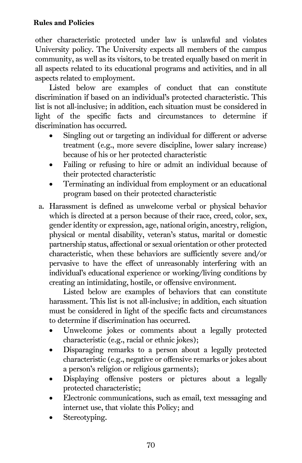other characteristic protected under law is unlawful and violates University policy. The University expects all members of the campus community, as well as its visitors, to be treated equally based on merit in all aspects related to its educational programs and activities, and in all aspects related to employment.

Listed below are examples of conduct that can constitute discrimination if based on an individual's protected characteristic. This list is not all-inclusive; in addition, each situation must be considered in light of the specific facts and circumstances to determine if discrimination has occurred.

- Singling out or targeting an individual for different or adverse treatment (e.g., more severe discipline, lower salary increase) because of his or her protected characteristic
- Failing or refusing to hire or admit an individual because of their protected characteristic
- Terminating an individual from employment or an educational program based on their protected characteristic
- a. Harassment is defined as unwelcome verbal or physical behavior which is directed at a person because of their race, creed, color, sex, gender identity or expression, age, national origin, ancestry, religion, physical or mental disability, veteran's status, marital or domestic partnership status, affectional or sexual orientation or other protected characteristic, when these behaviors are sufficiently severe and/or pervasive to have the effect of unreasonably interfering with an individual's educational experience or working/living conditions by creating an intimidating, hostile, or offensive environment.

Listed below are examples of behaviors that can constitute harassment. This list is not all-inclusive; in addition, each situation must be considered in light of the specific facts and circumstances to determine if discrimination has occurred.

- Unwelcome jokes or comments about a legally protected characteristic (e.g., racial or ethnic jokes);
- Disparaging remarks to a person about a legally protected characteristic (e.g., negative or offensive remarks or jokes about a person's religion or religious garments);
- Displaying offensive posters or pictures about a legally protected characteristic;
- Electronic communications, such as email, text messaging and internet use, that violate this Policy; and
- Stereotyping.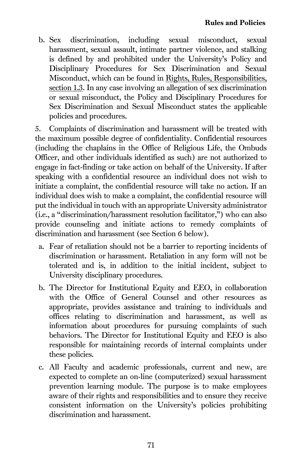b. Sex discrimination, including sexual misconduct, sexual harassment, sexual assault, intimate partner violence, and stalking is defined by and prohibited under the University's Policy and Disciplinary Procedures for Sex Discrimination and Sexual Misconduct, which can be found in [Rights, Rules, Responsibilities,](https://rrr.princeton.edu/university#comp13)  [section 1.3.](https://rrr.princeton.edu/university#comp13) In any case involving an allegation of sex discrimination or sexual misconduct, the Policy and Disciplinary Procedures for Sex Discrimination and Sexual Misconduct states the applicable policies and procedures.

5. Complaints of discrimination and harassment will be treated with the maximum possible degree of confidentiality. Confidential resources (including the chaplains in the Office of Religious Life, the Ombuds Officer, and other individuals identified as such) are not authorized to engage in fact-finding or take action on behalf of the University. If after speaking with a confidential resource an individual does not wish to initiate a complaint, the confidential resource will take no action. If an individual does wish to make a complaint, the confidential resource will put the individual in touch with an appropriate University administrator (i.e., a "discrimination/harassment resolution facilitator,") who can also provide counseling and initiate actions to remedy complaints of discrimination and harassment (see Section 6 below).

- a. Fear of retaliation should not be a barrier to reporting incidents of discrimination or harassment. Retaliation in any form will not be tolerated and is, in addition to the initial incident, subject to University disciplinary procedures.
- b. The Director for Institutional Equity and EEO, in collaboration with the Office of General Counsel and other resources as appropriate, provides assistance and training to individuals and offices relating to discrimination and harassment, as well as information about procedures for pursuing complaints of such behaviors. The Director for Institutional Equity and EEO is also responsible for maintaining records of internal complaints under these policies.
- c. All Faculty and academic professionals, current and new, are expected to complete an on-line (computerized) sexual harassment prevention learning module. The purpose is to make employees aware of their rights and responsibilities and to ensure they receive consistent information on the University's policies prohibiting discrimination and harassment.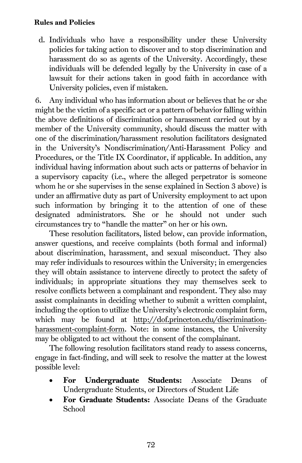d. Individuals who have a responsibility under these University policies for taking action to discover and to stop discrimination and harassment do so as agents of the University. Accordingly, these individuals will be defended legally by the University in case of a lawsuit for their actions taken in good faith in accordance with University policies, even if mistaken.

6. Any individual who has information about or believes that he or she might be the victim of a specific act or a pattern of behavior falling within the above definitions of discrimination or harassment carried out by a member of the University community, should discuss the matter with one of the discrimination/harassment resolution facilitators designated in the University's Nondiscrimination/Anti-Harassment Policy and Procedures, or the Title IX Coordinator, if applicable. In addition, any individual having information about such acts or patterns of behavior in a supervisory capacity (i.e., where the alleged perpetrator is someone whom he or she supervises in the sense explained in Section 3 above) is under an affirmative duty as part of University employment to act upon such information by bringing it to the attention of one of these designated administrators. She or he should not under such circumstances try to "handle the matter" on her or his own.

These resolution facilitators, listed below, can provide information, answer questions, and receive complaints (both formal and informal) about discrimination, harassment, and sexual misconduct. They also may refer individuals to resources within the University; in emergencies they will obtain assistance to intervene directly to protect the safety of individuals; in appropriate situations they may themselves seek to resolve conflicts between a complainant and respondent. They also may assist complainants in deciding whether to submit a written complaint, including the option to utilize the University's electronic complaint form, which may be found at [http://dof.princeton.edu/discrimination](http://dof.princeton.edu/discrimination-harassment-complaint-form)[harassment-complaint-form.](http://dof.princeton.edu/discrimination-harassment-complaint-form) Note: in some instances, the University may be obligated to act without the consent of the complainant.

The following resolution facilitators stand ready to assess concerns, engage in fact-finding, and will seek to resolve the matter at the lowest possible level:

- For Undergraduate Students: Associate Deans of Undergraduate Students, or Directors of Student Life
- For Graduate Students: Associate Deans of the Graduate School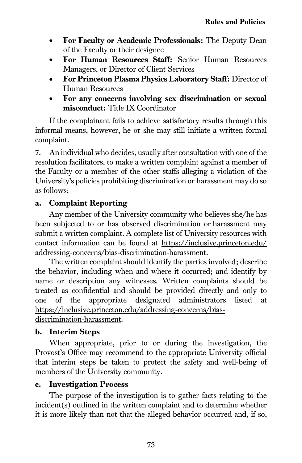- For Faculty or Academic Professionals: The Deputy Dean of the Faculty or their designee
- For Human Resources Staff: Senior Human Resources Managers, or Director of Client Services
- For Princeton Plasma Physics Laboratory Staff: Director of Human Resources
- For any concerns involving sex discrimination or sexual misconduct: Title IX Coordinator

If the complainant fails to achieve satisfactory results through this informal means, however, he or she may still initiate a written formal complaint.

7. An individual who decides, usually after consultation with one of the resolution facilitators, to make a written complaint against a member of the Faculty or a member of the other staffs alleging a violation of the University's policies prohibiting discrimination or harassment may do so as follows:

## a. Complaint Reporting

Any member of the University community who believes she/he has been subjected to or has observed discrimination or harassment may submit a written complaint. A complete list of University resources with contact information can be found at [https://inclusive.princeton.edu/](https://inclusive.princeton.edu/%20addressing-concerns/bias-discrimination-harassment)  [addressing-concerns/bias-discrimination-harassment.](https://inclusive.princeton.edu/%20addressing-concerns/bias-discrimination-harassment) 

The written complaint should identify the parties involved; describe the behavior, including when and where it occurred; and identify by name or description any witnesses. Written complaints should be treated as confidential and should be provided directly and only to one of the appropriate designated administrators listed at [https://inclusive.princeton.edu/addressing-concerns/bias](https://inclusive.princeton.edu/addressing-concerns/bias-discrimination-harassment)[discrimination-harassment.](https://inclusive.princeton.edu/addressing-concerns/bias-discrimination-harassment) 

## b. Interim Steps

When appropriate, prior to or during the investigation, the Provost's Office may recommend to the appropriate University official that interim steps be taken to protect the safety and well-being of members of the University community.

## c. Investigation Process

The purpose of the investigation is to gather facts relating to the incident(s) outlined in the written complaint and to determine whether it is more likely than not that the alleged behavior occurred and, if so,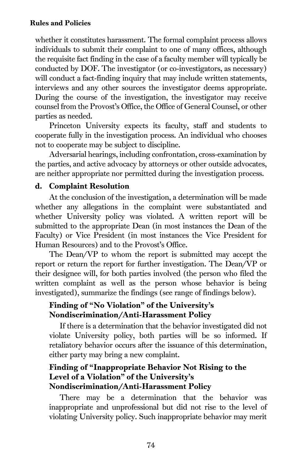whether it constitutes harassment. The formal complaint process allows individuals to submit their complaint to one of many offices, although the requisite fact finding in the case of a faculty member will typically be conducted by DOF. The investigator (or co-investigators, as necessary) will conduct a fact-finding inquiry that may include written statements, interviews and any other sources the investigator deems appropriate. During the course of the investigation, the investigator may receive counsel from the Provost's Office, the Office of General Counsel, or other parties as needed.

Princeton University expects its faculty, staff and students to cooperate fully in the investigation process. An individual who chooses not to cooperate may be subject to discipline.

Adversarial hearings, including confrontation, cross-examination by the parties, and active advocacy by attorneys or other outside advocates, are neither appropriate nor permitted during the investigation process.

#### d. Complaint Resolution

At the conclusion of the investigation, a determination will be made whether any allegations in the complaint were substantiated and whether University policy was violated. A written report will be submitted to the appropriate Dean (in most instances the Dean of the Faculty) or Vice President (in most instances the Vice President for Human Resources) and to the Provost's Office.

The Dean/VP to whom the report is submitted may accept the report or return the report for further investigation. The Dean/VP or their designee will, for both parties involved (the person who filed the written complaint as well as the person whose behavior is being investigated), summarize the findings (see range of findings below).

## Finding of "No Violation" of the University's Nondiscrimination/Anti-Harassment Policy

If there is a determination that the behavior investigated did not violate University policy, both parties will be so informed. If retaliatory behavior occurs after the issuance of this determination, either party may bring a new complaint.

## Finding of "Inappropriate Behavior Not Rising to the Level of a Violation" of the University's Nondiscrimination/Anti-Harassment Policy

There may be a determination that the behavior was inappropriate and unprofessional but did not rise to the level of violating University policy. Such inappropriate behavior may merit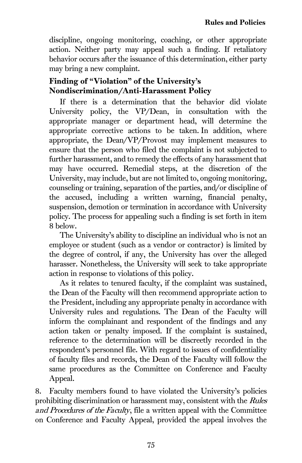discipline, ongoing monitoring, coaching, or other appropriate action. Neither party may appeal such a finding. If retaliatory behavior occurs after the issuance of this determination, either party may bring a new complaint.

## Finding of "Violation" of the University's Nondiscrimination/Anti-Harassment Policy

If there is a determination that the behavior did violate University policy, the VP/Dean, in consultation with the appropriate manager or department head, will determine the appropriate corrective actions to be taken. In addition, where appropriate, the Dean/VP/Provost may implement measures to ensure that the person who filed the complaint is not subjected to further harassment, and to remedy the effects of any harassment that may have occurred. Remedial steps, at the discretion of the University, may include, but are not limited to, ongoing monitoring, counseling or training, separation of the parties, and/or discipline of the accused, including a written warning, financial penalty, suspension, demotion or termination in accordance with University policy. The process for appealing such a finding is set forth in item 8 below.

The University's ability to discipline an individual who is not an employee or student (such as a vendor or contractor) is limited by the degree of control, if any, the University has over the alleged harasser. Nonetheless, the University will seek to take appropriate action in response to violations of this policy.

As it relates to tenured faculty, if the complaint was sustained, the Dean of the Faculty will then recommend appropriate action to the President, including any appropriate penalty in accordance with University rules and regulations. The Dean of the Faculty will inform the complainant and respondent of the findings and any action taken or penalty imposed. If the complaint is sustained, reference to the determination will be discreetly recorded in the respondent's personnel file. With regard to issues of confidentiality of faculty files and records, the Dean of the Faculty will follow the same procedures as the Committee on Conference and Faculty Appeal.

8. Faculty members found to have violated the University's policies prohibiting discrimination or harassment may, consistent with the Rules and Procedures of the Faculty, file a written appeal with the Committee on Conference and Faculty Appeal, provided the appeal involves the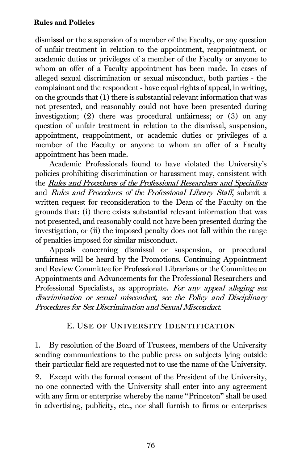dismissal or the suspension of a member of the Faculty, or any question of unfair treatment in relation to the appointment, reappointment, or academic duties or privileges of a member of the Faculty or anyone to whom an offer of a Faculty appointment has been made. In cases of alleged sexual discrimination or sexual misconduct, both parties - the complainant and the respondent - have equal rights of appeal, in writing, on the grounds that (1) there is substantial relevant information that was not presented, and reasonably could not have been presented during investigation; (2) there was procedural unfairness; or (3) on any question of unfair treatment in relation to the dismissal, suspension, appointment, reappointment, or academic duties or privileges of a member of the Faculty or anyone to whom an offer of a Faculty appointment has been made.

Academic Professionals found to have violated the University's policies prohibiting discrimination or harassment may, consistent with the Rules and Procedures of the Professional Researchers and Specialists and Rules and Procedures of the Professional Library Staff, submit a written request for reconsideration to the Dean of the Faculty on the grounds that: (i) there exists substantial relevant information that was not presented, and reasonably could not have been presented during the investigation, or (ii) the imposed penalty does not fall within the range of penalties imposed for similar misconduct.

Appeals concerning dismissal or suspension, or procedural unfairness will be heard by the Promotions, Continuing Appointment and Review Committee for Professional Librarians or the Committee on Appointments and Advancements for the Professional Researchers and Professional Specialists, as appropriate. For any appeal alleging sex discrimination or sexual misconduct, see the Policy and Disciplinary Procedures for Sex Discrimination and Sexual Misconduct.

#### E. Use of University Identification

1. By resolution of the Board of Trustees, members of the University sending communications to the public press on subjects lying outside their particular field are requested not to use the name of the University.

2. Except with the formal consent of the President of the University, no one connected with the University shall enter into any agreement with any firm or enterprise whereby the name "Princeton" shall be used in advertising, publicity, etc., nor shall furnish to firms or enterprises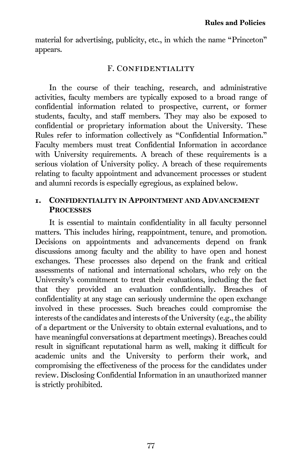material for advertising, publicity, etc., in which the name "Princeton" appears.

#### F. CONFIDENTIALITY

<span id="page-87-0"></span>In the course of their teaching, research, and administrative activities, faculty members are typically exposed to a broad range of confidential information related to prospective, current, or former students, faculty, and staff members. They may also be exposed to confidential or proprietary information about the University. These Rules refer to information collectively as "Confidential Information." Faculty members must treat Confidential Information in accordance with University requirements. A breach of these requirements is a serious violation of University policy. A breach of these requirements relating to faculty appointment and advancement processes or student and alumni records is especially egregious, as explained below.

#### 1. CONFIDENTIALITY IN APPOINTMENT AND ADVANCEMENT **PROCESSES**

It is essential to maintain confidentiality in all faculty personnel matters. This includes hiring, reappointment, tenure, and promotion. Decisions on appointments and advancements depend on frank discussions among faculty and the ability to have open and honest exchanges. These processes also depend on the frank and critical assessments of national and international scholars, who rely on the University's commitment to treat their evaluations, including the fact that they provided an evaluation confidentially. Breaches of confidentiality at any stage can seriously undermine the open exchange involved in these processes. Such breaches could compromise the interests of the candidates and interests of the University (e.g., the ability of a department or the University to obtain external evaluations, and to have meaningful conversations at department meetings). Breaches could result in significant reputational harm as well, making it difficult for academic units and the University to perform their work, and compromising the effectiveness of the process for the candidates under review. Disclosing Confidential Information in an unauthorized manner is strictly prohibited.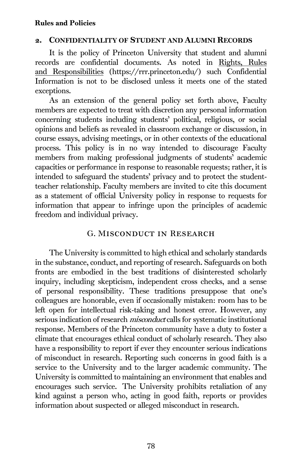#### 2. CONFIDENTIALITY OF STUDENT AND ALUMNI RECORDS

It is the policy of Princeton University that student and alumni records are confidential documents. As noted in Rights, Rules and Responsibilities (https://rrr.princeton.edu/) such Confidential Information is not to be disclosed unless it meets one of the stated exceptions.

As an extension of the general policy set forth above, Faculty members are expected to treat with discretion any personal information concerning students including students' political, religious, or social opinions and beliefs as revealed in classroom exchange or discussion, in course essays, advising meetings, or in other contexts of the educational process. This policy is in no way intended to discourage Faculty members from making professional judgments of students' academic capacities or performance in response to reasonable requests; rather, it is intended to safeguard the students' privacy and to protect the studentteacher relationship. Faculty members are invited to cite this document as a statement of official University policy in response to requests for information that appear to infringe upon the principles of academic freedom and individual privacy.

#### G. Misconduct in Research

The University is committed to high ethical and scholarly standards in the substance, conduct, and reporting of research. Safeguards on both fronts are embodied in the best traditions of disinterested scholarly inquiry, including skepticism, independent cross checks, and a sense of personal responsibility. These traditions presuppose that one's colleagues are honorable, even if occasionally mistaken: room has to be left open for intellectual risk-taking and honest error. However, any serious indication of research *misconduct* calls for systematic institutional response. Members of the Princeton community have a duty to foster a climate that encourages ethical conduct of scholarly research. They also have a responsibility to report if ever they encounter serious indications of misconduct in research. Reporting such concerns in good faith is a service to the University and to the larger academic community. The University is committed to maintaining an environment that enables and encourages such service. The University prohibits retaliation of any kind against a person who, acting in good faith, reports or provides information about suspected or alleged misconduct in research.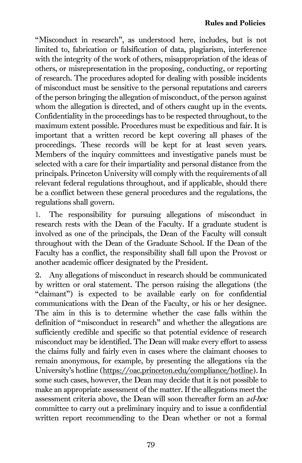"Misconduct in research", as understood here, includes, but is not limited to, fabrication or falsification of data, plagiarism, interference with the integrity of the work of others, misappropriation of the ideas of others, or misrepresentation in the proposing, conducting, or reporting of research. The procedures adopted for dealing with possible incidents of misconduct must be sensitive to the personal reputations and careers of the person bringing the allegation of misconduct, of the person against whom the allegation is directed, and of others caught up in the events. Confidentiality in the proceedings has to be respected throughout, to the maximum extent possible. Procedures must be expeditious and fair. It is important that a written record be kept covering all phases of the proceedings. These records will be kept for at least seven years. Members of the inquiry committees and investigative panels must be selected with a care for their impartiality and personal distance from the principals. Princeton University will comply with the requirements of all relevant federal regulations throughout, and if applicable, should there be a conflict between these general procedures and the regulations, the regulations shall govern.

1. The responsibility for pursuing allegations of misconduct in research rests with the Dean of the Faculty. If a graduate student is involved as one of the principals, the Dean of the Faculty will consult throughout with the Dean of the Graduate School. If the Dean of the Faculty has a conflict, the responsibility shall fall upon the Provost or another academic officer designated by the President.

2. Any allegations of misconduct in research should be communicated by written or oral statement. The person raising the allegations (the "claimant") is expected to be available early on for confidential communications with the Dean of the Faculty, or his or her designee. The aim in this is to determine whether the case falls within the definition of "misconduct in research" and whether the allegations are sufficiently credible and specific so that potential evidence of research misconduct may be identified. The Dean will make every effort to assess the claims fully and fairly even in cases where the claimant chooses to remain anonymous, for example, by presenting the allegations via the University's hotline [\(https://oac.princeton.edu/compliance/hotline\)](https://oac.princeton.edu/compliance/hotline). In some such cases, however, the Dean may decide that it is not possible to make an appropriate assessment of the matter. If the allegations meet the assessment criteria above, the Dean will soon thereafter form an ad-hoc committee to carry out a preliminary inquiry and to issue a confidential written report recommending to the Dean whether or not a formal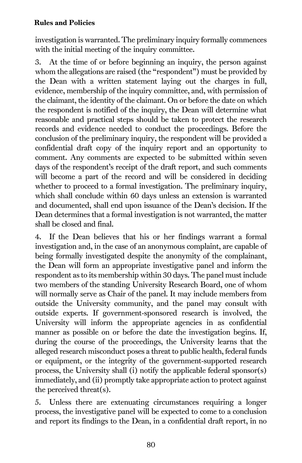investigation is warranted. The preliminary inquiry formally commences with the initial meeting of the inquiry committee.

3. At the time of or before beginning an inquiry, the person against whom the allegations are raised (the "respondent") must be provided by the Dean with a written statement laying out the charges in full, evidence, membership of the inquiry committee, and, with permission of the claimant, the identity of the claimant. On or before the date on which the respondent is notified of the inquiry, the Dean will determine what reasonable and practical steps should be taken to protect the research records and evidence needed to conduct the proceedings. Before the conclusion of the preliminary inquiry, the respondent will be provided a confidential draft copy of the inquiry report and an opportunity to comment. Any comments are expected to be submitted within seven days of the respondent's receipt of the draft report, and such comments will become a part of the record and will be considered in deciding whether to proceed to a formal investigation. The preliminary inquiry, which shall conclude within 60 days unless an extension is warranted and documented, shall end upon issuance of the Dean's decision. If the Dean determines that a formal investigation is not warranted, the matter shall be closed and final.

4. If the Dean believes that his or her findings warrant a formal investigation and, in the case of an anonymous complaint, are capable of being formally investigated despite the anonymity of the complainant, the Dean will form an appropriate investigative panel and inform the respondent as to its membership within 30 days. The panel must include two members of the standing University Research Board, one of whom will normally serve as Chair of the panel. It may include members from outside the University community, and the panel may consult with outside experts. If government-sponsored research is involved, the University will inform the appropriate agencies in as confidential manner as possible on or before the date the investigation begins. If, during the course of the proceedings, the University learns that the alleged research misconduct poses a threat to public health, federal funds or equipment, or the integrity of the government-supported research process, the University shall (i) notify the applicable federal sponsor(s) immediately, and (ii) promptly take appropriate action to protect against the perceived threat(s).

5. Unless there are extenuating circumstances requiring a longer process, the investigative panel will be expected to come to a conclusion and report its findings to the Dean, in a confidential draft report, in no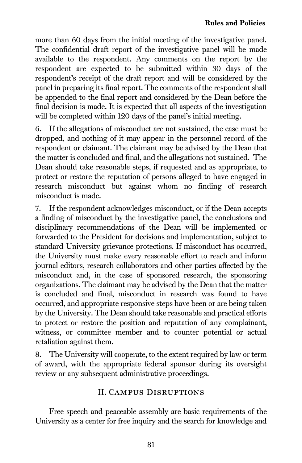more than 60 days from the initial meeting of the investigative panel. The confidential draft report of the investigative panel will be made available to the respondent. Any comments on the report by the respondent are expected to be submitted within 30 days of the respondent's receipt of the draft report and will be considered by the panel in preparing its final report. The comments of the respondent shall be appended to the final report and considered by the Dean before the final decision is made. It is expected that all aspects of the investigation will be completed within 120 days of the panel's initial meeting.

6. If the allegations of misconduct are not sustained, the case must be dropped, and nothing of it may appear in the personnel record of the respondent or claimant. The claimant may be advised by the Dean that the matter is concluded and final, and the allegations not sustained. The Dean should take reasonable steps, if requested and as appropriate, to protect or restore the reputation of persons alleged to have engaged in research misconduct but against whom no finding of research misconduct is made.

7. If the respondent acknowledges misconduct, or if the Dean accepts a finding of misconduct by the investigative panel, the conclusions and disciplinary recommendations of the Dean will be implemented or forwarded to the President for decisions and implementation, subject to standard University grievance protections. If misconduct has occurred, the University must make every reasonable effort to reach and inform journal editors, research collaborators and other parties affected by the misconduct and, in the case of sponsored research, the sponsoring organizations. The claimant may be advised by the Dean that the matter is concluded and final, misconduct in research was found to have occurred, and appropriate responsive steps have been or are being taken by the University. The Dean should take reasonable and practical efforts to protect or restore the position and reputation of any complainant, witness, or committee member and to counter potential or actual retaliation against them.

8. The University will cooperate, to the extent required by law or term of award, with the appropriate federal sponsor during its oversight review or any subsequent administrative proceedings.

## H. Campus Disruptions

Free speech and peaceable assembly are basic requirements of the University as a center for free inquiry and the search for knowledge and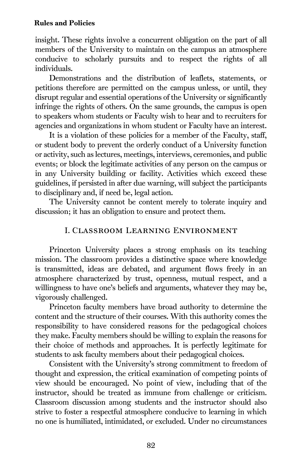insight. These rights involve a concurrent obligation on the part of all members of the University to maintain on the campus an atmosphere conducive to scholarly pursuits and to respect the rights of all individuals.

Demonstrations and the distribution of leaflets, statements, or petitions therefore are permitted on the campus unless, or until, they disrupt regular and essential operations of the University or significantly infringe the rights of others. On the same grounds, the campus is open to speakers whom students or Faculty wish to hear and to recruiters for agencies and organizations in whom student or Faculty have an interest.

It is a violation of these policies for a member of the Faculty, staff, or student body to prevent the orderly conduct of a University function or activity, such as lectures, meetings, interviews, ceremonies, and public events; or block the legitimate activities of any person on the campus or in any University building or facility. Activities which exceed these guidelines, if persisted in after due warning, will subject the participants to disciplinary and, if need be, legal action.

The University cannot be content merely to tolerate inquiry and discussion; it has an obligation to ensure and protect them.

#### I. Classroom Learning Environment

Princeton University places a strong emphasis on its teaching mission. The classroom provides a distinctive space where knowledge is transmitted, ideas are debated, and argument flows freely in an atmosphere characterized by trust, openness, mutual respect, and a willingness to have one's beliefs and arguments, whatever they may be, vigorously challenged.

Princeton faculty members have broad authority to determine the content and the structure of their courses. With this authority comes the responsibility to have considered reasons for the pedagogical choices they make. Faculty members should be willing to explain the reasons for their choice of methods and approaches. It is perfectly legitimate for students to ask faculty members about their pedagogical choices.

Consistent with the University's strong commitment to freedom of thought and expression, the critical examination of competing points of view should be encouraged. No point of view, including that of the instructor, should be treated as immune from challenge or criticism. Classroom discussion among students and the instructor should also strive to foster a respectful atmosphere conducive to learning in which no one is humiliated, intimidated, or excluded. Under no circumstances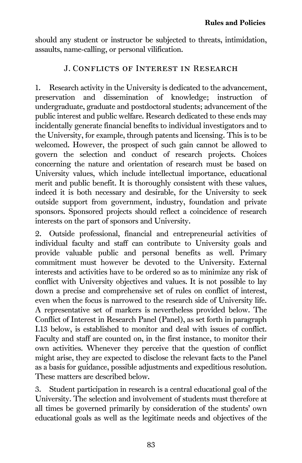should any student or instructor be subjected to threats, intimidation, assaults, name-calling, or personal vilification.

## J. Conflicts of Interest in Research

1. Research activity in the University is dedicated to the advancement, preservation and dissemination of knowledge; instruction of undergraduate, graduate and postdoctoral students; advancement of the public interest and public welfare. Research dedicated to these ends may incidentally generate financial benefits to individual investigators and to the University, for example, through patents and licensing. This is to be welcomed. However, the prospect of such gain cannot be allowed to govern the selection and conduct of research projects. Choices concerning the nature and orientation of research must be based on University values, which include intellectual importance, educational merit and public benefit. It is thoroughly consistent with these values, indeed it is both necessary and desirable, for the University to seek outside support from government, industry, foundation and private sponsors. Sponsored projects should reflect a coincidence of research interests on the part of sponsors and University.

2. Outside professional, financial and entrepreneurial activities of individual faculty and staff can contribute to University goals and provide valuable public and personal benefits as well. Primary commitment must however be devoted to the University. External interests and activities have to be ordered so as to minimize any risk of conflict with University objectives and values. It is not possible to lay down a precise and comprehensive set of rules on conflict of interest, even when the focus is narrowed to the research side of University life. A representative set of markers is nevertheless provided below. The Conflict of Interest in Research Panel (Panel), as set forth in paragraph I.13 below, is established to monitor and deal with issues of conflict. Faculty and staff are counted on, in the first instance, to monitor their own activities. Whenever they perceive that the question of conflict might arise, they are expected to disclose the relevant facts to the Panel as a basis for guidance, possible adjustments and expeditious resolution. These matters are described below.

3. Student participation in research is a central educational goal of the University. The selection and involvement of students must therefore at all times be governed primarily by consideration of the students' own educational goals as well as the legitimate needs and objectives of the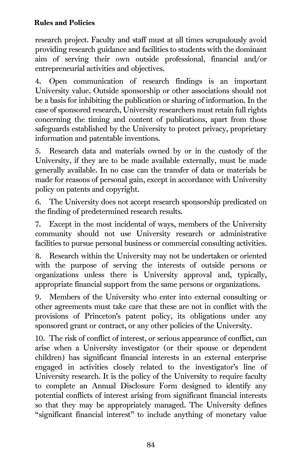research project. Faculty and staff must at all times scrupulously avoid providing research guidance and facilities to students with the dominant aim of serving their own outside professional, financial and/or entrepreneurial activities and objectives.

4. Open communication of research findings is an important University value. Outside sponsorship or other associations should not be a basis for inhibiting the publication or sharing of information. In the case of sponsored research, University researchers must retain full rights concerning the timing and content of publications, apart from those safeguards established by the University to protect privacy, proprietary information and patentable inventions.

5. Research data and materials owned by or in the custody of the University, if they are to be made available externally, must be made generally available. In no case can the transfer of data or materials be made for reasons of personal gain, except in accordance with University policy on patents and copyright.

6. The University does not accept research sponsorship predicated on the finding of predetermined research results.

7. Except in the most incidental of ways, members of the University community should not use University research or administrative facilities to pursue personal business or commercial consulting activities.

8. Research within the University may not be undertaken or oriented with the purpose of serving the interests of outside persons or organizations unless there is University approval and, typically, appropriate financial support from the same persons or organizations.

9. Members of the University who enter into external consulting or other agreements must take care that these are not in conflict with the provisions of Princeton's patent policy, its obligations under any sponsored grant or contract, or any other policies of the University.

10. The risk of conflict of interest, or serious appearance of conflict, can arise when a University investigator (or their spouse or dependent children) has significant financial interests in an external enterprise engaged in activities closely related to the investigator's line of University research. It is the policy of the University to require faculty to complete an Annual Disclosure Form designed to identify any potential conflicts of interest arising from significant financial interests so that they may be appropriately managed. The University defines "significant financial interest" to include anything of monetary value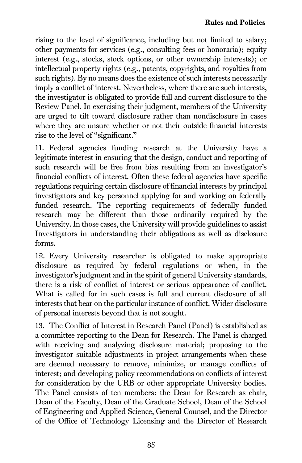rising to the level of significance, including but not limited to salary; other payments for services (e.g., consulting fees or honoraria); equity interest (e.g., stocks, stock options, or other ownership interests); or intellectual property rights (e.g., patents, copyrights, and royalties from such rights). By no means does the existence of such interests necessarily imply a conflict of interest. Nevertheless, where there are such interests, the investigator is obligated to provide full and current disclosure to the Review Panel. In exercising their judgment, members of the University are urged to tilt toward disclosure rather than nondisclosure in cases where they are unsure whether or not their outside financial interests rise to the level of "significant."

11. Federal agencies funding research at the University have a legitimate interest in ensuring that the design, conduct and reporting of such research will be free from bias resulting from an investigator's financial conflicts of interest. Often these federal agencies have specific regulations requiring certain disclosure of financial interests by principal investigators and key personnel applying for and working on federally funded research. The reporting requirements of federally funded research may be different than those ordinarily required by the University. In those cases, the University will provide guidelines to assist Investigators in understanding their obligations as well as disclosure forms.

12. Every University researcher is obligated to make appropriate disclosure as required by federal regulations or when, in the investigator's judgment and in the spirit of general University standards, there is a risk of conflict of interest or serious appearance of conflict. What is called for in such cases is full and current disclosure of all interests that bear on the particular instance of conflict. Wider disclosure of personal interests beyond that is not sought.

13. The Conflict of Interest in Research Panel (Panel) is established as a committee reporting to the Dean for Research. The Panel is charged with receiving and analyzing disclosure material; proposing to the investigator suitable adjustments in project arrangements when these are deemed necessary to remove, minimize, or manage conflicts of interest; and developing policy recommendations on conflicts of interest for consideration by the URB or other appropriate University bodies. The Panel consists of ten members: the Dean for Research as chair, Dean of the Faculty, Dean of the Graduate School, Dean of the School of Engineering and Applied Science, General Counsel, and the Director of the Office of Technology Licensing and the Director of Research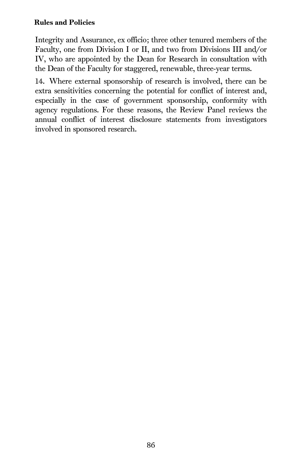Integrity and Assurance, ex officio; three other tenured members of the Faculty, one from Division I or II, and two from Divisions III and/or IV, who are appointed by the Dean for Research in consultation with the Dean of the Faculty for staggered, renewable, three-year terms.

14. Where external sponsorship of research is involved, there can be extra sensitivities concerning the potential for conflict of interest and, especially in the case of government sponsorship, conformity with agency regulations. For these reasons, the Review Panel reviews the annual conflict of interest disclosure statements from investigators involved in sponsored research.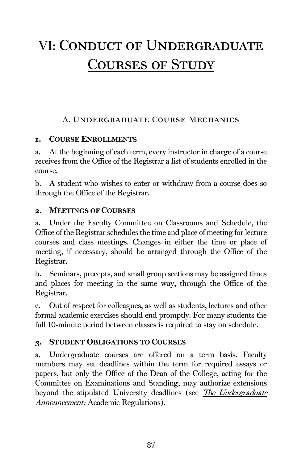## A. Undergraduate Course Mechanics

## 1. COURSE ENROLLMENTS

a. At the beginning of each term, every instructor in charge of a course receives from the Office of the Registrar a list of students enrolled in the course.

b. A student who wishes to enter or withdraw from a course does so through the Office of the Registrar.

#### 2. MEETINGS OF COURSES

a. Under the Faculty Committee on Classrooms and Schedule, the Office of the Registrar schedules the time and place of meeting for lecture courses and class meetings. Changes in either the time or place of meeting, if necessary, should be arranged through the Office of the Registrar.

b. Seminars, precepts, and small group sections may be assigned times and places for meeting in the same way, through the Office of the Registrar.

c. Out of respect for colleagues, as well as students, lectures and other formal academic exercises should end promptly. For many students the full 10-minute period between classes is required to stay on schedule.

## 3. STUDENT OBLIGATIONS TO COURSES

a. Undergraduate courses are offered on a term basis. Faculty members may set deadlines within the term for required essays or papers, but only the Office of the Dean of the College, acting for the Committee on Examinations and Standing, may authorize extensions beyond the stipulated University deadlines (see *The Undergraduate* Announcement: Academic Regulations).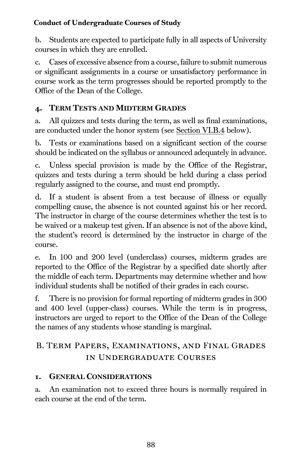b. Students are expected to participate fully in all aspects of University courses in which they are enrolled.

c. Cases of excessive absence from a course, failure to submit numerous or significant assignments in a course or unsatisfactory performance in course work as the term progresses should be reported promptly to the Office of the Dean of the College.

## 4. TERM TESTS AND MIDTERM GRADES

a. All quizzes and tests during the term, as well as final examinations, are conducted under the honor system (see [Section VI.B.4](#page-100-0) below).

b. Tests or examinations based on a significant section of the course should be indicated on the syllabus or announced adequately in advance.

c. Unless special provision is made by the Office of the Registrar, quizzes and tests during a term should be held during a class period regularly assigned to the course, and must end promptly.

d. If a student is absent from a test because of illness or equally compelling cause, the absence is not counted against his or her record. The instructor in charge of the course determines whether the test is to be waived or a makeup test given. If an absence is not of the above kind, the student's record is determined by the instructor in charge of the course.

e. In 100 and 200 level (underclass) courses, midterm grades are reported to the Office of the Registrar by a specified date shortly after the middle of each term. Departments may determine whether and how individual students shall be notified of their grades in each course.

f. There is no provision for formal reporting of midterm grades in 300 and 400 level (upper-class) courses. While the term is in progress, instructors are urged to report to the Office of the Dean of the College the names of any students whose standing is marginal.

## B. Term Papers, Examinations, and Final Grades in Undergraduate Courses

## 1. GENERAL CONSIDERATIONS

a. An examination not to exceed three hours is normally required in each course at the end of the term.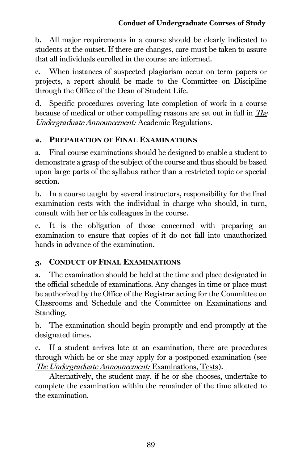b. All major requirements in a course should be clearly indicated to students at the outset. If there are changes, care must be taken to assure that all individuals enrolled in the course are informed.

c. When instances of suspected plagiarism occur on term papers or projects, a report should be made to the Committee on Discipline through the Office of the Dean of Student Life.

d. Specific procedures covering late completion of work in a course because of medical or other compelling reasons are set out in full in The Undergraduate Announcement: Academic Regulations.

## 2. PREPARATION OF FINAL EXAMINATIONS

a. Final course examinations should be designed to enable a student to demonstrate a grasp of the subject of the course and thus should be based upon large parts of the syllabus rather than a restricted topic or special section.

b. In a course taught by several instructors, responsibility for the final examination rests with the individual in charge who should, in turn, consult with her or his colleagues in the course.

c. It is the obligation of those concerned with preparing an examination to ensure that copies of it do not fall into unauthorized hands in advance of the examination.

## 3. CONDUCT OF FINAL EXAMINATIONS

a. The examination should be held at the time and place designated in the official schedule of examinations. Any changes in time or place must be authorized by the Office of the Registrar acting for the Committee on Classrooms and Schedule and the Committee on Examinations and Standing.

b. The examination should begin promptly and end promptly at the designated times.

c. If a student arrives late at an examination, there are procedures through which he or she may apply for a postponed examination (see The Undergraduate Announcement: Examinations, Tests).

Alternatively, the student may, if he or she chooses, undertake to complete the examination within the remainder of the time allotted to the examination.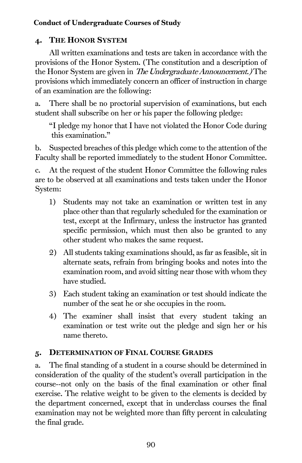## <span id="page-100-0"></span>4. THE HONOR SYSTEM

All written examinations and tests are taken in accordance with the provisions of the Honor System. (The constitution and a description of the Honor System are given in The Undergraduate Announcement.) The provisions which immediately concern an officer of instruction in charge of an examination are the following:

a. There shall be no proctorial supervision of examinations, but each student shall subscribe on her or his paper the following pledge:

"I pledge my honor that I have not violated the Honor Code during this examination."

b. Suspected breaches of this pledge which come to the attention of the Faculty shall be reported immediately to the student Honor Committee.

c. At the request of the student Honor Committee the following rules are to be observed at all examinations and tests taken under the Honor System:

- 1) Students may not take an examination or written test in any place other than that regularly scheduled for the examination or test, except at the Infirmary, unless the instructor has granted specific permission, which must then also be granted to any other student who makes the same request.
- 2) All students taking examinations should, as far as feasible, sit in alternate seats, refrain from bringing books and notes into the examination room, and avoid sitting near those with whom they have studied.
- 3) Each student taking an examination or test should indicate the number of the seat he or she occupies in the room.
- 4) The examiner shall insist that every student taking an examination or test write out the pledge and sign her or his name thereto.

## 5. DETERMINATION OF FINAL COURSE GRADES

a. The final standing of a student in a course should be determined in consideration of the quality of the student's overall participation in the course--not only on the basis of the final examination or other final exercise. The relative weight to be given to the elements is decided by the department concerned, except that in underclass courses the final examination may not be weighted more than fifty percent in calculating the final grade.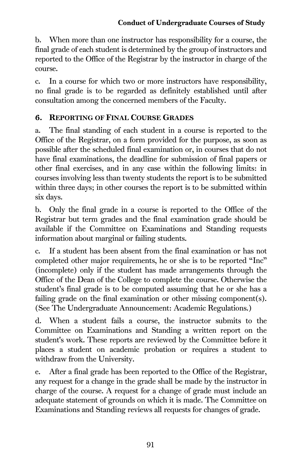b. When more than one instructor has responsibility for a course, the final grade of each student is determined by the group of instructors and reported to the Office of the Registrar by the instructor in charge of the course.

c. In a course for which two or more instructors have responsibility, no final grade is to be regarded as definitely established until after consultation among the concerned members of the Faculty.

#### 6. REPORTING OF FINAL COURSE GRADES

a. The final standing of each student in a course is reported to the Office of the Registrar, on a form provided for the purpose, as soon as possible after the scheduled final examination or, in courses that do not have final examinations, the deadline for submission of final papers or other final exercises, and in any case within the following limits: in courses involving less than twenty students the report is to be submitted within three days; in other courses the report is to be submitted within six days.

b. Only the final grade in a course is reported to the Office of the Registrar but term grades and the final examination grade should be available if the Committee on Examinations and Standing requests information about marginal or failing students.

c. If a student has been absent from the final examination or has not completed other major requirements, he or she is to be reported "Inc" (incomplete) only if the student has made arrangements through the Office of the Dean of the College to complete the course. Otherwise the student's final grade is to be computed assuming that he or she has a failing grade on the final examination or other missing component(s). (See The Undergraduate Announcement: Academic Regulations.)

d. When a student fails a course, the instructor submits to the Committee on Examinations and Standing a written report on the student's work. These reports are reviewed by the Committee before it places a student on academic probation or requires a student to withdraw from the University.

e. After a final grade has been reported to the Office of the Registrar, any request for a change in the grade shall be made by the instructor in charge of the course. A request for a change of grade must include an adequate statement of grounds on which it is made. The Committee on Examinations and Standing reviews all requests for changes of grade.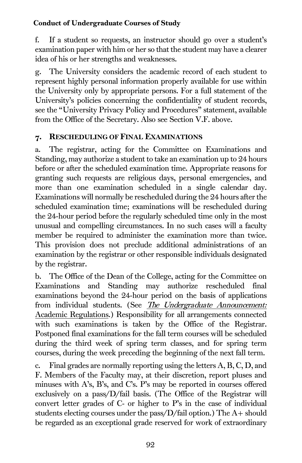f. If a student so requests, an instructor should go over a student's examination paper with him or her so that the student may have a clearer idea of his or her strengths and weaknesses.

g. The University considers the academic record of each student to represent highly personal information properly available for use within the University only by appropriate persons. For a full statement of the University's policies concerning the confidentiality of student records, see the "University Privacy Policy and Procedures" statement, available from the Office of the Secretary. Also see [Section V.F.](#page-87-0) above.

#### 7. RESCHEDULING OF FINAL EXAMINATIONS

a. The registrar, acting for the Committee on Examinations and Standing, may authorize a student to take an examination up to 24 hours before or after the scheduled examination time. Appropriate reasons for granting such requests are religious days, personal emergencies, and more than one examination scheduled in a single calendar day. Examinations will normally be rescheduled during the 24 hours after the scheduled examination time; examinations will be rescheduled during the 24-hour period before the regularly scheduled time only in the most unusual and compelling circumstances. In no such cases will a faculty member be required to administer the examination more than twice. This provision does not preclude additional administrations of an examination by the registrar or other responsible individuals designated by the registrar.

b. The Office of the Dean of the College, acting for the Committee on Examinations and Standing may authorize rescheduled final examinations beyond the 24-hour period on the basis of applications from individual students. (See *The Undergraduate Announcement:* Academic Regulations.) Responsibility for all arrangements connected with such examinations is taken by the Office of the Registrar. Postponed final examinations for the fall term courses will be scheduled during the third week of spring term classes, and for spring term courses, during the week preceding the beginning of the next fall term.

c. Final grades are normally reporting using the letters A, B, C, D, and F. Members of the Faculty may, at their discretion, report pluses and minuses with A's, B's, and C's. P's may be reported in courses offered exclusively on a pass/D/fail basis. (The Office of the Registrar will convert letter grades of C- or higher to P's in the case of individual students electing courses under the pass/D/fail option.) The A+ should be regarded as an exceptional grade reserved for work of extraordinary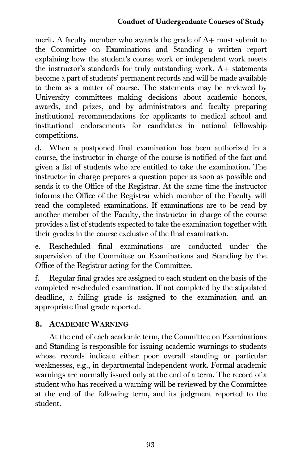merit. A faculty member who awards the grade of A+ must submit to the Committee on Examinations and Standing a written report explaining how the student's course work or independent work meets the instructor's standards for truly outstanding work. A+ statements become a part of students' permanent records and will be made available to them as a matter of course. The statements may be reviewed by University committees making decisions about academic honors, awards, and prizes, and by administrators and faculty preparing institutional recommendations for applicants to medical school and institutional endorsements for candidates in national fellowship competitions.

d. When a postponed final examination has been authorized in a course, the instructor in charge of the course is notified of the fact and given a list of students who are entitled to take the examination. The instructor in charge prepares a question paper as soon as possible and sends it to the Office of the Registrar. At the same time the instructor informs the Office of the Registrar which member of the Faculty will read the completed examinations. If examinations are to be read by another member of the Faculty, the instructor in charge of the course provides a list of students expected to take the examination together with their grades in the course exclusive of the final examination.

e. Rescheduled final examinations are conducted under the supervision of the Committee on Examinations and Standing by the Office of the Registrar acting for the Committee.

f. Regular final grades are assigned to each student on the basis of the completed rescheduled examination. If not completed by the stipulated deadline, a failing grade is assigned to the examination and an appropriate final grade reported.

## 8. ACADEMIC WARNING

At the end of each academic term, the Committee on Examinations and Standing is responsible for issuing academic warnings to students whose records indicate either poor overall standing or particular weaknesses, e.g., in departmental independent work. Formal academic warnings are normally issued only at the end of a term. The record of a student who has received a warning will be reviewed by the Committee at the end of the following term, and its judgment reported to the student.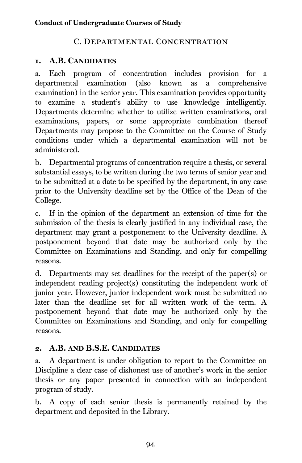## C. Departmental Concentration

#### 1. A.B. CANDIDATES

a. Each program of concentration includes provision for a departmental examination (also known as a comprehensive examination) in the senior year. This examination provides opportunity to examine a student's ability to use knowledge intelligently. Departments determine whether to utilize written examinations, oral examinations, papers, or some appropriate combination thereof Departments may propose to the Committee on the Course of Study conditions under which a departmental examination will not be administered.

b. Departmental programs of concentration require a thesis, or several substantial essays, to be written during the two terms of senior year and to be submitted at a date to be specified by the department, in any case prior to the University deadline set by the Office of the Dean of the College.

c. If in the opinion of the department an extension of time for the submission of the thesis is clearly justified in any individual case, the department may grant a postponement to the University deadline. A postponement beyond that date may be authorized only by the Committee on Examinations and Standing, and only for compelling reasons.

d. Departments may set deadlines for the receipt of the paper(s) or independent reading project(s) constituting the independent work of junior year. However, junior independent work must be submitted no later than the deadline set for all written work of the term. A postponement beyond that date may be authorized only by the Committee on Examinations and Standing, and only for compelling reasons.

## 2. A.B. AND B.S.E. CANDIDATES

a. A department is under obligation to report to the Committee on Discipline a clear case of dishonest use of another's work in the senior thesis or any paper presented in connection with an independent program of study.

b. A copy of each senior thesis is permanently retained by the department and deposited in the Library.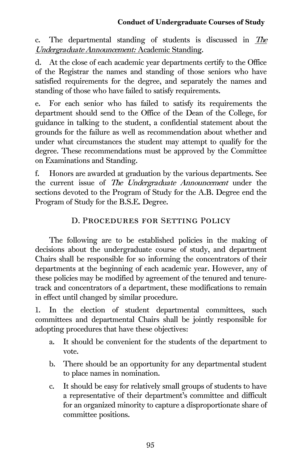c. The departmental standing of students is discussed in The Undergraduate Announcement: Academic Standing.

d. At the close of each academic year departments certify to the Office of the Registrar the names and standing of those seniors who have satisfied requirements for the degree, and separately the names and standing of those who have failed to satisfy requirements.

e. For each senior who has failed to satisfy its requirements the department should send to the Office of the Dean of the College, for guidance in talking to the student, a confidential statement about the grounds for the failure as well as recommendation about whether and under what circumstances the student may attempt to qualify for the degree. These recommendations must be approved by the Committee on Examinations and Standing.

f. Honors are awarded at graduation by the various departments. See the current issue of *The Undergraduate Announcement* under the sections devoted to the Program of Study for the A.B. Degree end the Program of Study for the B.S.E. Degree.

## D. Procedures for Setting Policy

The following are to be established policies in the making of decisions about the undergraduate course of study, and department Chairs shall be responsible for so informing the concentrators of their departments at the beginning of each academic year. However, any of these policies may be modified by agreement of the tenured and tenuretrack and concentrators of a department, these modifications to remain in effect until changed by similar procedure.

1. In the election of student departmental committees, such committees and departmental Chairs shall be jointly responsible for adopting procedures that have these objectives:

- a. It should be convenient for the students of the department to vote.
- b. There should be an opportunity for any departmental student to place names in nomination.
- c. It should be easy for relatively small groups of students to have a representative of their department's committee and difficult for an organized minority to capture a disproportionate share of committee positions.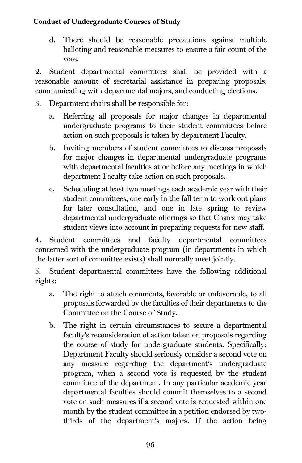d. There should be reasonable precautions against multiple balloting and reasonable measures to ensure a fair count of the vote.

2. Student departmental committees shall be provided with a reasonable amount of secretarial assistance in preparing proposals, communicating with departmental majors, and conducting elections.

- 3. Department chairs shall be responsible for:
	- a. Referring all proposals for major changes in departmental undergraduate programs to their student committees before action on such proposals is taken by department Faculty.
	- b. Inviting members of student committees to discuss proposals for major changes in departmental undergraduate programs with departmental faculties at or before any meetings in which department Faculty take action on such proposals.
	- c. Scheduling at least two meetings each academic year with their student committees, one early in the fall term to work out plans for later consultation, and one in late spring to review departmental undergraduate offerings so that Chairs may take student views into account in preparing requests for new staff.

4. Student committees and faculty departmental committees concerned with the undergraduate program (in departments in which the latter sort of committee exists) shall normally meet jointly.

5. Student departmental committees have the following additional rights:

- a. The right to attach comments, favorable or unfavorable, to all proposals forwarded by the faculties of their departments to the Committee on the Course of Study.
- b. The right in certain circumstances to secure a departmental faculty's reconsideration of action taken on proposals regarding the course of study for undergraduate students. Specifically: Department Faculty should seriously consider a second vote on any measure regarding the department's undergraduate program, when a second vote is requested by the student committee of the department. In any particular academic year departmental faculties should commit themselves to a second vote on such measures if a second vote is requested within one month by the student committee in a petition endorsed by twothirds of the department's majors. If the action being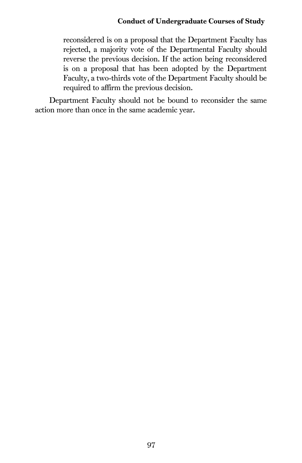reconsidered is on a proposal that the Department Faculty has rejected, a majority vote of the Departmental Faculty should reverse the previous decision. If the action being reconsidered is on a proposal that has been adopted by the Department Faculty, a two-thirds vote of the Department Faculty should be required to affirm the previous decision.

Department Faculty should not be bound to reconsider the same action more than once in the same academic year.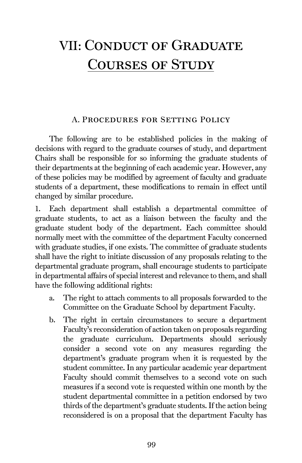## VII: Conduct of Graduate Courses of Study

#### A. Procedures for Setting Policy

The following are to be established policies in the making of decisions with regard to the graduate courses of study, and department Chairs shall be responsible for so informing the graduate students of their departments at the beginning of each academic year. However, any of these policies may be modified by agreement of faculty and graduate students of a department, these modifications to remain in effect until changed by similar procedure.

1. Each department shall establish a departmental committee of graduate students, to act as a liaison between the faculty and the graduate student body of the department. Each committee should normally meet with the committee of the department Faculty concerned with graduate studies, if one exists. The committee of graduate students shall have the right to initiate discussion of any proposals relating to the departmental graduate program, shall encourage students to participate in departmental affairs of special interest and relevance to them, and shall have the following additional rights:

- a. The right to attach comments to all proposals forwarded to the Committee on the Graduate School by department Faculty.
- b. The right in certain circumstances to secure a department Faculty's reconsideration of action taken on proposals regarding the graduate curriculum. Departments should seriously consider a second vote on any measures regarding the department's graduate program when it is requested by the student committee. In any particular academic year department Faculty should commit themselves to a second vote on such measures if a second vote is requested within one month by the student departmental committee in a petition endorsed by two thirds of the department's graduate students. If the action being reconsidered is on a proposal that the department Faculty has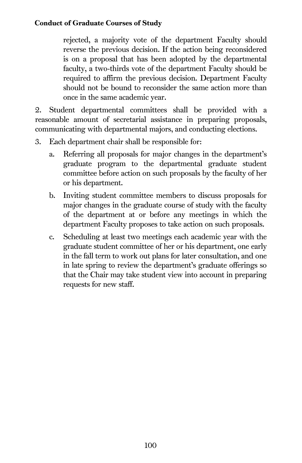#### Conduct of Graduate Courses of Study

rejected, a majority vote of the department Faculty should reverse the previous decision. If the action being reconsidered is on a proposal that has been adopted by the departmental faculty, a two-thirds vote of the department Faculty should be required to affirm the previous decision. Department Faculty should not be bound to reconsider the same action more than once in the same academic year.

2. Student departmental committees shall be provided with a reasonable amount of secretarial assistance in preparing proposals, communicating with departmental majors, and conducting elections.

- 3. Each department chair shall be responsible for:
	- a. Referring all proposals for major changes in the department's graduate program to the departmental graduate student committee before action on such proposals by the faculty of her or his department.
	- b. Inviting student committee members to discuss proposals for major changes in the graduate course of study with the faculty of the department at or before any meetings in which the department Faculty proposes to take action on such proposals.
	- c. Scheduling at least two meetings each academic year with the graduate student committee of her or his department, one early in the fall term to work out plans for later consultation, and one in late spring to review the department's graduate offerings so that the Chair may take student view into account in preparing requests for new staff.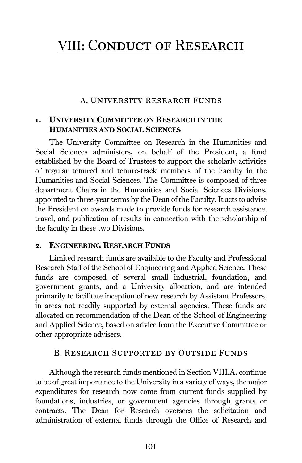## VIII: Conduct of Research

#### A. University Research Funds

#### 1. UNIVERSITY COMMITTEE ON RESEARCH IN THE HUMANITIES AND SOCIAL SCIENCES

The University Committee on Research in the Humanities and Social Sciences administers, on behalf of the President, a fund established by the Board of Trustees to support the scholarly activities of regular tenured and tenure-track members of the Faculty in the Humanities and Social Sciences. The Committee is composed of three department Chairs in the Humanities and Social Sciences Divisions, appointed to three-year terms by the Dean of the Faculty. It acts to advise the President on awards made to provide funds for research assistance, travel, and publication of results in connection with the scholarship of the faculty in these two Divisions.

#### 2. ENGINEERING RESEARCH FUNDS

Limited research funds are available to the Faculty and Professional Research Staff of the School of Engineering and Applied Science. These funds are composed of several small industrial, foundation, and government grants, and a University allocation, and are intended primarily to facilitate inception of new research by Assistant Professors, in areas not readily supported by external agencies. These funds are allocated on recommendation of the Dean of the School of Engineering and Applied Science, based on advice from the Executive Committee or other appropriate advisers.

#### B. Research Supported by Outside Funds

Although the research funds mentioned in Section VIII.A. continue to be of great importance to the University in a variety of ways, the major expenditures for research now come from current funds supplied by foundations, industries, or government agencies through grants or contracts. The Dean for Research oversees the solicitation and administration of external funds through the Office of Research and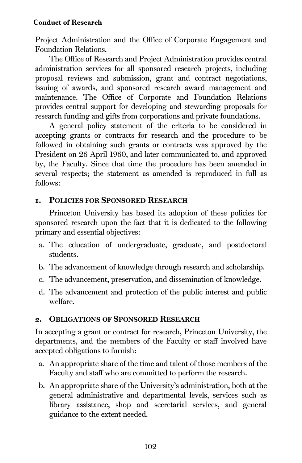#### Conduct of Research

Project Administration and the Office of Corporate Engagement and Foundation Relations.

The Office of Research and Project Administration provides central administration services for all sponsored research projects, including proposal reviews and submission, grant and contract negotiations, issuing of awards, and sponsored research award management and maintenance. The Office of Corporate and Foundation Relations provides central support for developing and stewarding proposals for research funding and gifts from corporations and private foundations.

A general policy statement of the criteria to be considered in accepting grants or contracts for research and the procedure to be followed in obtaining such grants or contracts was approved by the President on 26 April 1960, and later communicated to, and approved by, the Faculty. Since that time the procedure has been amended in several respects; the statement as amended is reproduced in full as follows:

#### 1. POLICIES FOR SPONSORED RESEARCH

Princeton University has based its adoption of these policies for sponsored research upon the fact that it is dedicated to the following primary and essential objectives:

- a. The education of undergraduate, graduate, and postdoctoral students.
- b. The advancement of knowledge through research and scholarship.
- c. The advancement, preservation, and dissemination of knowledge.
- d. The advancement and protection of the public interest and public welfare.

#### 2. OBLIGATIONS OF SPONSORED RESEARCH

In accepting a grant or contract for research, Princeton University, the departments, and the members of the Faculty or staff involved have accepted obligations to furnish:

- a. An appropriate share of the time and talent of those members of the Faculty and staff who are committed to perform the research.
- b. An appropriate share of the University's administration, both at the general administrative and departmental levels, services such as library assistance, shop and secretarial services, and general guidance to the extent needed.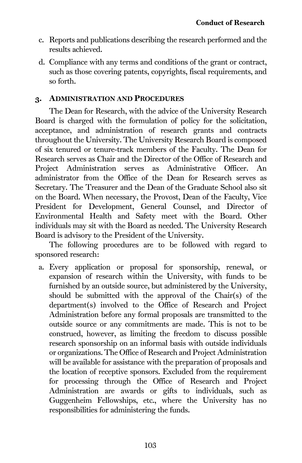- c. Reports and publications describing the research performed and the results achieved.
- d. Compliance with any terms and conditions of the grant or contract, such as those covering patents, copyrights, fiscal requirements, and so forth.

#### 3. ADMINISTRATION AND PROCEDURES

The Dean for Research, with the advice of the University Research Board is charged with the formulation of policy for the solicitation, acceptance, and administration of research grants and contracts throughout the University. The University Research Board is composed of six tenured or tenure-track members of the Faculty. The Dean for Research serves as Chair and the Director of the Office of Research and Project Administration serves as Administrative Officer. An administrator from the Office of the Dean for Research serves as Secretary. The Treasurer and the Dean of the Graduate School also sit on the Board. When necessary, the Provost, Dean of the Faculty, Vice President for Development, General Counsel, and Director of Environmental Health and Safety meet with the Board. Other individuals may sit with the Board as needed. The University Research Board is advisory to the President of the University.

The following procedures are to be followed with regard to sponsored research:

a. Every application or proposal for sponsorship, renewal, or expansion of research within the University, with funds to be furnished by an outside source, but administered by the University, should be submitted with the approval of the Chair(s) of the department(s) involved to the Office of Research and Project Administration before any formal proposals are transmitted to the outside source or any commitments are made. This is not to be construed, however, as limiting the freedom to discuss possible research sponsorship on an informal basis with outside individuals or organizations. The Office of Research and Project Administration will be available for assistance with the preparation of proposals and the location of receptive sponsors. Excluded from the requirement for processing through the Office of Research and Project Administration are awards or gifts to individuals, such as Guggenheim Fellowships, etc., where the University has no responsibilities for administering the funds.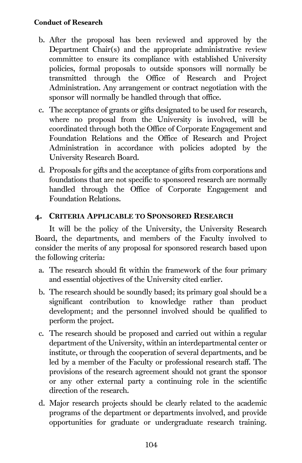- b. After the proposal has been reviewed and approved by the Department Chair(s) and the appropriate administrative review committee to ensure its compliance with established University policies, formal proposals to outside sponsors will normally be transmitted through the Office of Research and Project Administration. Any arrangement or contract negotiation with the sponsor will normally be handled through that office.
- c. The acceptance of grants or gifts designated to be used for research, where no proposal from the University is involved, will be coordinated through both the Office of Corporate Engagement and Foundation Relations and the Office of Research and Project Administration in accordance with policies adopted by the University Research Board.
- d. Proposals for gifts and the acceptance of gifts from corporations and foundations that are not specific to sponsored research are normally handled through the Office of Corporate Engagement and Foundation Relations.

## 4. CRITERIA APPLICABLE TO SPONSORED RESEARCH

It will be the policy of the University, the University Research Board, the departments, and members of the Faculty involved to consider the merits of any proposal for sponsored research based upon the following criteria:

- a. The research should fit within the framework of the four primary and essential objectives of the University cited earlier.
- b. The research should be soundly based; its primary goal should be a significant contribution to knowledge rather than product development; and the personnel involved should be qualified to perform the project.
- c. The research should be proposed and carried out within a regular department of the University, within an interdepartmental center or institute, or through the cooperation of several departments, and be led by a member of the Faculty or professional research staff. The provisions of the research agreement should not grant the sponsor or any other external party a continuing role in the scientific direction of the research.
- d. Major research projects should be clearly related to the academic programs of the department or departments involved, and provide opportunities for graduate or undergraduate research training.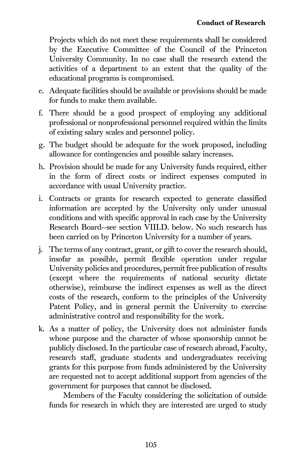Projects which do not meet these requirements shall be considered by the Executive Committee of the Council of the Princeton University Community. In no case shall the research extend the activities of a department to an extent that the quality of the educational programs is compromised.

- e. Adequate facilities should be available or provisions should be made for funds to make them available.
- f. There should be a good prospect of employing any additional professional or nonprofessional personnel required within the limits of existing salary scales and personnel policy.
- g. The budget should be adequate for the work proposed, including allowance for contingencies and possible salary increases.
- h. Provision should be made for any University funds required, either in the form of direct costs or indirect expenses computed in accordance with usual University practice.
- i. Contracts or grants for research expected to generate classified information are accepted by the University only under unusual conditions and with specific approval in each case by the University Research Board--see section VIII.D. below. No such research has been carried on by Princeton University for a number of years.
- j. The terms of any contract, grant, or gift to cover the research should, insofar as possible, permit flexible operation under regular University policies and procedures, permit free publication of results (except where the requirements of national security dictate otherwise), reimburse the indirect expenses as well as the direct costs of the research, conform to the principles of the University Patent Policy, and in general permit the University to exercise administrative control and responsibility for the work.
- k. As a matter of policy, the University does not administer funds whose purpose and the character of whose sponsorship cannot be publicly disclosed. In the particular case of research abroad, Faculty, research staff, graduate students and undergraduates receiving grants for this purpose from funds administered by the University are requested not to accept additional support from agencies of the government for purposes that cannot be disclosed.

Members of the Faculty considering the solicitation of outside funds for research in which they are interested are urged to study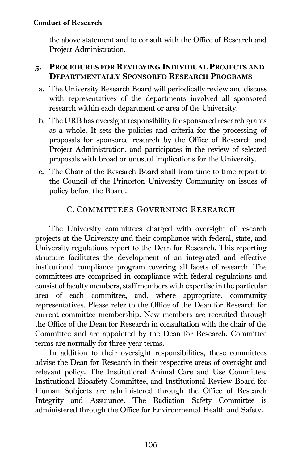the above statement and to consult with the Office of Research and Project Administration.

## 5. PROCEDURES FOR REVIEWING INDIVIDUAL PROJECTS AND DEPARTMENTALLY SPONSORED RESEARCH PROGRAMS

- a. The University Research Board will periodically review and discuss with representatives of the departments involved all sponsored research within each department or area of the University.
- b. The URB has oversight responsibility for sponsored research grants as a whole. It sets the policies and criteria for the processing of proposals for sponsored research by the Office of Research and Project Administration, and participates in the review of selected proposals with broad or unusual implications for the University.
- c. The Chair of the Research Board shall from time to time report to the Council of the Princeton University Community on issues of policy before the Board.

## C. Committees Governing Research

The University committees charged with oversight of research projects at the University and their compliance with federal, state, and University regulations report to the Dean for Research. This reporting structure facilitates the development of an integrated and effective institutional compliance program covering all facets of research. The committees are comprised in compliance with federal regulations and consist of faculty members, staff members with expertise in the particular area of each committee, and, where appropriate, community representatives. Please refer to the Office of the Dean for Research for current committee membership. New members are recruited through the Office of the Dean for Research in consultation with the chair of the Committee and are appointed by the Dean for Research. Committee terms are normally for three-year terms.

In addition to their oversight responsibilities, these committees advise the Dean for Research in their respective areas of oversight and relevant policy. The Institutional Animal Care and Use Committee, Institutional Biosafety Committee, and Institutional Review Board for Human Subjects are administered through the Office of Research Integrity and Assurance. The Radiation Safety Committee is administered through the Office for Environmental Health and Safety.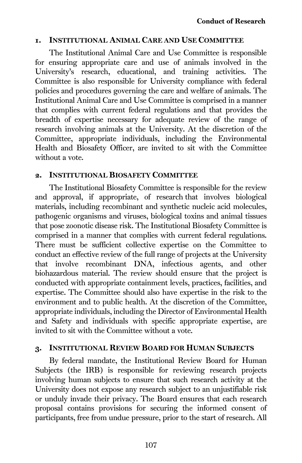#### 1. INSTITUTIONAL ANIMAL CARE AND USE COMMITTEE

The Institutional Animal Care and Use Committee is responsible for ensuring appropriate care and use of animals involved in the University's research, educational, and training activities. The Committee is also responsible for University compliance with federal policies and procedures governing the care and welfare of animals. The Institutional Animal Care and Use Committee is comprised in a manner that complies with current federal regulations and that provides the breadth of expertise necessary for adequate review of the range of research involving animals at the University. At the discretion of the Committee, appropriate individuals, including the Environmental Health and Biosafety Officer, are invited to sit with the Committee without a vote.

#### 2. INSTITUTIONAL BIOSAFETY COMMITTEE

The Institutional Biosafety Committee is responsible for the review and approval, if appropriate, of research that involves biological materials, including recombinant and synthetic nucleic acid molecules, pathogenic organisms and viruses, biological toxins and animal tissues that pose zoonotic disease risk. The Institutional Biosafety Committee is comprised in a manner that complies with current federal regulations. There must be sufficient collective expertise on the Committee to conduct an effective review of the full range of projects at the University that involve recombinant DNA, infectious agents, and other biohazardous material. The review should ensure that the project is conducted with appropriate containment levels, practices, facilities, and expertise. The Committee should also have expertise in the risk to the environment and to public health. At the discretion of the Committee, appropriate individuals, including the Director of Environmental Health and Safety and individuals with specific appropriate expertise, are invited to sit with the Committee without a vote.

#### 3. INSTITUTIONAL REVIEW BOARD FOR HUMAN SUBJECTS

By federal mandate, the Institutional Review Board for Human Subjects (the IRB) is responsible for reviewing research projects involving human subjects to ensure that such research activity at the University does not expose any research subject to an unjustifiable risk or unduly invade their privacy. The Board ensures that each research proposal contains provisions for securing the informed consent of participants, free from undue pressure, prior to the start of research. All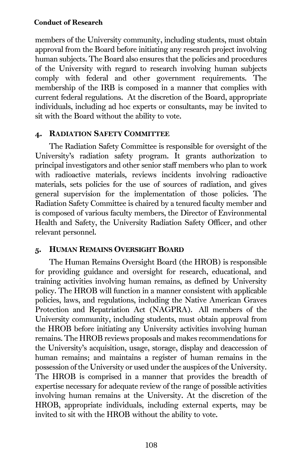members of the University community, including students, must obtain approval from the Board before initiating any research project involving human subjects. The Board also ensures that the policies and procedures of the University with regard to research involving human subjects comply with federal and other government requirements. The membership of the IRB is composed in a manner that complies with current federal regulations. At the discretion of the Board, appropriate individuals, including ad hoc experts or consultants, may be invited to sit with the Board without the ability to vote.

## 4. RADIATION SAFETY COMMITTEE

The Radiation Safety Committee is responsible for oversight of the University's radiation safety program. It grants authorization to principal investigators and other senior staff members who plan to work with radioactive materials, reviews incidents involving radioactive materials, sets policies for the use of sources of radiation, and gives general supervision for the implementation of those policies. The Radiation Safety Committee is chaired by a tenured faculty member and is composed of various faculty members, the Director of Environmental Health and Safety, the University Radiation Safety Officer, and other relevant personnel.

## 5. HUMAN REMAINS OVERSIGHT BOARD

The Human Remains Oversight Board (the HROB) is responsible for providing guidance and oversight for research, educational, and training activities involving human remains, as defined by University policy. The HROB will function in a manner consistent with applicable policies, laws, and regulations, including the Native American Graves Protection and Repatriation Act (NAGPRA). All members of the University community, including students, must obtain approval from the HROB before initiating any University activities involving human remains. The HROB reviews proposals and makes recommendations for the University's acquisition, usage, storage, display and deaccession of human remains; and maintains a register of human remains in the possession of the University or used under the auspices of the University. The HROB is comprised in a manner that provides the breadth of expertise necessary for adequate review of the range of possible activities involving human remains at the University. At the discretion of the HROB, appropriate individuals, including external experts, may be invited to sit with the HROB without the ability to vote.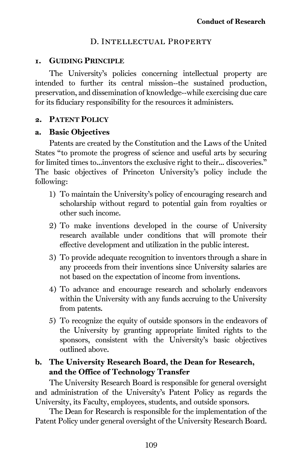#### D. Intellectual Property

#### 1. GUIDING PRINCIPLE

The University's policies concerning intellectual property are intended to further its central mission--the sustained production, preservation, and dissemination of knowledge--while exercising due care for its fiduciary responsibility for the resources it administers.

#### 2. PATENT POLICY

#### a. Basic Objectives

Patents are created by the Constitution and the Laws of the United States "to promote the progress of science and useful arts by securing for limited times to...inventors the exclusive right to their... discoveries." The basic objectives of Princeton University's policy include the following:

- 1) To maintain the University's policy of encouraging research and scholarship without regard to potential gain from royalties or other such income.
- 2) To make inventions developed in the course of University research available under conditions that will promote their effective development and utilization in the public interest.
- 3) To provide adequate recognition to inventors through a share in any proceeds from their inventions since University salaries are not based on the expectation of income from inventions.
- 4) To advance and encourage research and scholarly endeavors within the University with any funds accruing to the University from patents.
- 5) To recognize the equity of outside sponsors in the endeavors of the University by granting appropriate limited rights to the sponsors, consistent with the University's basic objectives outlined above.

## b. The University Research Board, the Dean for Research, and the Office of Technology Transfer

The University Research Board is responsible for general oversight and administration of the University's Patent Policy as regards the University, its Faculty, employees, students, and outside sponsors.

The Dean for Research is responsible for the implementation of the Patent Policy under general oversight of the University Research Board.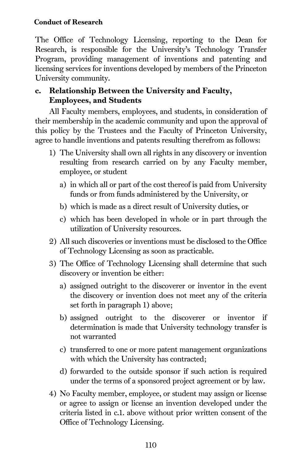#### Conduct of Research

The Office of Technology Licensing, reporting to the Dean for Research, is responsible for the University's Technology Transfer Program, providing management of inventions and patenting and licensing services for inventions developed by members of the Princeton University community.

## c. Relationship Between the University and Faculty, Employees, and Students

All Faculty members, employees, and students, in consideration of their membership in the academic community and upon the approval of this policy by the Trustees and the Faculty of Princeton University, agree to handle inventions and patents resulting therefrom as follows:

- 1) The University shall own all rights in any discovery or invention resulting from research carried on by any Faculty member, employee, or student
	- a) in which all or part of the cost thereof is paid from University funds or from funds administered by the University, or
	- b) which is made as a direct result of University duties, or
	- c) which has been developed in whole or in part through the utilization of University resources.
- 2) All such discoveries or inventions must be disclosed to the Office of Technology Licensing as soon as practicable.
- 3) The Office of Technology Licensing shall determine that such discovery or invention be either:
	- a) assigned outright to the discoverer or inventor in the event the discovery or invention does not meet any of the criteria set forth in paragraph 1) above;
	- b) assigned outright to the discoverer or inventor if determination is made that University technology transfer is not warranted
	- c) transferred to one or more patent management organizations with which the University has contracted;
	- d) forwarded to the outside sponsor if such action is required under the terms of a sponsored project agreement or by law.
- 4) No Faculty member, employee, or student may assign or license or agree to assign or license an invention developed under the criteria listed in c.1. above without prior written consent of the Office of Technology Licensing.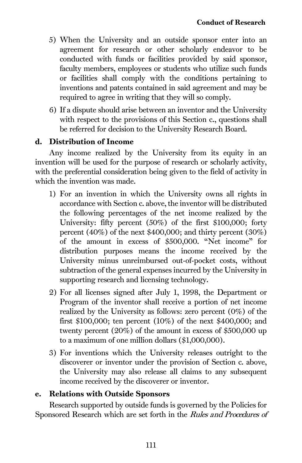- 5) When the University and an outside sponsor enter into an agreement for research or other scholarly endeavor to be conducted with funds or facilities provided by said sponsor, faculty members, employees or students who utilize such funds or facilities shall comply with the conditions pertaining to inventions and patents contained in said agreement and may be required to agree in writing that they will so comply.
- 6) If a dispute should arise between an inventor and the University with respect to the provisions of this Section c., questions shall be referred for decision to the University Research Board.

## <span id="page-121-0"></span>d. Distribution of Income

Any income realized by the University from its equity in an invention will be used for the purpose of research or scholarly activity, with the preferential consideration being given to the field of activity in which the invention was made.

- 1) For an invention in which the University owns all rights in accordance with Section c. above, the inventor will be distributed the following percentages of the net income realized by the University: fifty percent (50%) of the first \$100,000; forty percent (40%) of the next \$400,000; and thirty percent (30%) of the amount in excess of \$500,000. "Net income" for distribution purposes means the income received by the University minus unreimbursed out-of-pocket costs, without subtraction of the general expenses incurred by the University in supporting research and licensing technology.
- 2) For all licenses signed after July 1, 1998, the Department or Program of the inventor shall receive a portion of net income realized by the University as follows: zero percent (0%) of the first \$100,000; ten percent (10%) of the next \$400,000; and twenty percent (20%) of the amount in excess of \$500,000 up to a maximum of one million dollars (\$1,000,000).
- 3) For inventions which the University releases outright to the discoverer or inventor under the provision of Section c. above, the University may also release all claims to any subsequent income received by the discoverer or inventor.

#### e. Relations with Outside Sponsors

Research supported by outside funds is governed by the Policies for Sponsored Research which are set forth in the Rules and Procedures of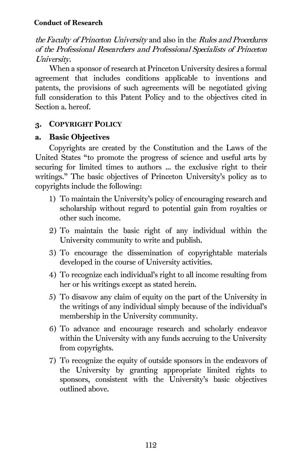#### Conduct of Research

the Faculty of Princeton University and also in the Rules and Procedures of the Professional Researchers and Professional Specialists of Princeton University.

When a sponsor of research at Princeton University desires a formal agreement that includes conditions applicable to inventions and patents, the provisions of such agreements will be negotiated giving full consideration to this Patent Policy and to the objectives cited in Section a. hereof.

## 3. COPYRIGHT POLICY

#### a. Basic Objectives

Copyrights are created by the Constitution and the Laws of the United States "to promote the progress of science and useful arts by securing for limited times to authors ... the exclusive right to their writings." The basic objectives of Princeton University's policy as to copyrights include the following:

- 1) To maintain the University's policy of encouraging research and scholarship without regard to potential gain from royalties or other such income.
- 2) To maintain the basic right of any individual within the University community to write and publish.
- 3) To encourage the dissemination of copyrightable materials developed in the course of University activities.
- 4) To recognize each individual's right to all income resulting from her or his writings except as stated herein.
- 5) To disavow any claim of equity on the part of the University in the writings of any individual simply because of the individual's membership in the University community.
- 6) To advance and encourage research and scholarly endeavor within the University with any funds accruing to the University from copyrights.
- 7) To recognize the equity of outside sponsors in the endeavors of the University by granting appropriate limited rights to sponsors, consistent with the University's basic objectives outlined above.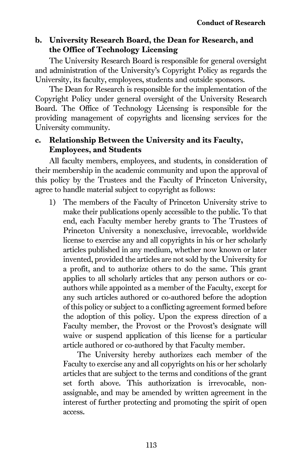## b. University Research Board, the Dean for Research, and the Office of Technology Licensing

The University Research Board is responsible for general oversight and administration of the University's Copyright Policy as regards the University, its faculty, employees, students and outside sponsors.

The Dean for Research is responsible for the implementation of the Copyright Policy under general oversight of the University Research Board. The Office of Technology Licensing is responsible for the providing management of copyrights and licensing services for the University community.

## c. Relationship Between the University and its Faculty, Employees, and Students

All faculty members, employees, and students, in consideration of their membership in the academic community and upon the approval of this policy by the Trustees and the Faculty of Princeton University, agree to handle material subject to copyright as follows:

1) The members of the Faculty of Princeton University strive to make their publications openly accessible to the public. To that end, each Faculty member hereby grants to The Trustees of Princeton University a nonexclusive, irrevocable, worldwide license to exercise any and all copyrights in his or her scholarly articles published in any medium, whether now known or later invented, provided the articles are not sold by the University for a profit, and to authorize others to do the same. This grant applies to all scholarly articles that any person authors or coauthors while appointed as a member of the Faculty, except for any such articles authored or co-authored before the adoption of this policy or subject to a conflicting agreement formed before the adoption of this policy. Upon the express direction of a Faculty member, the Provost or the Provost's designate will waive or suspend application of this license for a particular article authored or co-authored by that Faculty member.

The University hereby authorizes each member of the Faculty to exercise any and all copyrights on his or her scholarly articles that are subject to the terms and conditions of the grant set forth above. This authorization is irrevocable, nonassignable, and may be amended by written agreement in the interest of further protecting and promoting the spirit of open access.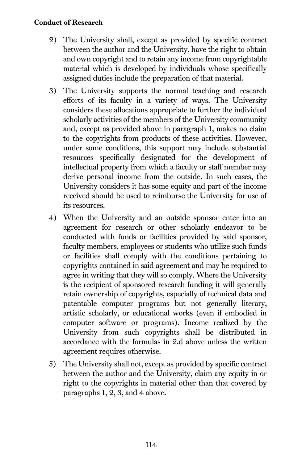#### Conduct of Research

- 2) The University shall, except as provided by specific contract between the author and the University, have the right to obtain and own copyright and to retain any income from copyrightable material which is developed by individuals whose specifically assigned duties include the preparation of that material.
- 3) The University supports the normal teaching and research efforts of its faculty in a variety of ways. The University considers these allocations appropriate to further the individual scholarly activities of the members of the University community and, except as provided above in paragraph 1, makes no claim to the copyrights from products of these activities. However, under some conditions, this support may include substantial resources specifically designated for the development of intellectual property from which a faculty or staff member may derive personal income from the outside. In such cases, the University considers it has some equity and part of the income received should be used to reimburse the University for use of its resources.
- 4) When the University and an outside sponsor enter into an agreement for research or other scholarly endeavor to be conducted with funds or facilities provided by said sponsor, faculty members, employees or students who utilize such funds or facilities shall comply with the conditions pertaining to copyrights contained in said agreement and may be required to agree in writing that they will so comply. Where the University is the recipient of sponsored research funding it will generally retain ownership of copyrights, especially of technical data and patentable computer programs but not generally literary, artistic scholarly, or educational works (even if embodied in computer software or programs). Income realized by the University from such copyrights shall be distributed in accordance with the formulas in [2.d](#page-121-0) above unless the written agreement requires otherwise.
- 5) The University shall not, except as provided by specific contract between the author and the University, claim any equity in or right to the copyrights in material other than that covered by paragraphs 1, 2, 3, and 4 above.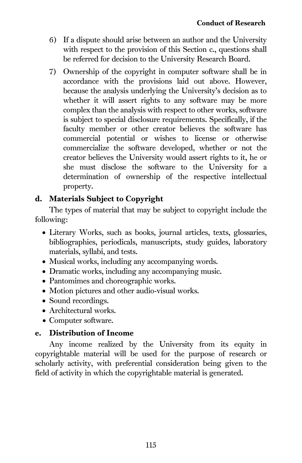- 6) If a dispute should arise between an author and the University with respect to the provision of this Section c., questions shall be referred for decision to the University Research Board.
- 7) Ownership of the copyright in computer software shall be in accordance with the provisions laid out above. However, because the analysis underlying the University's decision as to whether it will assert rights to any software may be more complex than the analysis with respect to other works, software is subject to special disclosure requirements. Specifically, if the faculty member or other creator believes the software has commercial potential or wishes to license or otherwise commercialize the software developed, whether or not the creator believes the University would assert rights to it, he or she must disclose the software to the University for a determination of ownership of the respective intellectual property.

## d. Materials Subject to Copyright

The types of material that may be subject to copyright include the following:

- Literary Works, such as books, journal articles, texts, glossaries, bibliographies, periodicals, manuscripts, study guides, laboratory materials, syllabi, and tests.
- Musical works, including any accompanying words.
- Dramatic works, including any accompanying music.
- Pantomimes and choreographic works.
- Motion pictures and other audio-visual works.
- Sound recordings.
- Architectural works.
- Computer software.

## e. Distribution of Income

Any income realized by the University from its equity in copyrightable material will be used for the purpose of research or scholarly activity, with preferential consideration being given to the field of activity in which the copyrightable material is generated.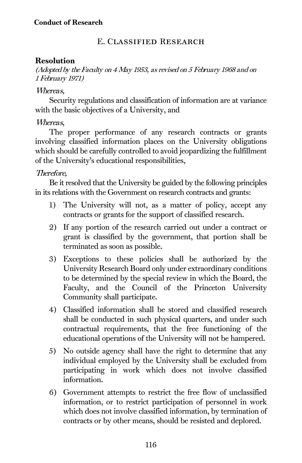## E. Classified Research

#### Resolution

(Adopted by the Faculty on 4 May 1953, as revised on 5 February 1968 and on 1 February 1971)

#### Whereas,

Security regulations and classification of information are at variance with the basic objectives of a University, and

## Whereas,

The proper performance of any research contracts or grants involving classified information places on the University obligations which should be carefully controlled to avoid jeopardizing the fulfillment of the University's educational responsibilities,

## Therefore,

Be it resolved that the University be guided by the following principles in its relations with the Government on research contracts and grants:

- 1) The University will not, as a matter of policy, accept any contracts or grants for the support of classified research.
- 2) If any portion of the research carried out under a contract or grant is classified by the government, that portion shall be terminated as soon as possible.
- 3) Exceptions to these policies shall be authorized by the University Research Board only under extraordinary conditions to be determined by the special review in which the Board, the Faculty, and the Council of the Princeton University Community shall participate.
- 4) Classified information shall be stored and classified research shall be conducted in such physical quarters, and under such contractual requirements, that the free functioning of the educational operations of the University will not be hampered.
- 5) No outside agency shall have the right to determine that any individual employed by the University shall be excluded from participating in work which does not involve classified information.
- 6) Government attempts to restrict the free flow of unclassified information, or to restrict participation of personnel in work which does not involve classified information, by termination of contracts or by other means, should be resisted and deplored.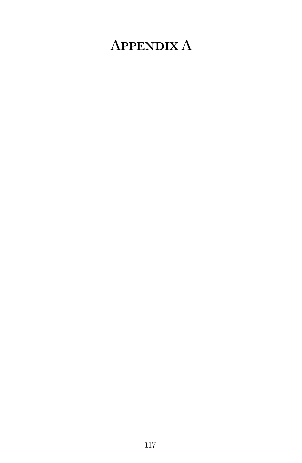# Appendix A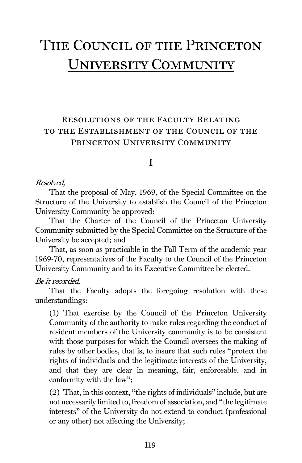## The Council of the Princeton UNIVERSITY COMMUNITY

## Resolutions of the Faculty Relating to the Establishment of the Council of the PRINCETON UNIVERSITY COMMUNITY

## I

#### Resolved,

That the proposal of May, 1969, of the Special Committee on the Structure of the University to establish the Council of the Princeton University Community be approved:

That the Charter of the Council of the Princeton University Community submitted by the Special Committee on the Structure of the University be accepted; and

That, as soon as practicable in the Fall Term of the academic year 1969-70, representatives of the Faculty to the Council of the Princeton University Community and to its Executive Committee be elected.

#### Be it recorded,

That the Faculty adopts the foregoing resolution with these understandings:

(1) That exercise by the Council of the Princeton University Community of the authority to make rules regarding the conduct of resident members of the University community is to be consistent with those purposes for which the Council oversees the making of rules by other bodies, that is, to insure that such rules "protect the rights of individuals and the legitimate interests of the University, and that they are clear in meaning, fair, enforceable, and in conformity with the law";

(2) That, in this context, "the rights of individuals" include, but are not necessarily limited to, freedom of association, and "the legitimate interests" of the University do not extend to conduct (professional or any other) not affecting the University;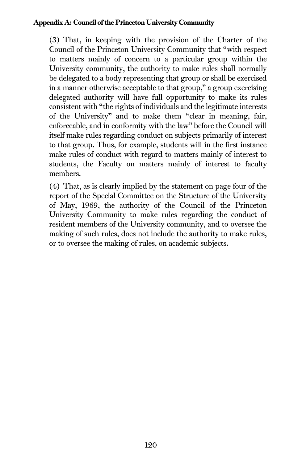#### Appendix A: Council of the Princeton University Community

(3) That, in keeping with the provision of the Charter of the Council of the Princeton University Community that "with respect to matters mainly of concern to a particular group within the University community, the authority to make rules shall normally be delegated to a body representing that group or shall be exercised in a manner otherwise acceptable to that group," a group exercising delegated authority will have full opportunity to make its rules consistent with "the rights of individuals and the legitimate interests of the University" and to make them "clear in meaning, fair, enforceable, and in conformity with the law" before the Council will itself make rules regarding conduct on subjects primarily of interest to that group. Thus, for example, students will in the first instance make rules of conduct with regard to matters mainly of interest to students, the Faculty on matters mainly of interest to faculty members.

(4) That, as is clearly implied by the statement on page four of the report of the Special Committee on the Structure of the University of May, 1969, the authority of the Council of the Princeton University Community to make rules regarding the conduct of resident members of the University community, and to oversee the making of such rules, does not include the authority to make rules, or to oversee the making of rules, on academic subjects.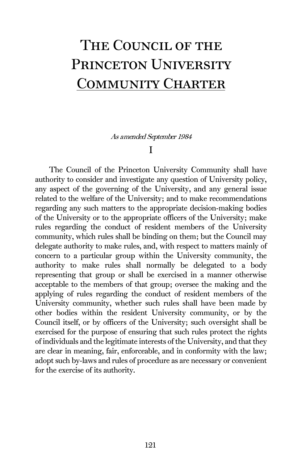# The Council of the PRINCETON UNIVERSITY Community Charter

As amended September 1984

#### I

The Council of the Princeton University Community shall have authority to consider and investigate any question of University policy, any aspect of the governing of the University, and any general issue related to the welfare of the University; and to make recommendations regarding any such matters to the appropriate decision-making bodies of the University or to the appropriate officers of the University; make rules regarding the conduct of resident members of the University community, which rules shall be binding on them; but the Council may delegate authority to make rules, and, with respect to matters mainly of concern to a particular group within the University community, the authority to make rules shall normally be delegated to a body representing that group or shall be exercised in a manner otherwise acceptable to the members of that group; oversee the making and the applying of rules regarding the conduct of resident members of the University community, whether such rules shall have been made by other bodies within the resident University community, or by the Council itself, or by officers of the University; such oversight shall be exercised for the purpose of ensuring that such rules protect the rights of individuals and the legitimate interests of the University, and that they are clear in meaning, fair, enforceable, and in conformity with the law; adopt such by-laws and rules of procedure as are necessary or convenient for the exercise of its authority.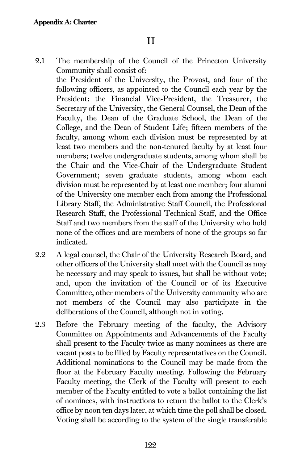2.1 The membership of the Council of the Princeton University Community shall consist of:

the President of the University, the Provost, and four of the following officers, as appointed to the Council each year by the President: the Financial Vice-President, the Treasurer, the Secretary of the University, the General Counsel, the Dean of the Faculty, the Dean of the Graduate School, the Dean of the College, and the Dean of Student Life; fifteen members of the faculty, among whom each division must be represented by at least two members and the non-tenured faculty by at least four members; twelve undergraduate students, among whom shall be the Chair and the Vice-Chair of the Undergraduate Student Government; seven graduate students, among whom each division must be represented by at least one member; four alumni of the University one member each from among the Professional Library Staff, the Administrative Staff Council, the Professional Research Staff, the Professional Technical Staff, and the Office Staff and two members from the staff of the University who hold none of the offices and are members of none of the groups so far indicated.

- 2.2 A legal counsel, the Chair of the University Research Board, and other officers of the University shall meet with the Council as may be necessary and may speak to issues, but shall be without vote; and, upon the invitation of the Council or of its Executive Committee, other members of the University community who are not members of the Council may also participate in the deliberations of the Council, although not in voting.
- 2.3 Before the February meeting of the faculty, the Advisory Committee on Appointments and Advancements of the Faculty shall present to the Faculty twice as many nominees as there are vacant posts to be filled by Faculty representatives on the Council. Additional nominations to the Council may be made from the floor at the February Faculty meeting. Following the February Faculty meeting, the Clerk of the Faculty will present to each member of the Faculty entitled to vote a ballot containing the list of nominees, with instructions to return the ballot to the Clerk's office by noon ten days later, at which time the poll shall be closed. Voting shall be according to the system of the single transferable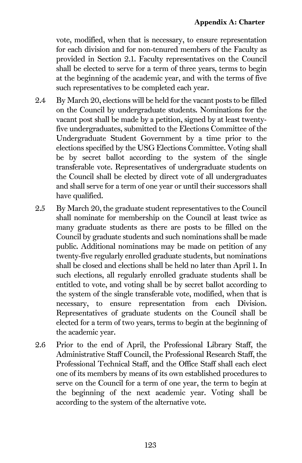vote, modified, when that is necessary, to ensure representation for each division and for non-tenured members of the Faculty as provided in Section 2.1. Faculty representatives on the Council shall be elected to serve for a term of three years, terms to begin at the beginning of the academic year, and with the terms of five such representatives to be completed each year.

- 2.4 By March 20, elections will be held for the vacant posts to be filled on the Council by undergraduate students. Nominations for the vacant post shall be made by a petition, signed by at least twentyfive undergraduates, submitted to the Elections Committee of the Undergraduate Student Government by a time prior to the elections specified by the USG Elections Committee. Voting shall be by secret ballot according to the system of the single transferable vote. Representatives of undergraduate students on the Council shall be elected by direct vote of all undergraduates and shall serve for a term of one year or until their successors shall have qualified.
- 2.5 By March 20, the graduate student representatives to the Council shall nominate for membership on the Council at least twice as many graduate students as there are posts to be filled on the Council by graduate students and such nominations shall be made public. Additional nominations may be made on petition of any twenty-five regularly enrolled graduate students, but nominations shall be closed and elections shall be held no later than April 1. In such elections, all regularly enrolled graduate students shall be entitled to vote, and voting shall be by secret ballot according to the system of the single transferable vote, modified, when that is necessary, to ensure representation from each Division. Representatives of graduate students on the Council shall be elected for a term of two years, terms to begin at the beginning of the academic year.
- 2.6 Prior to the end of April, the Professional Library Staff, the Administrative Staff Council, the Professional Research Staff, the Professional Technical Staff, and the Office Staff shall each elect one of its members by means of its own established procedures to serve on the Council for a term of one year, the term to begin at the beginning of the next academic year. Voting shall be according to the system of the alternative vote.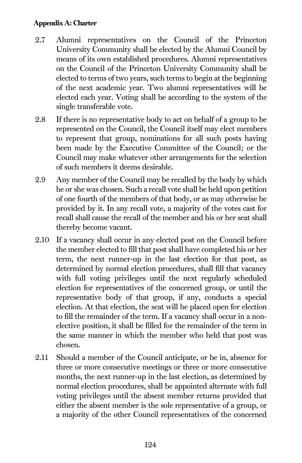#### Appendix A: Charter

- 2.7 Alumni representatives on the Council of the Princeton University Community shall be elected by the Alumni Council by means of its own established procedures. Alumni representatives on the Council of the Princeton University Community shall be elected to terms of two years, such terms to begin at the beginning of the next academic year. Two alumni representatives will be elected each year. Voting shall be according to the system of the single transferable vote.
- 2.8 If there is no representative body to act on behalf of a group to be represented on the Council, the Council itself may elect members to represent that group, nominations for all such posts having been made by the Executive Committee of the Council; or the Council may make whatever other arrangements for the selection of such members it deems desirable.
- 2.9 Any member of the Council may be recalled by the body by which he or she was chosen. Such a recall vote shall be held upon petition of one fourth of the members of that body, or as may otherwise be provided by it. In any recall vote, a majority of the votes cast for recall shall cause the recall of the member and his or her seat shall thereby become vacant.
- 2.10 If a vacancy shall occur in any elected post on the Council before the member elected to fill that post shall have completed his or her term, the next runner-up in the last election for that post, as determined by normal election procedures, shall fill that vacancy with full voting privileges until the next regularly scheduled election for representatives of the concerned group, or until the representative body of that group, if any, conducts a special election. At that election, the seat will be placed open for election to fill the remainder of the term. If a vacancy shall occur in a nonelective position, it shall be filled for the remainder of the term in the same manner in which the member who held that post was chosen.
- 2.11 Should a member of the Council anticipate, or be in, absence for three or more consecutive meetings or three or more consecutive months, the next runner-up in the last election, as determined by normal election procedures, shall be appointed alternate with full voting privileges until the absent member returns provided that either the absent member is the sole representative of a group, or a majority of the other Council representatives of the concerned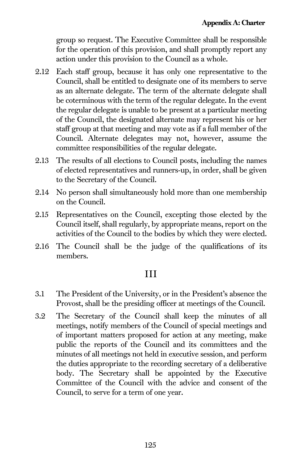group so request. The Executive Committee shall be responsible for the operation of this provision, and shall promptly report any action under this provision to the Council as a whole.

- 2.12 Each staff group, because it has only one representative to the Council, shall be entitled to designate one of its members to serve as an alternate delegate. The term of the alternate delegate shall be coterminous with the term of the regular delegate. In the event the regular delegate is unable to be present at a particular meeting of the Council, the designated alternate may represent his or her staff group at that meeting and may vote as if a full member of the Council. Alternate delegates may not, however, assume the committee responsibilities of the regular delegate.
- 2.13 The results of all elections to Council posts, including the names of elected representatives and runners-up, in order, shall be given to the Secretary of the Council.
- 2.14 No person shall simultaneously hold more than one membership on the Council.
- 2.15 Representatives on the Council, excepting those elected by the Council itself, shall regularly, by appropriate means, report on the activities of the Council to the bodies by which they were elected.
- 2.16 The Council shall be the judge of the qualifications of its members.

## III

- 3.1 The President of the University, or in the President's absence the Provost, shall be the presiding officer at meetings of the Council.
- 3.2 The Secretary of the Council shall keep the minutes of all meetings, notify members of the Council of special meetings and of important matters proposed for action at any meeting, make public the reports of the Council and its committees and the minutes of all meetings not held in executive session, and perform the duties appropriate to the recording secretary of a deliberative body. The Secretary shall be appointed by the Executive Committee of the Council with the advice and consent of the Council, to serve for a term of one year.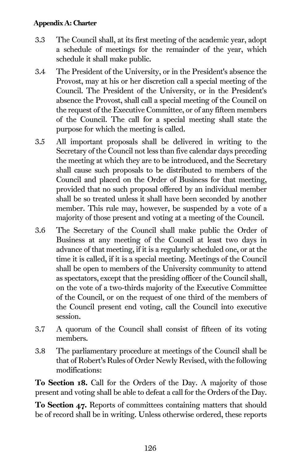#### Appendix A: Charter

- 3.3 The Council shall, at its first meeting of the academic year, adopt a schedule of meetings for the remainder of the year, which schedule it shall make public.
- 3.4 The President of the University, or in the President's absence the Provost, may at his or her discretion call a special meeting of the Council. The President of the University, or in the President's absence the Provost, shall call a special meeting of the Council on the request of the Executive Committee, or of any fifteen members of the Council. The call for a special meeting shall state the purpose for which the meeting is called.
- 3.5 All important proposals shall be delivered in writing to the Secretary of the Council not less than five calendar days preceding the meeting at which they are to be introduced, and the Secretary shall cause such proposals to be distributed to members of the Council and placed on the Order of Business for that meeting, provided that no such proposal offered by an individual member shall be so treated unless it shall have been seconded by another member. This rule may, however, be suspended by a vote of a majority of those present and voting at a meeting of the Council.
- 3.6 The Secretary of the Council shall make public the Order of Business at any meeting of the Council at least two days in advance of that meeting, if it is a regularly scheduled one, or at the time it is called, if it is a special meeting. Meetings of the Council shall be open to members of the University community to attend as spectators, except that the presiding officer of the Council shall, on the vote of a two-thirds majority of the Executive Committee of the Council, or on the request of one third of the members of the Council present end voting, call the Council into executive session.
- 3.7 A quorum of the Council shall consist of fifteen of its voting members.
- 3.8 The parliamentary procedure at meetings of the Council shall be that of Robert's Rules of Order Newly Revised, with the following modifications:

To Section 18. Call for the Orders of the Day. A majority of those present and voting shall be able to defeat a call for the Orders of the Day.

To Section 47. Reports of committees containing matters that should be of record shall be in writing. Unless otherwise ordered, these reports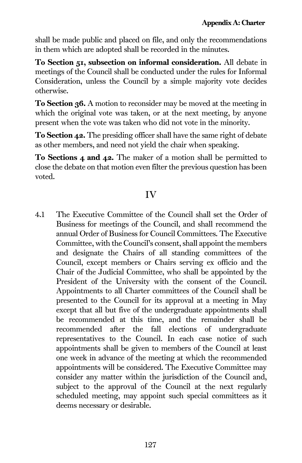shall be made public and placed on file, and only the recommendations in them which are adopted shall be recorded in the minutes.

To Section 51, subsection on informal consideration. All debate in meetings of the Council shall be conducted under the rules for Informal Consideration, unless the Council by a simple majority vote decides otherwise.

To Section 36. A motion to reconsider may be moved at the meeting in which the original vote was taken, or at the next meeting, by anyone present when the vote was taken who did not vote in the minority.

To Section 42. The presiding officer shall have the same right of debate as other members, and need not yield the chair when speaking.

To Sections 4 and 42. The maker of a motion shall be permitted to close the debate on that motion even filter the previous question has been voted.

## IV

4.1 The Executive Committee of the Council shall set the Order of Business for meetings of the Council, and shall recommend the annual Order of Business for Council Committees. The Executive Committee, with the Council's consent, shall appoint the members and designate the Chairs of all standing committees of the Council, except members or Chairs serving ex officio and the Chair of the Judicial Committee, who shall be appointed by the President of the University with the consent of the Council. Appointments to all Charter committees of the Council shall be presented to the Council for its approval at a meeting in May except that all but five of the undergraduate appointments shall be recommended at this time, and the remainder shall be recommended after the fall elections of undergraduate representatives to the Council. In each case notice of such appointments shall be given to members of the Council at least one week in advance of the meeting at which the recommended appointments will be considered. The Executive Committee may consider any matter within the jurisdiction of the Council and, subject to the approval of the Council at the next regularly scheduled meeting, may appoint such special committees as it deems necessary or desirable.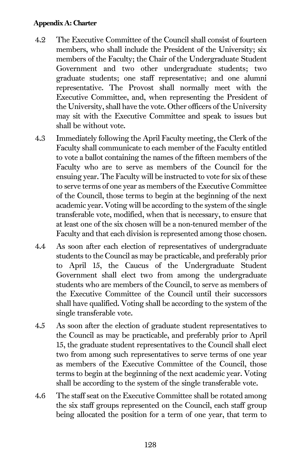#### Appendix A: Charter

- 4.2 The Executive Committee of the Council shall consist of fourteen members, who shall include the President of the University; six members of the Faculty; the Chair of the Undergraduate Student Government and two other undergraduate students; two graduate students; one staff representative; and one alumni representative. The Provost shall normally meet with the Executive Committee, and, when representing the President of the University, shall have the vote. Other officers of the University may sit with the Executive Committee and speak to issues but shall be without vote.
- 4.3 Immediately following the April Faculty meeting, the Clerk of the Faculty shall communicate to each member of the Faculty entitled to vote a ballot containing the names of the fifteen members of the Faculty who are to serve as members of the Council for the ensuing year. The Faculty will be instructed to vote for six of these to serve terms of one year as members of the Executive Committee of the Council, those terms to begin at the beginning of the next academic year. Voting will be according to the system of the single transferable vote, modified, when that is necessary, to ensure that at least one of the six chosen will be a non-tenured member of the Faculty and that each division is represented among those chosen.
- 4.4 As soon after each election of representatives of undergraduate students to the Council as may be practicable, and preferably prior to April 15, the Caucus of the Undergraduate Student Government shall elect two from among the undergraduate students who are members of the Council, to serve as members of the Executive Committee of the Council until their successors shall have qualified. Voting shall be according to the system of the single transferable vote.
- 4.5 As soon after the election of graduate student representatives to the Council as may be practicable, and preferably prior to April 15, the graduate student representatives to the Council shall elect two from among such representatives to serve terms of one year as members of the Executive Committee of the Council, those terms to begin at the beginning of the next academic year. Voting shall be according to the system of the single transferable vote.
- 4.6 The staff seat on the Executive Committee shall be rotated among the six staff groups represented on the Council, each staff group being allocated the position for a term of one year, that term to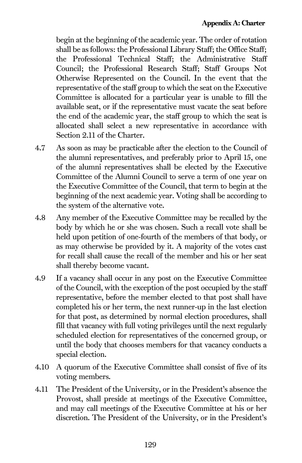begin at the beginning of the academic year. The order of rotation shall be as follows: the Professional Library Staff; the Office Staff; the Professional Technical Staff; the Administrative Staff Council; the Professional Research Staff; Staff Groups Not Otherwise Represented on the Council. In the event that the representative of the staff group to which the seat on the Executive Committee is allocated for a particular year is unable to fill the available seat, or if the representative must vacate the seat before the end of the academic year, the staff group to which the seat is allocated shall select a new representative in accordance with Section 2.11 of the Charter.

- 4.7 As soon as may be practicable after the election to the Council of the alumni representatives, and preferably prior to April 15, one of the alumni representatives shall be elected by the Executive Committee of the Alumni Council to serve a term of one year on the Executive Committee of the Council, that term to begin at the beginning of the next academic year. Voting shall be according to the system of the alternative vote.
- 4.8 Any member of the Executive Committee may be recalled by the body by which he or she was chosen. Such a recall vote shall be held upon petition of one-fourth of the members of that body, or as may otherwise be provided by it. A majority of the votes cast for recall shall cause the recall of the member and his or her seat shall thereby become vacant.
- 4.9 If a vacancy shall occur in any post on the Executive Committee of the Council, with the exception of the post occupied by the staff representative, before the member elected to that post shall have completed his or her term, the next runner-up in the last election for that post, as determined by normal election procedures, shall fill that vacancy with full voting privileges until the next regularly scheduled election for representatives of the concerned group, or until the body that chooses members for that vacancy conducts a special election.
- 4.10 A quorum of the Executive Committee shall consist of five of its voting members.
- 4.11 The President of the University, or in the President's absence the Provost, shall preside at meetings of the Executive Committee, and may call meetings of the Executive Committee at his or her discretion. The President of the University, or in the President's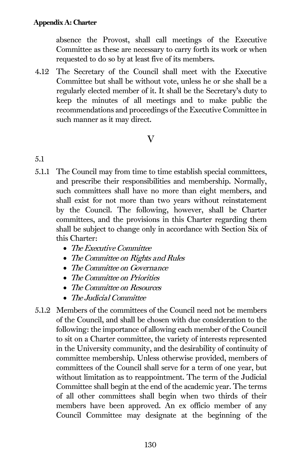absence the Provost, shall call meetings of the Executive Committee as these are necessary to carry forth its work or when requested to do so by at least five of its members.

4.12 The Secretary of the Council shall meet with the Executive Committee but shall be without vote, unless he or she shall be a regularly elected member of it. It shall be the Secretary's duty to keep the minutes of all meetings and to make public the recommendations and proceedings of the Executive Committee in such manner as it may direct.

## $\overline{\mathbf{V}}$

- 5.1
- 5.1.1 The Council may from time to time establish special committees, and prescribe their responsibilities and membership. Normally, such committees shall have no more than eight members, and shall exist for not more than two years without reinstatement by the Council. The following, however, shall be Charter committees, and the provisions in this Charter regarding them shall be subject to change only in accordance with Section Six of this Charter:
	- The Executive Committee
	- The Committee on Rights and Rules
	- The Committee on Governance
	- The Committee on Priorities
	- The Committee on Resources
	- The Judicial Committee
- 5.1.2 Members of the committees of the Council need not be members of the Council, and shall be chosen with due consideration to the following: the importance of allowing each member of the Council to sit on a Charter committee, the variety of interests represented in the University community, and the desirability of continuity of committee membership. Unless otherwise provided, members of committees of the Council shall serve for a term of one year, but without limitation as to reappointment. The term of the Judicial Committee shall begin at the end of the academic year. The terms of all other committees shall begin when two thirds of their members have been approved. An ex officio member of any Council Committee may designate at the beginning of the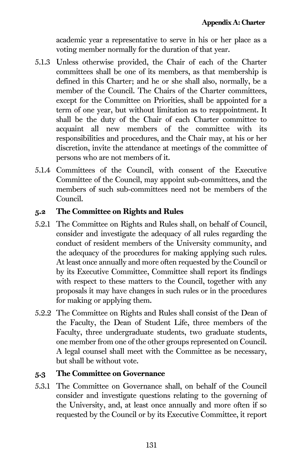academic year a representative to serve in his or her place as a voting member normally for the duration of that year.

- 5.1.3 Unless otherwise provided, the Chair of each of the Charter committees shall be one of its members, as that membership is defined in this Charter; and he or she shall also, normally, be a member of the Council. The Chairs of the Charter committees, except for the Committee on Priorities, shall be appointed for a term of one year, but without limitation as to reappointment. It shall be the duty of the Chair of each Charter committee to acquaint all new members of the committee with its responsibilities and procedures, and the Chair may, at his or her discretion, invite the attendance at meetings of the committee of persons who are not members of it.
- 5.1.4 Committees of the Council, with consent of the Executive Committee of the Council, may appoint sub-committees, and the members of such sub-committees need not be members of the Council.

## 5.2 The Committee on Rights and Rules

- 5.2.1 The Committee on Rights and Rules shall, on behalf of Council, consider and investigate the adequacy of all rules regarding the conduct of resident members of the University community, and the adequacy of the procedures for making applying such rules. At least once annually and more often requested by the Council or by its Executive Committee, Committee shall report its findings with respect to these matters to the Council, together with any proposals it may have changes in such rules or in the procedures for making or applying them.
- 5.2.2 The Committee on Rights and Rules shall consist of the Dean of the Faculty, the Dean of Student Life, three members of the Faculty, three undergraduate students, two graduate students, one member from one of the other groups represented on Council. A legal counsel shall meet with the Committee as be necessary, but shall be without vote.

## 5.3 The Committee on Governance

5.3.1 The Committee on Governance shall, on behalf of the Council consider and investigate questions relating to the governing of the University, and, at least once annually and more often if so requested by the Council or by its Executive Committee, it report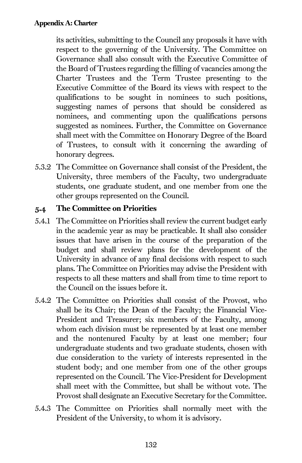its activities, submitting to the Council any proposals it have with respect to the governing of the University. The Committee on Governance shall also consult with the Executive Committee of the Board of Trustees regarding the filling of vacancies among the Charter Trustees and the Term Trustee presenting to the Executive Committee of the Board its views with respect to the qualifications to be sought in nominees to such positions, suggesting names of persons that should be considered as nominees, and commenting upon the qualifications persons suggested as nominees. Further, the Committee on Governance shall meet with the Committee on Honorary Degree of the Board of Trustees, to consult with it concerning the awarding of honorary degrees.

5.3.2 The Committee on Governance shall consist of the President, the University, three members of the Faculty, two undergraduate students, one graduate student, and one member from one the other groups represented on the Council.

#### 5.4 The Committee on Priorities

- 5.4.1 The Committee on Priorities shall review the current budget early in the academic year as may be practicable. It shall also consider issues that have arisen in the course of the preparation of the budget and shall review plans for the development of the University in advance of any final decisions with respect to such plans. The Committee on Priorities may advise the President with respects to all these matters and shall from time to time report to the Council on the issues before it.
- 5.4.2 The Committee on Priorities shall consist of the Provost, who shall be its Chair; the Dean of the Faculty; the Financial Vice-President and Treasurer; six members of the Faculty, among whom each division must be represented by at least one member and the nontenured Faculty by at least one member; four undergraduate students and two graduate students, chosen with due consideration to the variety of interests represented in the student body; and one member from one of the other groups represented on the Council. The Vice-President for Development shall meet with the Committee, but shall be without vote. The Provost shall designate an Executive Secretary for the Committee.
- 5.4.3 The Committee on Priorities shall normally meet with the President of the University, to whom it is advisory.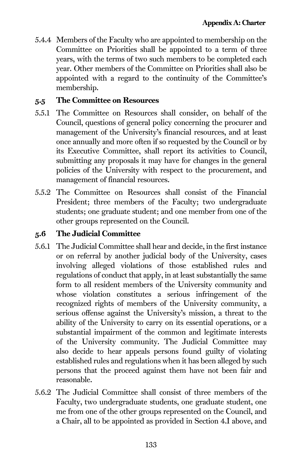5.4.4 Members of the Faculty who are appointed to membership on the Committee on Priorities shall be appointed to a term of three years, with the terms of two such members to be completed each year. Other members of the Committee on Priorities shall also be appointed with a regard to the continuity of the Committee's membership.

## 5.5 The Committee on Resources

- 5.5.1 The Committee on Resources shall consider, on behalf of the Council, questions of general policy concerning the procurer and management of the University's financial resources, and at least once annually and more often if so requested by the Council or by its Executive Committee, shall report its activities to Council, submitting any proposals it may have for changes in the general policies of the University with respect to the procurement, and management of financial resources.
- 5.5.2 The Committee on Resources shall consist of the Financial President; three members of the Faculty; two undergraduate students; one graduate student; and one member from one of the other groups represented on the Council.

## 5.6 The Judicial Committee

- 5.6.1 The Judicial Committee shall hear and decide, in the first instance or on referral by another judicial body of the University, cases involving alleged violations of those established rules and regulations of conduct that apply, in at least substantially the same form to all resident members of the University community and whose violation constitutes a serious infringement of the recognized rights of members of the University community, a serious offense against the University's mission, a threat to the ability of the University to carry on its essential operations, or a substantial impairment of the common and legitimate interests of the University community. The Judicial Committee may also decide to hear appeals persons found guilty of violating established rules and regulations when it has been alleged by such persons that the proceed against them have not been fair and reasonable.
- 5.6.2 The Judicial Committee shall consist of three members of the Faculty, two undergraduate students, one graduate student, one me from one of the other groups represented on the Council, and a Chair, all to be appointed as provided in Section 4.I above, and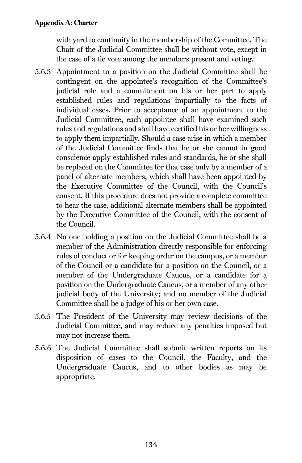## Appendix A: Charter

with yard to continuity in the membership of the Committee. The Chair of the Judicial Committee shall be without vote, except in the case of a tie vote among the members present and voting.

- 5.6.3 Appointment to a position on the Judicial Committee shall be contingent on the appointee's recognition of the Committee's judicial role and a commitment on his or her part to apply established rules and regulations impartially to the facts of individual cases. Prior to acceptance of an appointment to the Judicial Committee, each appointee shall have examined such rules and regulations and shall have certified his or her willingness to apply them impartially. Should a case arise in which a member of the Judicial Committee finds that he or she cannot in good conscience apply established rules and standards, he or she shall be replaced on the Committee for that case only by a member of a panel of alternate members, which shall have been appointed by the Executive Committee of the Council, with the Council's consent. If this procedure does not provide a complete committee to hear the case, additional alternate members shall be appointed by the Executive Committee of the Council, with the consent of the Council.
- 5.6.4 No one holding a position on the Judicial Committee shall be a member of the Administration directly responsible for enforcing rules of conduct or for keeping order on the campus, or a member of the Council or a candidate for a position on the Council, or a member of the Undergraduate Caucus, or a candidate for a position on the Undergraduate Caucus, or a member of any other judicial body of the University; and no member of the Judicial Committee shall be a judge of his or her own case.
- 5.6.5 The President of the University may review decisions of the Judicial Committee, and may reduce any penalties imposed but may not increase them.
- 5.6.6 The Judicial Committee shall submit written reports on its disposition of cases to the Council, the Faculty, and the Undergraduate Caucus, and to other bodies as may be appropriate.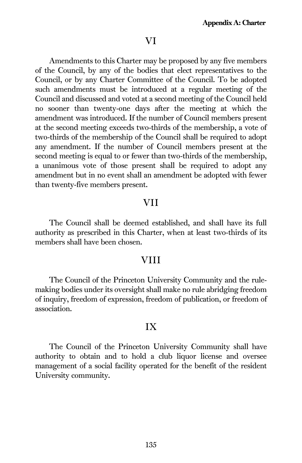## VI

Amendments to this Charter may be proposed by any five members of the Council, by any of the bodies that elect representatives to the Council, or by any Charter Committee of the Council. To be adopted such amendments must be introduced at a regular meeting of the Council and discussed and voted at a second meeting of the Council held no sooner than twenty-one days after the meeting at which the amendment was introduced. If the number of Council members present at the second meeting exceeds two-thirds of the membership, a vote of two-thirds of the membership of the Council shall be required to adopt any amendment. If the number of Council members present at the second meeting is equal to or fewer than two-thirds of the membership, a unanimous vote of those present shall be required to adopt any amendment but in no event shall an amendment be adopted with fewer than twenty-five members present.

## VII

The Council shall be deemed established, and shall have its full authority as prescribed in this Charter, when at least two-thirds of its members shall have been chosen.

## VIII

The Council of the Princeton University Community and the rulemaking bodies under its oversight shall make no rule abridging freedom of inquiry, freedom of expression, freedom of publication, or freedom of association.

## IX

The Council of the Princeton University Community shall have authority to obtain and to hold a club liquor license and oversee management of a social facility operated for the benefit of the resident University community.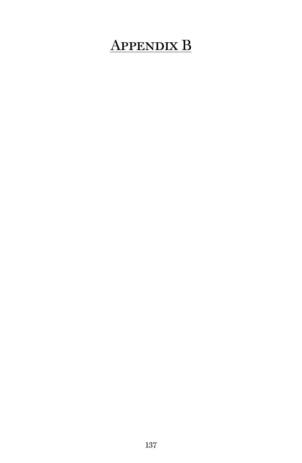# Appendix B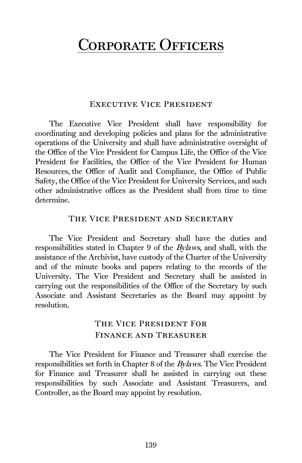## CORPORATE OFFICERS

## Executive Vice President

The Executive Vice President shall have responsibility for coordinating and developing policies and plans for the administrative operations of the University and shall have administrative oversight of the Office of the Vice President for Campus Life, the Office of the Vice President for Facilities, the Office of the Vice President for Human Resources, the Office of Audit and Compliance, the Office of Public Safety, the Office of the Vice President for University Services, and such other administrative offices as the President shall from time to time determine.

## The Vice President and Secretary

The Vice President and Secretary shall have the duties and responsibilities stated in Chapter 9 of the Bylaws, and shall, with the assistance of the Archivist, have custody of the Charter of the University and of the minute books and papers relating to the records of the University. The Vice President and Secretary shall be assisted in carrying out the responsibilities of the Office of the Secretary by such Associate and Assistant Secretaries as the Board may appoint by resolution.

## The Vice President For Finance and Treasurer

The Vice President for Finance and Treasurer shall exercise the responsibilities set forth in Chapter 8 of the Bylaws. The Vice President for Finance and Treasurer shall be assisted in carrying out these responsibilities by such Associate and Assistant Treasurers, and Controller, as the Board may appoint by resolution.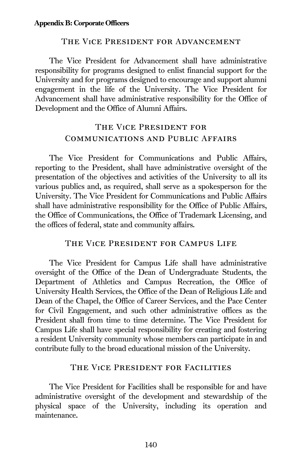## The Vice President for Advancement

The Vice President for Advancement shall have administrative responsibility for programs designed to enlist financial support for the University and for programs designed to encourage and support alumni engagement in the life of the University. The Vice President for Advancement shall have administrative responsibility for the Office of Development and the Office of Alumni Affairs.

## The Vice President for Communications and Public Affairs

The Vice President for Communications and Public Affairs, reporting to the President, shall have administrative oversight of the presentation of the objectives and activities of the University to all its various publics and, as required, shall serve as a spokesperson for the University. The Vice President for Communications and Public Affairs shall have administrative responsibility for the Office of Public Affairs, the Office of Communications, the Office of Trademark Licensing, and the offices of federal, state and community affairs.

#### The Vice President for Campus Life

The Vice President for Campus Life shall have administrative oversight of the Office of the Dean of Undergraduate Students, the Department of Athletics and Campus Recreation, the Office of University Health Services, the Office of the Dean of Religious Life and Dean of the Chapel, the Office of Career Services, and the Pace Center for Civil Engagement, and such other administrative offices as the President shall from time to time determine. The Vice President for Campus Life shall have special responsibility for creating and fostering a resident University community whose members can participate in and contribute fully to the broad educational mission of the University.

#### The Vice President for Facilities

The Vice President for Facilities shall be responsible for and have administrative oversight of the development and stewardship of the physical space of the University, including its operation and maintenance.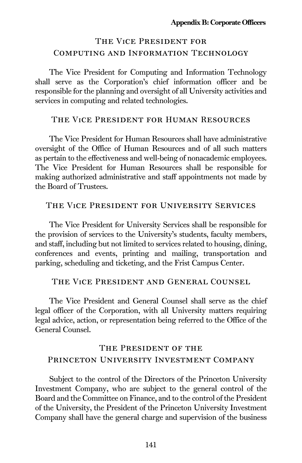## The Vice President for Computing and Information Technology

The Vice President for Computing and Information Technology shall serve as the Corporation's chief information officer and be responsible for the planning and oversight of all University activities and services in computing and related technologies.

#### The Vice President for Human Resources

The Vice President for Human Resources shall have administrative oversight of the Office of Human Resources and of all such matters as pertain to the effectiveness and well-being of nonacademic employees. The Vice President for Human Resources shall be responsible for making authorized administrative and staff appointments not made by the Board of Trustees.

### The Vice President for University Services

The Vice President for University Services shall be responsible for the provision of services to the University's students, faculty members, and staff, including but not limited to services related to housing, dining, conferences and events, printing and mailing, transportation and parking, scheduling and ticketing, and the Frist Campus Center.

### The Vice President and General Counsel

The Vice President and General Counsel shall serve as the chief legal officer of the Corporation, with all University matters requiring legal advice, action, or representation being referred to the Office of the General Counsel.

## The President of the PRINCETON UNIVERSITY INVESTMENT COMPANY

Subject to the control of the Directors of the Princeton University Investment Company, who are subject to the general control of the Board and the Committee on Finance, and to the control of the President of the University, the President of the Princeton University Investment Company shall have the general charge and supervision of the business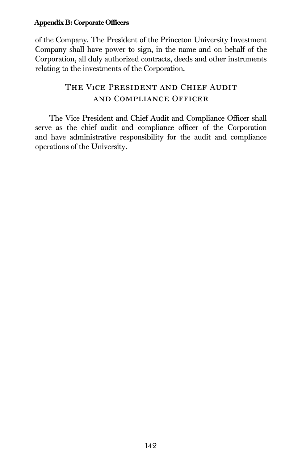## Appendix B: Corporate Officers

of the Company. The President of the Princeton University Investment Company shall have power to sign, in the name and on behalf of the Corporation, all duly authorized contracts, deeds and other instruments relating to the investments of the Corporation.

## The Vice President and Chief Audit and Compliance Officer

The Vice President and Chief Audit and Compliance Officer shall serve as the chief audit and compliance officer of the Corporation and have administrative responsibility for the audit and compliance operations of the University.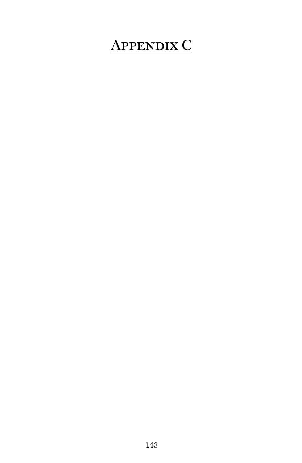## Appendix C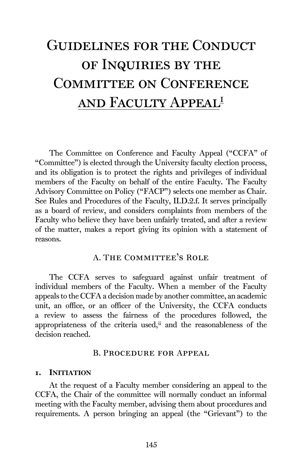# Guidelines for the Conduct of Inquiries by the Committee on Conference and Faculty Appea[li](#page-159-0)

The Committee on Conference and Faculty Appeal ("CCFA" of "Committee") is elected through the University faculty election process, and its obligation is to protect the rights and privileges of individual members of the Faculty on behalf of the entire Faculty. The Faculty Advisory Committee on Policy ("FACP") selects one member as Chair. See Rules and Procedures of the Faculty, II.D.2.f. It serves principally as a board of review, and considers complaints from members of the Faculty who believe they have been unfairly treated, and after a review of the matter, makes a report giving its opinion with a statement of reasons.

## A. The Committee's Role

The CCFA serves to safeguard against unfair treatment of individual members of the Faculty. When a member of the Faculty appeals to the CCFA a decision made by another committee, an academic unit, an office, or an officer of the University, the CCFA conducts a review to assess the fairness of the procedures followed, the appropriateness of the criteria used,<sup>[ii](#page-159-1)</sup> and the reasonableness of the decision reached.

#### B. Procedure for Appeal

#### 1. INITIATION

At the request of a Faculty member considering an appeal to the CCFA, the Chair of the committee will normally conduct an informal meeting with the Faculty member, advising them about procedures and requirements. A person bringing an appeal (the "Grievant") to the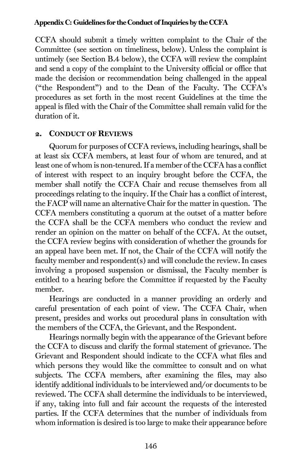#### Appendix C: Guidelines for the Conduct of Inquiries by the CCFA

CCFA should submit a timely written complaint to the Chair of the Committee (see section on timeliness, below). Unless the complaint is untimely (see Section B.4 below), the CCFA will review the complaint and send a copy of the complaint to the University official or office that made the decision or recommendation being challenged in the appeal ("the Respondent") and to the Dean of the Faculty. The CCFA's procedures as set forth in the most recent Guidelines at the time the appeal is filed with the Chair of the Committee shall remain valid for the duration of it.

### 2. CONDUCT OF REVIEWS

Quorum for purposes of CCFA reviews, including hearings, shall be at least six CCFA members, at least four of whom are tenured, and at least one of whom is non-tenured. If a member of the CCFA has a conflict of interest with respect to an inquiry brought before the CCFA, the member shall notify the CCFA Chair and recuse themselves from all proceedings relating to the inquiry. If the Chair has a conflict of interest, the FACP will name an alternative Chair for the matter in question. The CCFA members constituting a quorum at the outset of a matter before the CCFA shall be the CCFA members who conduct the review and render an opinion on the matter on behalf of the CCFA. At the outset, the CCFA review begins with consideration of whether the grounds for an appeal have been met. If not, the Chair of the CCFA will notify the faculty member and respondent(s) and will conclude the review. In cases involving a proposed suspension or dismissal, the Faculty member is entitled to a hearing before the Committee if requested by the Faculty member.

Hearings are conducted in a manner providing an orderly and careful presentation of each point of view. The CCFA Chair, when present, presides and works out procedural plans in consultation with the members of the CCFA, the Grievant, and the Respondent.

Hearings normally begin with the appearance of the Grievant before the CCFA to discuss and clarify the formal statement of grievance. The Grievant and Respondent should indicate to the CCFA what files and which persons they would like the committee to consult and on what subjects. The CCFA members, after examining the files, may also identify additional individuals to be interviewed and/or documents to be reviewed. The CCFA shall determine the individuals to be interviewed, if any, taking into full and fair account the requests of the interested parties. If the CCFA determines that the number of individuals from whom information is desired is too large to make their appearance before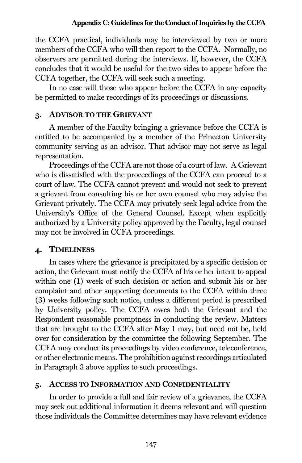the CCFA practical, individuals may be interviewed by two or more members of the CCFA who will then report to the CCFA. Normally, no observers are permitted during the interviews. If, however, the CCFA concludes that it would be useful for the two sides to appear before the CCFA together, the CCFA will seek such a meeting.

In no case will those who appear before the CCFA in any capacity be permitted to make recordings of its proceedings or discussions.

## 3. ADVISOR TO THE GRIEVANT

A member of the Faculty bringing a grievance before the CCFA is entitled to be accompanied by a member of the Princeton University community serving as an advisor. That advisor may not serve as legal representation.

Proceedings of the CCFA are not those of a court of law. A Grievant who is dissatisfied with the proceedings of the CCFA can proceed to a court of law. The CCFA cannot prevent and would not seek to prevent a grievant from consulting his or her own counsel who may advise the Grievant privately. The CCFA may privately seek legal advice from the University's Office of the General Counsel. Except when explicitly authorized by a University policy approved by the Faculty, legal counsel may not be involved in CCFA proceedings.

## 4. TIMELINESS

In cases where the grievance is precipitated by a specific decision or action, the Grievant must notify the CCFA of his or her intent to appeal within one (1) week of such decision or action and submit his or her complaint and other supporting documents to the CCFA within three (3) weeks following such notice, unless a different period is prescribed by University policy. The CCFA owes both the Grievant and the Respondent reasonable promptness in conducting the review. Matters that are brought to the CCFA after May 1 may, but need not be, held over for consideration by the committee the following September. The CCFA may conduct its proceedings by video conference, teleconference, or other electronic means. The prohibition against recordings articulated in Paragraph 3 above applies to such proceedings.

## 5. ACCESS TO INFORMATION AND CONFIDENTIALITY

In order to provide a full and fair review of a grievance, the CCFA may seek out additional information it deems relevant and will question those individuals the Committee determines may have relevant evidence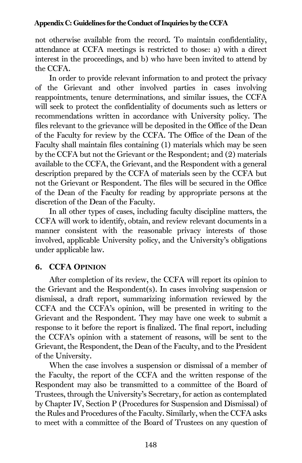not otherwise available from the record. To maintain confidentiality, attendance at CCFA meetings is restricted to those: a) with a direct interest in the proceedings, and b) who have been invited to attend by the CCFA.

In order to provide relevant information to and protect the privacy of the Grievant and other involved parties in cases involving reappointments, tenure determinations, and similar issues, the CCFA will seek to protect the confidentiality of documents such as letters or recommendations written in accordance with University policy. The files relevant to the grievance will be deposited in the Office of the Dean of the Faculty for review by the CCFA. The Office of the Dean of the Faculty shall maintain files containing (1) materials which may be seen by the CCFA but not the Grievant or the Respondent; and (2) materials available to the CCFA, the Grievant, and the Respondent with a general description prepared by the CCFA of materials seen by the CCFA but not the Grievant or Respondent. The files will be secured in the Office of the Dean of the Faculty for reading by appropriate persons at the discretion of the Dean of the Faculty.

In all other types of cases, including faculty discipline matters, the CCFA will work to identify, obtain, and review relevant documents in a manner consistent with the reasonable privacy interests of those involved, applicable University policy, and the University's obligations under applicable law.

## 6. CCFA OPINION

After completion of its review, the CCFA will report its opinion to the Grievant and the Respondent(s). In cases involving suspension or dismissal, a draft report, summarizing information reviewed by the CCFA and the CCFA's opinion, will be presented in writing to the Grievant and the Respondent. They may have one week to submit a response to it before the report is finalized. The final report, including the CCFA's opinion with a statement of reasons, will be sent to the Grievant, the Respondent, the Dean of the Faculty, and to the President of the University.

When the case involves a suspension or dismissal of a member of the Faculty, the report of the CCFA and the written response of the Respondent may also be transmitted to a committee of the Board of Trustees, through the University's Secretary, for action as contemplated by Chapter IV, Section P (Procedures for Suspension and Dismissal) of the Rules and Procedures of the Faculty. Similarly, when the CCFA asks to meet with a committee of the Board of Trustees on any question of